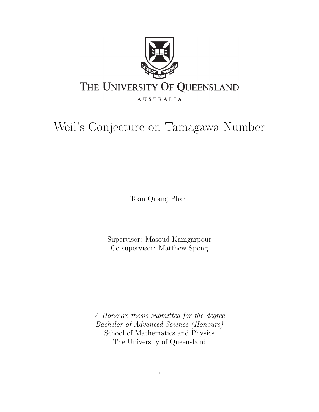

# Weil's Conjecture on Tamagawa Number

Toan Quang Pham

Supervisor: Masoud Kamgarpour Co-supervisor: Matthew Spong

A Honours thesis submitted for the degree Bachelor of Advanced Science (Honours) School of Mathematics and Physics The University of Queensland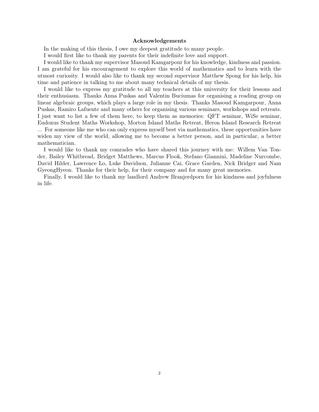#### Acknowledgements

In the making of this thesis, I owe my deepest gratitude to many people.

I would first like to thank my parents for their indefinite love and support.

I would like to thank my supervisor Masoud Kamgarpour for his knowledge, kindness and passion. I am grateful for his encouragement to explore this world of mathematics and to learn with the utmost curiosity. I would also like to thank my second supervisor Matthew Spong for his help, his time and patience in talking to me about many technical details of my thesis.

I would like to express my gratitude to all my teachers at this university for their lessons and their enthusiasm. Thanks Anna Puskas and Valentin Buciumas for organising a reading group on linear algebraic groups, which plays a large role in my thesis. Thanks Masoud Kamgarpour, Anna Puskas, Ramiro Lafuente and many others for organising various seminars, workshops and retreats. I just want to list a few of them here, to keep them as memories: QFT seminar, WiSe seminar, Eudoxus Student Maths Workshop, Morton Island Maths Retreat, Heron Island Research Retreat ... For someone like me who can only express myself best via mathematics, these opportunities have widen my view of the world, allowing me to become a better person, and in particular, a better mathematician.

I would like to thank my comrades who have shared this journey with me: Willem Van Tonder, Bailey Whitbread, Bridget Matthews, Marcus Flook, Stefano Giannini, Madeline Nurcombe, David Hilder, Lawrence Lo, Luke Davidson, Julianne Cai, Grace Garden, Nick Bridger and Nam GyeongHyeon. Thanks for their help, for their company and for many great memories.

Finally, I would like to thank my landlord Andrew Branjerdporn for his kindness and joyfulness in life.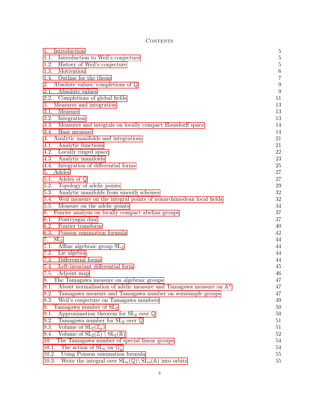# CONTENTS

| Introduction<br>1.                                                                         | $\overline{5}$   |
|--------------------------------------------------------------------------------------------|------------------|
| Introduction to Weil's conjecture<br>1.1.                                                  | $\bf 5$          |
| 1.2.<br>History of Weil's conjecture                                                       | $\bf 5$          |
| 1.3.<br>Motivation                                                                         | $\,6\,$          |
| Outline for the thesis<br>1.4.                                                             | $\,7$            |
| Absolute values, completions of $\mathbb Q$<br>2.                                          | $\boldsymbol{9}$ |
| 2.1.<br>Absolute values                                                                    | $\boldsymbol{9}$ |
| 2.2.<br>Completions of global fields                                                       | 11               |
| 3.<br>Measures and integration                                                             | 13               |
| 3.1.<br>Measure                                                                            | 13               |
| 3.2.<br>Integration                                                                        | 13               |
| 3.3.<br>Measures and integrals on locally compact Hausdorff space                          | 14               |
| 3.4.<br>Haar measure                                                                       | 14               |
| Analytic manifolds and integrations<br>4.                                                  | 21               |
| 4.1.<br>Analytic functions                                                                 | 21               |
| 4.2.<br>Locally ringed space                                                               | 22               |
| 4.3.<br>Analytic manifolds                                                                 | 23               |
| 4.4.<br>Integration of differential forms                                                  | $25\,$           |
| 5.<br>Adeles                                                                               | 27               |
| 5.1.<br>Adeles of $\mathbb Q$                                                              | 27               |
| 5.2.<br>Topology of adelic points                                                          | $\,29$           |
| 5.3.<br>Analytic manifolds from smooth schemes                                             | 32               |
| 5.4.<br>Weil measure on the integral points of nonarchimedean local fields                 | $32\,$           |
| 5.5.<br>Measure on the adelic points                                                       | 34               |
| Fourier analysis on locally compact abelian groups<br>6.                                   | $37\,$           |
| 6.1.<br>Pontryagin dual                                                                    | 37               |
| Fourier $\mbox{transform}$<br>6.2.                                                         | 40               |
| 6.3.<br>Poisson summation formula                                                          | 42               |
| SL <sub>2</sub><br>7.                                                                      | 44               |
| Affine algebraic group $SL2$<br>7.1.                                                       | 44               |
| 7.2.<br>Lie algebra                                                                        | 44               |
| 7.3.<br>Differential forms                                                                 | 44               |
| 7.4.<br>Left-invariant differential form                                                   | 45               |
| 7.5.<br>Adjoint map                                                                        | 46               |
| The Tamagawa measure on algebraic groups                                                   | 47               |
| About normalisation of adelic measure and Tamagawa measure on $\mathbb{A}^n$<br>8.1.       | 47               |
| 8.2.<br>Tamagawa measure and Tamagawa number on semisimple groups                          | 47               |
| 8.3.<br>Weil's conjecture on Tamagawa numbers                                              | 49               |
| Tamagawa number of $SL2$<br>9.                                                             | 50               |
| 9.1.<br>Approximation theorem for $SL_2$ over $\mathbb Q$                                  | 50               |
| 9.2.<br>Tamagawa number for $SL_2$ over $\mathbb Q$                                        | 51               |
| 9.3.<br>Volume of $SL_2(\mathbb{Z}_p)$                                                     | 51               |
| 9.4.<br>Volume of $SL_2(\mathbb{Z}) \setminus SL_2(\mathbb{R})$                            | $52\,$           |
| 10.<br>The Tamagawa number of special linear groups                                        | 54               |
| 10.1.<br>The action of $SL_n$ on $\mathbb{G}_a^n$                                          | 54               |
| 10.2.<br>Using Poisson summation formula                                                   | 55               |
| Write the integral over $SL_n(\mathbb{Q})\backslash SL_n(\mathbb{A})$ into orbits<br>10.3. | $55\,$           |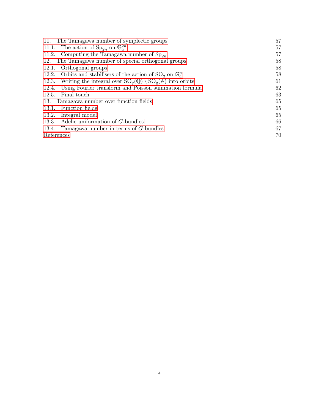| 11. The Tamagawa number of symplectic groups                                              | 57 |
|-------------------------------------------------------------------------------------------|----|
| 11.1. The action of $\text{Sp}_{2n}$ on $\mathbb{G}_a^{2n}$                               | 57 |
| 11.2. Computing the Tamagawa number of $Sp_{2n}$                                          | 57 |
| The Tamagawa number of special orthogonal groups<br>12.                                   | 58 |
| Orthogonal groups<br>12.1.                                                                | 58 |
| 12.2. Orbits and stabilisers of the action of $SO_q$ on $\mathbb{G}_a^n$                  | 58 |
| 12.3. Writing the integral over $SO_q(\mathbb{Q}) \setminus SO_q(\mathbb{A})$ into orbits | 61 |
| Using Fourier transform and Poisson summation formula<br>12.4.                            | 62 |
| Final touch<br>12.5.                                                                      | 63 |
| Tamagawa number over function fields<br>13.                                               | 65 |
| Function fields<br>13.1.                                                                  | 65 |
| Integral model<br>13.2.                                                                   | 65 |
| 13.3. Adelic uniformation of G-bundles                                                    | 66 |
| 13.4. Tamagawa number in terms of $G$ -bundles                                            | 67 |
| References                                                                                | 70 |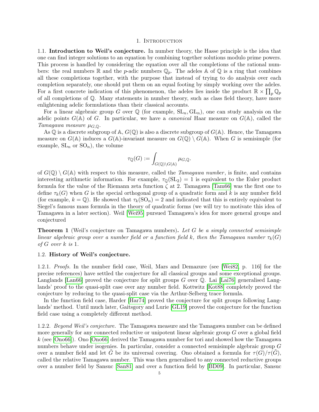#### 1. INTRODUCTION

<span id="page-4-1"></span><span id="page-4-0"></span>1.1. Introduction to Weil's conjecture. In number theory, the Hasse principle is the idea that one can find integer solutions to an equation by combining together solutions modulo prime powers. This process is handled by considering the equation over all the completions of the rational numbers: the real numbers  $\mathbb R$  and the *p*-adic numbers  $\mathbb Q_p$ . The adeles  $\mathbb A$  of  $\mathbb Q$  is a ring that combines all these completions together, with the purpose that instead of trying to do analysis over each completion separately, one should put them on an equal footing by simply working over the adeles. For a first concrete indication of this phenomenon, the adeles lies inside the product  $\mathbb{R} \times \prod_p \mathbb{Q}_p$ of all completions of Q. Many statements in number theory, such as class field theory, have more enlightening adelic formulations than their classical accounts.

For a linear algebraic group G over  $\mathbb Q$  (for example,  $SL_n, GL_n$ ), one can study analysis on the adelic points  $G(A)$  of G. In particular, we have a *canonical* Haar measure on  $G(A)$ , called the Tamagawa measure  $\mu_{G, \mathbb{Q}}$ .

As  $\mathbb Q$  is a discrete subgroup of  $\mathbb A$ ,  $G(\mathbb Q)$  is also a discrete subgroup of  $G(\mathbb A)$ . Hence, the Tamagawa measure on  $G(\mathbb{A})$  induces a  $G(\mathbb{A})$ -invariant measure on  $G(\mathbb{Q}) \setminus G(\mathbb{A})$ . When G is semisimple (for example,  $SL_n$  or  $SO_n$ ), the volume

$$
\tau_{\mathbb{Q}}(G):=\int_{G(\mathbb{Q})\backslash G(\mathbb{A})} \mu_{G,\mathbb{Q}}.
$$

of  $G(\mathbb{Q}) \setminus G(\mathbb{A})$  with respect to this measure, called the *Tamagawa number*, is finite, and contains interesting arithmetic information. For example,  $\tau_{\mathbb{Q}}(SL_2) = 1$  is equivalent to the Euler product formula for the value of the Riemann zeta function  $\zeta$  at 2. Tamagawa [\[Tam66\]](#page-70-0) was the first one to define  $\tau_k(G)$  when G is the special orthogonal group of a quadratic form and k is any number field (for example,  $k = \mathbb{Q}$ ). He showed that  $\tau_k(SO_n) = 2$  and indicated that this is entirely equivalent to Siegel's famous mass formula in the theory of quadratic forms (we will try to motivate this idea of Tamagawa in a later section). Weil [\[Wei95\]](#page-70-1) pursued Tamagawa's idea for more general groups and conjectured

**Theorem 1** (Weil's conjecture on Tamagawa numbers). Let G be a simply connected semisimple linear algebraic group over a number field or a function field k, then the Tamagawa number  $\tau_k(G)$ of G over k is 1.

## <span id="page-4-2"></span>1.2. History of Weil's conjecture.

1.2.1. Proofs. In the number field case, Weil, Mars and Demazure (see [\[Wei82,](#page-70-2) p. 116] for the precise references) have settled the conjecture for all classical groups and some exceptional groups. Langlands [\[Lan66\]](#page-69-1) proved the conjecture for split groups G over Q. Lai [\[Lai76\]](#page-69-2) generalised Langlands' proof to the quasi-split case over any number field. Kottwitz [\[Kot88\]](#page-69-3) completely proved the conjecture by reducing to the quasi-split case via the Arthur-Selberg trace formula.

In the function field case, Harder [\[Har74\]](#page-69-4) proved the conjecture for split groups following Langlands' method. Until much later, Gaitsgory and Lurie [\[GL19\]](#page-69-5) proved the conjecture for the function field case using a completely different method.

1.2.2. Beyond Weil's conjecture. The Tamagawa measure and the Tamagawa number can be defined more generally for any connected reductive or unipotent linear algebraic group G over a global field k (see  $|Ono66|$ ). Ono  $|Ono66|$  derived the Tamagawa number for tori and showed how the Tamagawa numbers behave under isogenies. In particular, consider a connected semisimple algebraic group G over a number field and let G be its universal covering. Ono obtained a formula for  $\tau(G)/\tau(\tilde{G})$ , called the relative Tamagawa number. This was then generalised to any connected reductive groups over a number field by Sansuc [\[San81\]](#page-70-3) and over a function field by [\[BD09\]](#page-69-7). In particular, Sansuc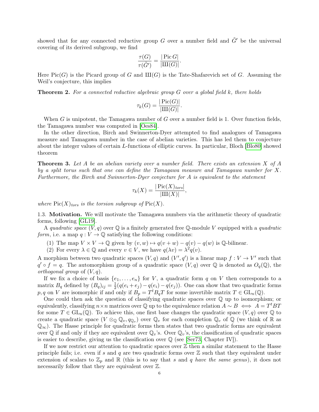showed that for any connected reductive group G over a number field and  $\tilde{G}'$  be the universal covering of its derived subgroup, we find

$$
\frac{\tau(G)}{\tau(\tilde{G}')} = \frac{|\operatorname{Pic} G|}{|\operatorname{III}(G)|}.
$$

Here  $Pic(G)$  is the Picard group of G and  $III(G)$  is the Tate-Shafarevich set of G. Assuming the Weil's conjecture, this implies

**Theorem 2.** For a connected reductive algebraic group G over a global field k, there holds

$$
\tau_k(G) = \frac{|\operatorname{Pic}(G)|}{|\amalg\Gamma(G)|}.
$$

When G is unipotent, the Tamagawa number of G over a number field is 1. Over function fields, the Tamagawa number was computed in [\[Oes84\]](#page-69-8).

In the other direction, Birch and Swinnerton-Dyer attempted to find analogues of Tamagawa measure and Tamagawa number in the case of abelian varieties. This has led them to conjecture about the integer values of certain L-functions of elliptic curves. In particular, Bloch [\[Blo80\]](#page-69-9) showed theorem

**Theorem 3.** Let A be an abelian variety over a number field. There exists an extension X of A by a split torus such that one can define the Tamagawa measure and Tamagawa number for X. Furthermore, the Birch and Swinnerton-Dyer conjecture for A is equivalent to the statement

$$
\tau_k(X) = \frac{|\operatorname{Pic}(X)_{tors}|}{|\operatorname{III}(X)|},
$$

where  $Pic(X)_{tors}$  is the torsion subgroup of  $Pic(X)$ .

<span id="page-5-0"></span>1.3. Motivation. We will motivate the Tamagawa numbers via the arithmetic theory of quadratic forms, following [\[GL19\]](#page-69-5).

A quadratic space  $(V, q)$  over  $\mathbb Q$  is a finitely generated free  $\mathbb Q$ -module V equipped with a quadratic form, i.e. a map  $q: V \to \mathbb{Q}$  satisfying the following conditions:

- (1) The map  $V \times V \to \mathbb{Q}$  given by  $(v, w) \mapsto q(v + w) q(v) q(w)$  is  $\mathbb{Q}$ -bilinear.
- (2) For every  $\lambda \in \mathbb{Q}$  and every  $v \in V$ , we have  $q(\lambda v) = \lambda^2 q(v)$ .

A morphism between two quadratic spaces  $(V, q)$  and  $(V', q')$  is a linear map  $f: V \to V'$  such that  $q' \circ f = q$ . The automorphism group of a quadratic space  $(V, q)$  over Q is denoted as  $O_q(\mathbb{Q})$ , the orthogonal group of  $(V, q)$ .

If we fix a choice of basis  $\{e_1, \ldots, e_n\}$  for V, a quadratic form q on V then corresponds to a matrix  $B_q$  defined by  $(B_q)_{ij} = \frac{1}{2}$  $\frac{1}{2}(q(e_i+e_j)-q(e_i)-q(e_j)).$  One can show that two quadratic forms p, q on V are isomorphic if and only if  $B_p = T^t B_q T$  for some invertible matrix  $T \in GL_n(\mathbb{Q})$ .

One could then ask the question of classifying quadratic spaces over  $\mathbb Q$  up to isomorphism; or equivalently, classifying  $n \times n$  matrices over Q up to the equivalence relation  $A \sim B \iff A = T^t B T$ for some  $T \in GL_n(\mathbb{Q})$ . To achieve this, one first base changes the quadratic space  $(V, q)$  over  $\mathbb Q$  to create a quadratic space  $(V \otimes_{\mathbb{Q}} \mathbb{Q}_v, q_{\mathbb{Q}_v})$  over  $\mathbb{Q}_v$  for each completion  $\mathbb{Q}_v$  of  $\mathbb{Q}$  (we think of  $\mathbb{R}$  as  $\mathbb{Q}_{\infty}$ ). The Hasse principle for quadratic forms then states that two quadratic forms are equivalent over Q if and only if they are equivalent over  $\mathbb{Q}_v$ 's. Over  $\mathbb{Q}_v$ 's, the classification of quadratic spaces is easier to describe, giving us the classification over  $\mathbb Q$  (see [\[Ser73,](#page-70-4) Chapter IV]).

If we now restrict our attention to quadratic spaces over  $\mathbb Z$  then a similar statement to the Hasse principle fails; i.e. even if s and q are two quadratic forms over  $\mathbb Z$  such that they equivalent under extension of scalars to  $\mathbb{Z}_p$  and  $\mathbb R$  (this is to say that s and q have the same genus), it does not necessarily follow that they are equivalent over Z.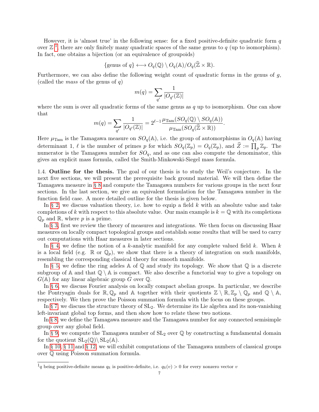However, it is 'almost true' in the following sense: for a fixed positive-definite quadratic form  $q$ over  $\mathbb{Z}^1$  $\mathbb{Z}^1$ , there are only finitely many quadratic spaces of the same genus to q (up to isomorphism). In fact, one obtains a bijection (or an equivalence of groupoids)

{genus of 
$$
q
$$
}  $\longleftrightarrow$   $O_q(\mathbb{Q}) \setminus O_q(\mathbb{A}) / O_q(\widehat{\mathbb{Z}} \times \mathbb{R}).$ 

Furthermore, we can also define the following weight count of quadratic forms in the genus of g, (called the *mass* of the genus of  $q$ )

$$
m(q)=\sum_{q'}\frac{1}{|O_{q'}(\mathbb{Z})|}
$$

where the sum is over all quadratic forms of the same genus as  $q$  up to isomorphism. One can show that

$$
m(q) = \sum_{q'} \frac{1}{|O_{q'}(\mathbb{Z})|} = 2^{\ell-1} \frac{\mu_{\text{Tam}}(SO_q(\mathbb{Q}) \setminus SO_q(\mathbb{A}))}{\mu_{\text{Tam}}(SO_q(\widehat{\mathbb{Z}} \times \mathbb{R}))}.
$$

Here  $\mu_{\text{Tam}}$  is the Tamagawa measure on  $SO_q(\mathbb{A})$ , i.e. the group of automorphisms in  $O_q(\mathbb{A})$  having determinant 1,  $\ell$  is the number of primes p for which  $SO_q(\mathbb{Z}_p) = O_q(\mathbb{Z}_p)$ , and  $\widehat{Z} := \prod_p \mathbb{Z}_p$ . The numerator is the Tamagawa number for  $SO_q$ , and as one can also compute the denominator, this gives an explicit mass formula, called the Smith-Minkowski-Siegel mass formula.

<span id="page-6-0"></span>1.4. Outline for the thesis. The goal of our thesis is to study the Weil's conjecture. In the next five sections, we will present the prerequisite back ground material. We will then define the Tamagawa measure in [§ 8](#page-46-0) and compute the Tamagawa numbers for various groups in the next four sections. In the last section, we give an equivalent formulation for the Tamagawa number in the function field case. A more detailed outline for the thesis is given below.

In [§ 2,](#page-8-0) we discuss valuation theory, i.e. how to equip a field  $k$  with an absolute value and take completions of k with respect to this absolute value. Our main example is  $k = \mathbb{Q}$  with its completions  $\mathbb{Q}_p$  and  $\mathbb{R}$ , where p is a prime.

In [§ 3,](#page-12-0) first we review the theory of measures and integrations. We then focus on discussing Haar measures on locally compact topological groups and establish some results that will be used to carry out computations with Haar measures in later sections.

In [§ 4,](#page-20-0) we define the notion of a k-analytic manifold for any complete valued field k. When k is a local field (e.g.  $\mathbb R$  or  $\mathbb Q_p$ ), we show that there is a theory of integration on such manifolds, resembling the corresponding classical theory for smooth manifolds.

In [§ 5,](#page-26-0) we define the ring adeles  $\mathbb A$  of  $\mathbb Q$  and study its topology. We show that  $\mathbb Q$  is a discrete subgroup of A and that  $\mathbb{Q} \setminus \mathbb{A}$  is compact. We also describe a functorial way to give a topology on  $G(\mathbb{A})$  for any linear algebraic group G over  $\mathbb{Q}$ .

In [§ 6,](#page-36-0) we discuss Fourier analysis on locally compact abelian groups. In particular, we describe the Pontryagin duals for  $\mathbb{R}, \mathbb{Q}_p$  and A together with their quotients  $\mathbb{Z} \setminus \mathbb{R}, \mathbb{Z}_p \setminus \mathbb{Q}_p$  and  $\mathbb{Q} \setminus \mathbb{A}$ , respectively. We then prove the Poisson summation formula with the focus on these groups.

In [§ 7,](#page-43-0) we discuss the structure theory of  $SL_2$ . We determine its Lie algebra and its non-vanishing left-invariant global top forms, and then show how to relate these two notions.

In [§ 8,](#page-46-0) we define the Tamagawa measure and the Tamagawa number for any connected semisimple group over any global field.

In [§ 9,](#page-49-0) we compute the Tamagawa number of  $SL_2$  over  $\mathbb Q$  by constructing a fundamental domain for the quotient  $SL_2(\mathbb{Q})\backslash SL_2(\mathbb{A})$ .

In [§ 10,](#page-53-0) [§ 11](#page-56-0) and [§ 12,](#page-57-0) we will exhibit computations of the Tamagawa numbers of classical groups over Q using Poisson summation formula.

<span id="page-6-1"></span> $1<sub>q</sub>$  being positive-definite means  $q_{\mathbb{R}}$  is positive-definite, i.e.  $q_{\mathbb{R}}(v) > 0$  for every nonzero vector v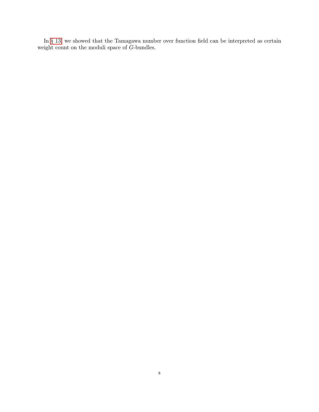In [§ 13,](#page-64-0) we showed that the Tamagawa number over function field can be interpreted as certain weight count on the moduli space of  $G\mathsf{\textsc{-}bundles}.$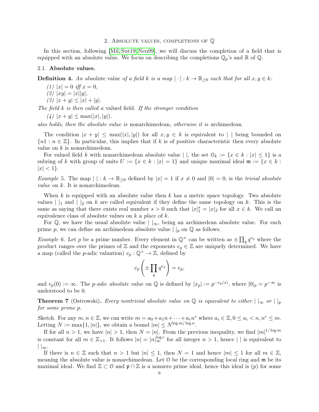#### 2. Absolute values, completions of Q

<span id="page-8-0"></span>In this section, following [\[Mil,](#page-69-10) [Sut19,](#page-70-5) [Neu99\]](#page-69-11), we will discuss the completion of a field that is equipped with an absolute value. We focus on describing the completions  $\mathbb{Q}_p$ 's and  $\mathbb{R}$  of  $\mathbb{Q}$ .

### <span id="page-8-1"></span>2.1. Absolute values.

**Definition 4.** An absolute value of a field k is a map  $|\cdot|: k \to \mathbb{R}_{\geq 0}$  such that for all  $x, y \in k$ :

- (1)  $|x| = 0$  iff  $x = 0$ ,
- (2)  $|xy| = |x||y|$ ,
- (3)  $|x + y| \leq |x| + |y|$ .

The field  $k$  is then called a valued field. If the stronger condition

 $(4)$   $|x + y| \leq \max(|x|, |y|).$ 

also holds, then the absolute value is nonarchimedean, otherwise it is archimedean.

The condition  $|x + y| \leq \max(|x|, |y|)$  for all  $x, y \in k$  is equivalent to  $|\;|$  being bounded on  ${n_1 : n \in \mathbb{Z}}$ . In particular, this implies that if k is of positive characteristic then every absolute value on  $k$  is nonarchimedean.

For valued field k with nonarchimedean absolute value | |, the set  $\mathcal{O}_k := \{x \in k : |x| \leq 1\}$  is a subring of k with group of units  $U := \{x \in k : |x| = 1\}$  and unique maximal ideal  $\mathfrak{m} := \{x \in k : |x| = 1\}$  $|x| < 1$ .

Example 5. The map  $|\cdot|: k \to \mathbb{R}_{\geq 0}$  defined by  $|x| = 1$  if  $x \neq 0$  and  $|0| = 0$ , is the trivial absolute *value* on  $k$ . It is nonarchimedean.

When k is equipped with an absolute value then  $k$  has a metric space topology. Two absolute values  $\vert \vert_1$  and  $\vert \vert_2$  on k are called equivalent if they define the same topology on k. This is the same as saying that there exists real number  $s > 0$  such that  $|x|_1^s = |x|_2$  for all  $x \in k$ . We call an equivalence class of absolute values on  $k$  a place of  $k$ .

For Q, we have the usual absolute value  $\vert \cdot \vert_{\infty}$ , being an archimedean absolute value. For each prime p, we can define an archimedean absolute value  $||_p$  on  $\mathbb{Q}$  as follows.

<span id="page-8-2"></span>*Example* 6. Let p be a prime number. Every element in  $\mathbb{Q}^{\times}$  can be written as  $\pm \prod_{q} q^{e_q}$  where the product ranges over the primes of  $\mathbb Z$  and the exponents  $e_q \in \mathbb Z$  are uniquely determined. We have a map (called the *p*-adic valuation)  $v_p : \mathbb{Q}^\times \to \mathbb{Z}$ , defined by

$$
v_p\left(\pm\prod_q q^{e_q}\right) = e_p,
$$

and  $v_p(0) := \infty$ . The *p-adic absolute value* on  $\mathbb Q$  is defined by  $|x_p| := p^{-v_p(x)}$ , where  $|0|_p = p^{-\infty}$  is understood to be 0.

**Theorem 7** (Ostrowski). Every nontrivial absolute value on Q is equivalent to either  $|\,\|_{\infty}$  or  $||_{p}$ for some prime p.

Sketch. For any  $m, n \in \mathbb{Z}$ , we can write  $m = a_0 + a_1 n + \cdots + a_r n^r$  where  $a_i \in \mathbb{Z}, 0 \le a_i < n, n^r \le m$ . Letting  $N := \max\{1, |n|\}$ , we obtain a bound  $|m| \le N^{\log m / \log n}$ .

If for all  $n > 1$ , we have  $|n| > 1$ , then  $N = |n|$ . From the previous inequality, we find  $|m|^{1/\log m}$ is constant for all  $m \in \mathbb{Z}_{>1}$ . It follows  $|n| = |n|_{\infty}^{\log c}$  for all integer  $n > 1$ , hence  $| \cdot |$  is equivalent to  $||_{\infty}$ .

If there is  $n \in \mathbb{Z}$  such that  $n > 1$  but  $|n| \leq 1$ , then  $N = 1$  and hence  $|m| \leq 1$  for all  $m \in \mathbb{Z}$ , meaning the absolute value is nonarchimedean. Let  $\varnothing$  be the corresponding local ring and  $\mathfrak{m}$  be its maximal ideal. We find  $\mathbb{Z} \subset \mathbb{O}$  and  $\mathfrak{p} \cap \mathbb{Z}$  is a nonzero prime ideal, hence this ideal is  $(p)$  for some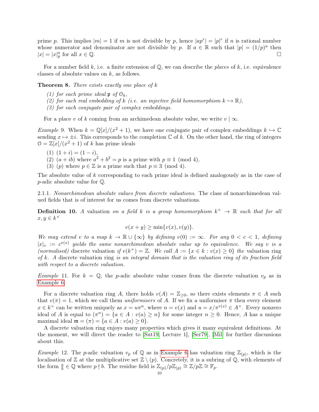prime p. This implies  $|m|=1$  if m is not divisible by p, hence  $|ap^r|=|p|^r$  if n is rational number whose numerator and denominator are not divisible by p. If  $a \in \mathbb{R}$  such that  $|p| = (1/p)^a$  then  $|x| = |x|_p^a$  for all  $x \in \mathbb{Q}$ .

For a number field k, i.e. a finite extension of  $\mathbb{O}$ , we can describe the places of k, i.e. equivalence classes of absolute values on  $k$ , as follows.

**Theorem 8.** There exists exactly one place of  $k$ 

- (1) for each prime ideal  $\mathfrak{p}$  of  $\mathfrak{O}_k$ ,
- (2) for each real embedding of k (i.e. an injective field homomorphism  $k \hookrightarrow \mathbb{R}$ ),
- (3) for each conjugate pair of complex embeddings.

For a place v of k coming from an archimedean absolute value, we write  $v | \infty$ .

*Example* 9. When  $k = \mathbb{Q}[x]/(x^2 + 1)$ , we have one conjugate pair of complex embeddings  $k \hookrightarrow \mathbb{C}$ sending  $x \mapsto \pm i$ . This corresponds to the completion C of k. On the other hand, the ring of integers  $0 = \mathbb{Z}[x]/(x^2 + 1)$  of k has prime ideals

- (1)  $(1 + i) = (1 i),$
- (2)  $(a+ib)$  where  $a^2 + b^2 = p$  is a prime with  $p \equiv 1 \pmod{4}$ ,
- (3) (p) where  $p \in \mathbb{Z}$  is a prime such that  $p \equiv 3 \pmod{4}$ .

The absolute value of k corresponding to each prime ideal is defined analogously as in the case of p-adic absolute value for Q.

2.1.1. Nonarchimedean absolute values from discrete valuations. The class of nonarchimedean valued fields that is of interest for us comes from discrete valuations.

**Definition 10.** A valuation on a field k is a group homomorphism  $k^{\times} \to \mathbb{R}$  such that for all  $x, y \in k^{\times}$ 

$$
v(x + y) \ge \min\{v(x), v(y)\}.
$$

We may extend v to a map  $k \to \mathbb{R} \cup \{\infty\}$  by defining  $v(0) := \infty$ . For any  $0 < c < 1$ , defining  $|x|_v := c^{v(x)}$  yields the same nonarchimedean absolute value up to equivalence. We say v is a (normalised) discrete valuation if  $v(k^{\times}) = \mathbb{Z}$ . We call  $A := \{x \in k : v(x) \ge 0\}$  the valuation ring of k. A discrete valuation ring is an integral domain that is the valuation ring of its fraction field with respect to a discrete valuation.

Example 11. For  $k = \mathbb{Q}$ , the p-adic absolute value comes from the discrete valuation  $v_p$  as in [Example 6.](#page-8-2)

For a discrete valuation ring A, there holds  $v(A) = \mathbb{Z}_{\geq 0}$ , so there exists elements  $\pi \in A$  such that  $v(\pi) = 1$ , which we call them *uniformisers* of A. If we fix a uniformiser  $\pi$  then every element  $x \in k^{\times}$  can be written uniquely as  $x = u\pi^{n}$ , where  $n = v(x)$  and  $u = x/\pi^{v(x)} \in A^{\times}$ . Every nonzero ideal of A is equal to  $(\pi^n) = \{a \in A : v(a) \geq n\}$  for some integer  $n \geq 0$ . Hence, A has a unique maximal ideal  $\mathfrak{m} = (\pi) = \{a \in A : v(a) \geq 0\}.$ 

A discrete valuation ring enjoys many properties which gives it many equivalent definitions. At the moment, we will direct the reader to [\[Sut19,](#page-70-5) Lecture 1], [\[Ser79\]](#page-70-6), [\[Mil\]](#page-69-10) for further discussions about this.

<span id="page-9-0"></span>Example 12. The p-adic valuation  $v_p$  of Q as in [Example 6](#page-8-2) has valuation ring  $\mathbb{Z}_{(p)}$ , which is the localisation of Z at the multiplicative set  $\mathbb{Z} \setminus (p)$ . Concretely, it is a subring of Q, with elements of the form  $\frac{a}{b} \in \mathbb{Q}$  where  $p \nmid b$ . The residue field is  $\mathbb{Z}_{(p)}/p\mathbb{Z}_{(p)} \cong \mathbb{Z}/p\mathbb{Z} \cong \mathbb{F}_p$ .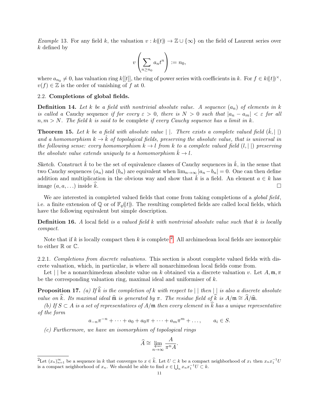Example 13. For any field k, the valuation  $v : k((t)) \to \mathbb{Z} \cup {\infty}$  on the field of Laurent series over k defined by

$$
v\left(\sum_{n\geq n_0}a_nt^n\right):=n_0,
$$

where  $a_{n_0} \neq 0$ , has valuation ring k[[t]], the ring of power series with coefficients in k. For  $f \in k(\mathfrak{k})^{\times}$ ,  $v(f) \in \mathbb{Z}$  is the order of vanishing of f at 0.

#### <span id="page-10-0"></span>2.2. Completions of global fields.

**Definition 14.** Let k be a field with nontrivial absolute value. A sequence  $(a_n)$  of elements in k is called a Cauchy sequence if for every  $\varepsilon > 0$ , there is  $N > 0$  such that  $|a_n - a_m| < \varepsilon$  for all  $n, m > N$ . The field k is said to be complete if every Cauchy sequence has a limit in k.

**Theorem 15.** Let k be a field with absolute value  $|\cdot|$ . There exists a complete valued field  $(\hat{k}, |\cdot|)$ and a homomorphism  $k \to \tilde{k}$  of topological fields, preserving the absolute value, that is universal in the following sense: every homomorphism  $k \to l$  from k to a complete valued field  $(l, | \cdot |)$  preserving the absolute value extends uniquely to a homomorphism  $k \to l$ .

Sketch. Construct  $\hat{k}$  to be the set of equivalence classes of Cauchy sequences in  $\hat{k}$ , in the sense that two Cauchy sequences  $(a_n)$  and  $(b_n)$  are equivalent when  $\lim_{n\to\infty} |a_n - b_n| = 0$ . One can then define addition and multiplication in the obvious way and show that  $\hat{k}$  is a field. An element  $a \in \hat{k}$  has image  $(a, a, \ldots)$  inside k.

We are interested in completed valued fields that come from taking completions of a *global field*, i.e. a finite extension of  $\mathbb{Q}$  or of  $\mathbb{F}_q(\mathcal{F})$ . The resulting completed fields are called local fields, which have the following equivalent but simple description.

**Definition 16.** A local field is a valued field k with nontrivial absolute value such that  $k$  is locally compact.

Note that if k is locally compact then k is complete <sup>[2](#page-10-1)</sup>. All archimedean local fields are isomorphic to either  $\mathbb R$  or  $\mathbb C$ .

2.2.1. Completions from discrete valuations. This section is about complete valued fields with discrete valuation, which, in particular, is where all nonarchimedean local fields come from.

Let  $|\ \vert$  be a nonarchimedean absolute value on k obtained via a discrete valuation v. Let A, m,  $\pi$ be the corresponding valuation ring, maximal ideal and uniformiser of k.

**Proposition 17.** (a) If  $\widehat{k}$  is the completion of k with respect to  $|| \text{ then } ||$  is also a discrete absolute value on  $\widehat{k}$ . Its maximal ideal  $\widehat{\mathfrak{m}}$  is generated by  $\pi$ . The residue field of  $\widehat{k}$  is  $A/\mathfrak{m} \cong \widehat{A}/\widehat{\mathfrak{m}}$ .

(b) If  $S \subset A$  is a set of representatives of  $A/\mathfrak{m}$  then every element in k has a unique representative of the form

$$
a_{-n}\pi^{-n} + \cdots + a_0 + a_0\pi + \cdots + a_m\pi^m + \ldots, \qquad a_i \in S.
$$

(c) Furthermore, we have an isomorphism of topological rings

$$
\widehat{A} \cong \varprojlim_{n \to \infty} \frac{A}{\pi^n A}.
$$

<span id="page-10-1"></span><sup>&</sup>lt;sup>2</sup>Let  $(x_n)_{n=1}^{\infty}$  be a sequence in k that converges to  $x \in \hat{k}$ . Let  $U \subset k$  be a compact neighborhood of  $x_1$  then  $x_n x_1^{-1}U$ is a compact neighborhood of  $x_n$ . We should be able to find  $x \in \bigcup_n x_n x_1^{-1}U \subset k$ .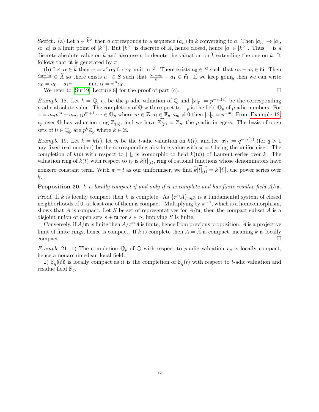Sketch. (a) Let  $a \in \hat{k}^{\times}$  then a corresponds to a sequence  $(a_n)$  in k converging to a. Then  $|a_n| \to |a|$ , so |a| is a limit point of  $|k^{\times}|$ . But  $|k^{\times}|$  is discrete of R, hence closed, hence  $|a| \in |k^{\times}|$ . Thus || is a discrete absolute value on  $\hat{k}$  and also use v to denote the valuation on  $\hat{k}$  extending the one on k. It follows that  $\widehat{\mathfrak{m}}$  is generated by  $\pi$ .

(b) Let  $\alpha \in \hat{k}$  then  $\alpha = \pi^n \alpha_0$  for  $\alpha_0$  unit in  $\hat{A}$ . There exists  $a_0 \in S$  such that  $\alpha_0 - a_0 \in \hat{\mathfrak{m}}$ . Then  $\frac{\alpha_0 - a_0}{\pi} \in \widehat{A}$  so there exists  $a_1 \in S$  such that  $\frac{\alpha_0 - a_0}{\pi} - a_1 \in \widehat{\mathfrak{m}}$ . If we keep going then we can write  $\alpha_0 = a_0 + a_1 \pi + \dots$  and  $\alpha = \pi^n \alpha_0$ .

We refer to [\[Sut19,](#page-70-5) Lecture 8] for the proof of part (c).  $\Box$ 

$$
\overline{}
$$

*Example* 18. Let  $k = \mathbb{Q}$ ,  $v_p$  be the p-adic valuation of  $\mathbb{Q}$  and  $|x|_p := p^{-v_p(x)}$  be the corresponding p-adic absolute value. The completion of  $\mathbb Q$  with respect to  $|\cdot|_p$  is the field  $\mathbb Q_p$  of p-adic numbers. For  $x = a_m p^m + a_{m+1} p^{m+1} \cdots \in \mathbb{Q}_p$  where  $m \in \mathbb{Z}, a_i \in \mathbb{F}_p, a_m \neq 0$  then  $|x|_p = p^{-m}$ . From [Example 12,](#page-9-0)  $v_p$  over  $\mathbb Q$  has valuation ring  $\mathbb{Z}_{(p)}$ , and we have  $\widehat{\mathbb{Z}_{(p)}} = \mathbb{Z}_p$ , the p-adic integers. The basis of open sets of  $0 \in \mathbb{Q}_p$  are  $p^k \mathbb{Z}_p$  where  $k \in \mathbb{Z}$ .

*Example* 19. Let  $k = k(t)$ , let  $v_t$  be the *t*-adic valuation on  $k(t)$ , and let  $|x|_t := q^{-v_t(x)}$  (for  $q > 1$ any fixed real number) be the corresponding absolute value with  $\pi = t$  being the uniformiser. The completion of  $k(t)$  with respect to  $||_t$  is isomorphic to field  $k((t))$  of Laurent series over k. The valuation ring of  $k(t)$  with respect to  $v_t$  is  $k[t]_{(t)}$ , ring of rational functions whose denominators have nonzero constant term. With  $\pi = t$  as our uniformiser, we find  $\widehat{k[t]}_{(t)} = k[[t]]$ , the power series over k.

## **Proposition 20.** k is locally compact if and only if it is complete and has finite residue field  $A/\mathfrak{m}$ .

Proof. If k is locally compact then k is complete. As  ${\lbrace \pi^n A \rbrace_{n \in \mathbb{Z}}}$  is a fundamental system of closed neighborhoods of 0, at least one of them is compact. Multiplying by  $\pi^{-n}$ , which is a homeomorphism, shows that A is compact. Let S be set of representatives for  $A/\mathfrak{m}$ , then the compact subset A is a disjoint union of open sets  $s + \mathfrak{m}$  for  $s \in S$ , implying S is finite.

Conversely, if  $A/\mathfrak{m}$  is finite then  $A/\pi^n A$  is finite, hence from previous proposition,  $\hat{A}$  is a projective limit of finite rings, hence is compact. If k is complete then  $A = \hat{A}$  is compact, meaning k is locally compact. compact. □

*Example* 21. 1) The completion  $\mathbb{Q}_p$  of  $\mathbb Q$  with respect to *p*-adic valuation  $v_p$  is locally compact, hence a nonarchimedean local field.

2)  $\mathbb{F}_q(t)$  is locally compact as it is the completion of  $\mathbb{F}_q(t)$  with respect to t-adic valuation and residue field  $\mathbb{F}_q$ .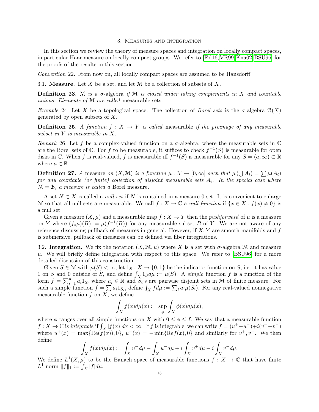#### 3. Measures and integration

<span id="page-12-0"></span>In this section we review the theory of measure spaces and integration on locally compact spaces, in particular Haar measure on locally compact groups. We refer to [\[Fol16,](#page-69-12) [VR99,](#page-70-7) [Kna02,](#page-69-13) [BSU96\]](#page-69-14) for the proofs of the results in this section.

Convention 22. From now on, all locally compact spaces are assumed to be Hausdorff.

<span id="page-12-1"></span>3.1. **Measure.** Let X be a set, and let M be a collection of subsets of X.

**Definition 23.** M is a  $\sigma$ -algebra if M is closed under taking complements in X and countable unions. Elements of M are called measurable sets.

Example 24. Let X be a topological space. The collection of Borel sets is the  $\sigma$ -algebra  $\mathcal{B}(X)$ generated by open subsets of  $X$ .

**Definition 25.** A function  $f: X \rightarrow Y$  is called measurable if the preimage of any measurable subset in Y is measurable in X.

Remark 26. Let f be a complex-valued function on a  $\sigma$ -algebra, where the measurable sets in  $\mathbb C$ are the Borel sets of  $\mathbb C$ . For f to be measurable, it suffices to check  $f^{-1}(S)$  is measurable for open disks in C. When f is real-valued, f is measurable iff  $f^{-1}(S)$  is measurable for any  $S = (a, \infty) \subset \mathbb{R}$ where  $a \in \mathbb{R}$ .

**Definition 27.** A measure on  $(X, \mathcal{M})$  is a function  $\mu : \mathcal{M} \to [0, \infty]$  such that  $\mu(\bigcup A_i) = \sum \mu(A_i)$ for any countable (or finite) collection of disjoint measurable sets  $A_i$ . In the special case where  $M = B$ , a measure is called a Borel measure.

A set  $N \subset X$  is called a *null set* if N is contained in a measure-0 set. It is convenient to enlarge M so that all null sets are measurable. We call  $f : X \to \mathbb{C}$  a null function if  $\{x \in X : f(x) \neq 0\}$  is a null set.

Given a measure  $(X, \mu)$  and a measurable map  $f : X \to Y$  then the *pushforward* of  $\mu$  is a measure on Y where  $(f_*\mu)(B) := \mu(f^{-1}(B))$  for any measurable subset B of Y. We are not aware of any reference discussing pullback of measures in general. However, if  $X, Y$  are smooth manifolds and f is submersive, pullback of measures can be defined via fiber integrations.

<span id="page-12-2"></span>3.2. Integration. We fix the notation  $(X, \mathcal{M}, \mu)$  where X is a set with  $\sigma$ -algebra M and measure  $\mu$ . We will briefly define integration with respect to this space. We refer to [\[BSU96\]](#page-69-14) for a more detailed discussion of this construction.

Given  $S \in \mathcal{M}$  with  $\mu(S) < \infty$ , let  $1_S : X \to \{0,1\}$  be the indicator function on S, i.e. it has value 1 on S and 0 outside of S, and define  $\int_X 1_S d\mu := \mu(S)$ . A simple function f is a function of the form  $f = \sum_{i=1}^n a_i 1_{S_i}$  where  $a_i \in \mathbb{R}$  and  $S_i$ 's are pairwise disjoint sets in M of finite measure. For such a simple function  $f = \sum a_i 1_{S_i}$ , define  $\int_X f d\mu := \sum_i a_i \mu(S_i)$ . For any real-valued nonnegative measurable function  $f$  on  $X$ , we define

$$
\int_X f(x)d\mu(x) := \sup_{\phi} \int_X \phi(x)d\mu(x),
$$

where  $\phi$  ranges over all simple functions on X with  $0 \leq \phi \leq f$ . We say that a measurable function  $f: X \to \mathbb{C}$  is *integrable* if  $\int_X |f(x)| dx < \infty$ . If f is integrable, we can write  $f = (u^+ - u^-) + i(v^+ - v^-)$ where  $u^+(x) = \max\{\text{Re}(f(x)), 0\}, u^-(x) = -\min\{\text{Re}(f(x), 0\})\}$  and similarly for  $v^+, v^-.$  We then define

$$
\int_X f(x) d\mu(x) := \int_X u^+ d\mu - \int_X u^- d\mu + i \int_X v^+ d\mu - i \int_X v^- d\mu.
$$

<span id="page-12-3"></span>We define  $L^1(X,\mu)$  to be the Banach space of measurable functions  $f: X \to \mathbb{C}$  that have finite  $L^1$ -norm  $||f||_1 := \int_X |f| d\mu.$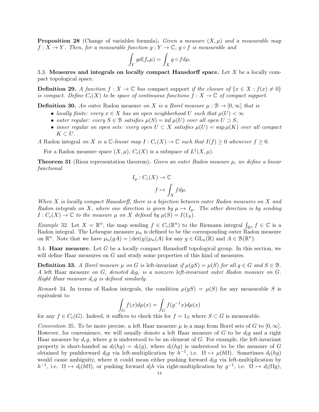**Proposition 28** (Change of variables formula). Given a measure  $(X, \mu)$  and a measurable map  $f: X \to Y$ . Then, for a measurable function  $g: Y \to \mathbb{C}$ ,  $g \circ f$  is measurable and

$$
\int_Y gd(f_*\mu)=\int_X g\circ f d\mu.
$$

<span id="page-13-0"></span>3.3. Measures and integrals on locally compact Hausdorff space. Let  $X$  be a locally compact topological space.

**Definition 29.** A function  $f: X \to \mathbb{C}$  has compact support if the closure of  $\{x \in X : f(x) \neq 0\}$ is compact. Define  $C_c(X)$  to be space of continuous functions  $f: X \to \mathbb{C}$  of compact support.

**Definition 30.** An outer Radon measure on X is a Borel measure  $\mu : \mathcal{B} \to [0, \infty]$  that is

- locally finite: every  $x \in X$  has an open neighborhood U such that  $\mu(U) < \infty$
- outer regular: every  $S \in \mathcal{B}$  satisfies  $\mu(S) = \inf \mu(U)$  over all open  $U \supset S$ ,
- inner regular on open sets: every open  $U \subset X$  satisfies  $\mu(U) = \sup \mu(K)$  over all compact  $K \subset U$ .
- A Radon integral on X is a  $\mathbb{C}\text{-}linear map  $I : C_c(X) \to \mathbb{C}$  such that  $I(f) \geq 0$  whenever  $f \geq 0$ .$

For a Radon measure space  $(X, \mu)$ ,  $C_c(X)$  is a subspace of  $L^1(X, \mu)$ .

**Theorem 31** (Riesz representation theorem). Given an outer Radon measure  $\mu$ , we define a linear functional

$$
I_{\mu}: C_c(X) \to \mathbb{C}
$$

$$
f \mapsto \int_X f d\mu.
$$

When X is locally compact Hausdorff, there is a bijection between outer Radon measures on X and Radon integrals on X, where one direction is given by  $\mu \mapsto I_{\mu}$ . The other direction is by sending  $I: C_c(X) \to \mathbb{C}$  to the measure  $\mu$  on X defined by  $\mu(S) = I(1_S)$ .

Example 32. Let  $X = \mathbb{R}^n$ , the map sending  $f \in C_c(\mathbb{R}^n)$  to the Riemann integral  $\int_{\mathbb{R}^n} f \in \mathbb{C}$  is a Radon integral. The Lebesgue measure  $\mu_n$  is defined to be the corresponding outer Radon measure on  $\mathbb{R}^n$ . Note that we have  $\mu_n(gA) = |\det(g)| \mu_n(A)$  for any  $g \in GL_n(\mathbb{R})$  and  $A \in \mathcal{B}(\mathbb{R}^n)$ .

<span id="page-13-1"></span>3.4. **Haar measure.** Let G be a locally compact Hausdorff topological group. In this section, we will define Haar measures on G and study some properties of this kind of measures.

**Definition 33.** A Borel measure  $\mu$  on G is left-invariant if  $\mu(gS) = \mu(S)$  for all  $g \in G$  and  $S \in \mathcal{B}$ . A left Haar measure on  $G$ , denoted  $d_1g$ , is a nonzero left-invariant outer Radon measure on  $G$ . Right Haar measure  $d_r g$  is defined similarly.

Remark 34. In terms of Radon integrals, the condition  $\mu(gS) = \mu(S)$  for any measurable S is equivalent to

$$
\int_G f(x)d\mu(x) = \int_G f(g^{-1}x)d\mu(x)
$$

for any  $f \in C_c(G)$ . Indeed, it suffices to check this for  $f = 1_S$  where  $S \subset G$  is measurable.

Convention 35. To be more precise, a left Haar measure  $\mu$  is a map from Borel sets of G to  $[0, \infty]$ . However, for convenience, we will usually denote a left Haar measure of G to be  $d_l g$  and a right Haar measure by  $d_r g$ , where g is understood to be an element of G. For example, the left-invariant property is short-handed as  $d_l(hg) = d_l(g)$ , where  $d_l(hg)$  is understood to be the measure of G obtained by pushforward  $d_l g$  via left-multiplication by  $h^{-1}$ , i.e.  $\Omega \mapsto \mu(h\Omega)$ . Sometimes  $d_l(hg)$ would cause ambiguity, where it could mean either pushing forward  $d_lg$  via left-multiplication by h<sup>-1</sup>, i.e.  $\Omega \mapsto d_l(h\Omega)$ , or pushing forward  $d_l h$  via right-multiplication by  $g^{-1}$ , i.e.  $\Omega \mapsto d_l(\Omega g)$ ,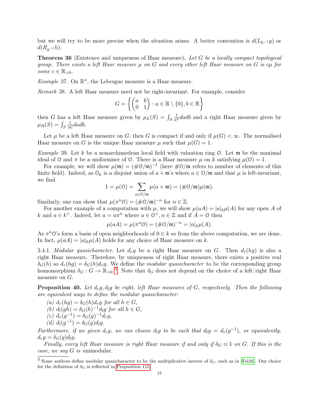but we will try to be more precise when the situation arises. A better convention is  $d(L_{h-1} q)$  or  $d(R_{g^{-1}}h).$ 

**Theorem 36** (Existence and uniqueness of Haar measure). Let G be a locally compact topological group. There exists a left Haar measure  $\mu$  on G and every other left Haar measure on G is  $c\mu$  for some  $c \in \mathbb{R}_{>0}$ .

*Example* 37. On  $\mathbb{R}^n$ , the Lebesgue measure is a Haar measure.

Remark 38. A left Haar measure need not be right-invariant. For example, consider

$$
G = \left\{ \begin{pmatrix} a & b \\ 0 & 1 \end{pmatrix} : a \in \mathbb{R} \setminus \{0\}, b \in \mathbb{R} \right\}
$$

then G has a left Haar measure given by  $\mu_L(S) = \int_S$ 1  $\frac{1}{a^2}$  dadb and a right Haar measure given by  $\mu_R(S) = \int_S$ 1  $\frac{1}{|a|}dadb.$ 

Let  $\mu$  be a left Haar measure on G, then G is compact if and only if  $\mu(G) < \infty$ . The normalised Haar measure on G is the unique Haar measure  $\mu$  such that  $\mu(G) = 1$ .

*Example* 39. Let k be a nonarchimedean local field with valuation ring  $\mathcal{O}$ . Let **m** be the maximal ideal of 0 and  $\pi$  be a uniformiser of 0. There is a Haar measure  $\mu$  on k satisfying  $\mu(0) = 1$ .

For example, we will show  $\mu(\mathfrak{m}) = (\#\mathfrak{O}/\mathfrak{m})^{-1}$  (here  $\#\mathfrak{O}/\mathfrak{m}$  refers to number of elements of this finite field). Indeed, as  $\mathcal{O}_k$  is a disjoint union of  $a + \mathfrak{m}$ 's where  $a \in \mathcal{O}/\mathfrak{m}$  and that  $\mu$  is left-invariant, we find

$$
1 = \mu(0) = \sum_{a \in \mathcal{O}/\mathfrak{m}} \mu(a + \mathfrak{m}) = (\# \mathcal{O}/\mathfrak{m})\mu(\mathfrak{m}).
$$

Similarly, one can show that  $\mu(\pi^n \mathcal{O}) = (\text{\#O/m})^{-n}$  for  $n \in \mathbb{Z}$ .

For another example of a computation with  $\mu$ , we will show  $\mu(aA) = |a|_k \mu(A)$  for any open A of k and  $a \in k^{\times}$ . Indeed, let  $a = u\pi^{n}$  where  $u \in \mathbb{O}^{\times}$ ,  $n \in \mathbb{Z}$  and if  $A = \mathbb{O}$  then

$$
\mu(aA) = \mu(\pi^n \mathcal{O}) = (\# \mathcal{O}/\mathfrak{m})^{-n} = |a|_k \mu(A).
$$

As  $\pi^n \mathcal{O}$ 's form a basis of open neighborhoods of  $0 \in k$  so from the above computation, we are done. In fact,  $\mu(aA) = |a|_k \mu(A)$  holds for any choice of Haar measure on k.

3.4.1. Modular quasicharacter. Let  $d_r g$  be a right Haar measure on G. Then  $d_r(hg)$  is also a right Haar measure. Therefore, by uniqueness of right Haar measure, there exists a positive real  $\delta_G(h)$  so  $d_r(hg) = \delta_G(h)d_rg$ . We define the modular quasicharacter to be the corresponding group homomorphism  $\delta_G: G \to \mathbb{R}_{>0}$ <sup>[3](#page-14-0)</sup>. Note that  $\delta_G$  does not depend on the choice of a left/right Haar measure on G.

<span id="page-14-1"></span>**Proposition 40.** Let  $d<sub>r</sub>g$ ,  $d<sub>l</sub>g$  be right, left Haar measures of G, respectively. Then the following are equivalent ways to define the modular quasicharacter:

(a)  $d_r(hg) = \delta_G(h)d_rg$  for all  $h \in G$ , (b)  $d_l(gh) = \delta_G(h)^{-1} d_lg$  for all  $h \in G$ , (c)  $d_r(g^{-1}) = \delta_G(g)^{-1}d_rg,$ (d)  $d_l(g^{-1}) = \delta_G(g) d_l g$ .

Furthermore, if we given  $d_r g$ , we can choose  $d_l g$  to be such that  $d_l g = d_r(g^{-1})$ , or equivalently,  $d_r g = \delta_G(g) d_l g$ .

Finally, every left Haar measure is right Haar measure if and only if  $\delta_G \equiv 1$  on G. If this is the case, we say  $G$  is unimodular.

<span id="page-14-0"></span><sup>&</sup>lt;sup>3</sup> Some authors define modular quasicharacter to be the multiplicative inverse of  $\delta_G$ , such as in [\[Fol16\]](#page-69-12). Our choice for the definition of  $\delta_G$  is reflected in [Proposition 115](#page-46-3)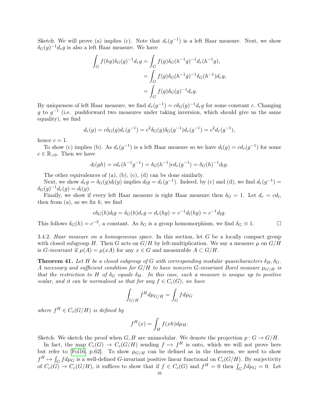Sketch. We will prove (a) implies (c). Note that  $d_r(g^{-1})$  is a left Haar measure. Next, we show  $\delta_G(g)^{-1}d_rg$  is also a left Haar measure. We have

$$
\int_{G} f(hg)\delta_{G}(g)^{-1}d_{r}g = \int_{G} f(g)\delta_{G}(h^{-1}g)^{-1}d_{r}(h^{-1}g),
$$
  

$$
= \int_{G} f(g)\delta_{G}(h^{-1}g)^{-1}\delta_{G}(h^{-1})d_{r}g,
$$
  

$$
= \int_{G} f(g)\delta_{G}(g)^{-1}d_{r}g.
$$

By uniqueness of left Haar measure, we find  $d_r(g^{-1}) = c \delta_G(g)^{-1} d_r g$  for some constant c. Changing g to  $g^{-1}$  (i.e. pushforward two measures under taking inversion, which should give us the same equality), we find

$$
d_r(g) = c\delta_G(g)d_r(g^{-1}) = c^2 \delta_G(g)\delta_G(g^{-1})d_r(g^{-1}) = c^2 d_r(g^{-1}),
$$

hence  $c = 1$ .

To show (c) implies (b). As  $d_r(g^{-1})$  is a left Haar measure so we have  $d_l(g) = cd_r(g^{-1})$  for some  $c \in \mathbb{R}_{>0}$ . Then we have

$$
d_l(gh) = cd_r(h^{-1}g^{-1}) = \delta_G(h^{-1})cd_r(g^{-1}) = \delta_G(h)^{-1}dg.
$$

The other equivalences of (a), (b), (c), (d) can be done similarly.

Next, we show  $d_r g = \delta_G(g) d_l(g)$  implies  $d_l g = d_r(g^{-1})$ . Indeed, by (c) and (d), we find  $d_r(g^{-1}) =$  $\delta_G(g)^{-1}d_r(g) = d_l(g).$ 

Finally, we show if every left Haar measure is right Haar measure then  $\delta_G = 1$ . Let  $d_r = cd_l$ , then from  $(a)$ , as we fix h, we find

$$
c\delta_G(h)dy = \delta_G(h)d_rg = d_r(hg) = c^{-1}d_l(hg) = c^{-1}d_lg.
$$

This follows  $\delta_G(h) = c^{-2}$ , a constant. As  $\delta_G$  is a group homomorphism, we find  $\delta_G \equiv 1$ .

<span id="page-15-0"></span>3.4.2. Haar measure on a homogeneous space. In this section, let G be a locally compact group with closed subgroup H. Then G acts on  $G/H$  by left-multiplication. We say a measure  $\mu$  on  $G/H$ is *G*-invariant if  $\mu(A) = \mu(xA)$  for any  $x \in G$  and measurable  $A \subset G/H$ .

**Theorem 41.** Let H be a closed subgroup of G with corresponding modular quasicharacters  $\delta_H$ ,  $\delta_G$ . A necessary and sufficient condition for  $G/H$  to have nonzero G-invariant Borel measure  $\mu_{G/H}$  is that the restriction to H of  $\delta_G$  equals  $\delta_H$ . In this case, such a measure is unique up to positive scalar, and it can be normalised so that for any  $f \in C_c(G)$ , we have

$$
\int_{G/H} f^H d\mu_{G/H} = \int_G f d\mu_G
$$

where  $f^H \in C_c(G/H)$  is defined by

$$
f^{H}(x) = \int_{H} f(xh) d\mu_{H}.
$$

Sketch. We sketch the proof when  $G, H$  are unimodular. We denote the projection  $p : G \to G/H$ .

In fact, the map  $C_c(G) \rightarrow C_c(G/H)$  sending  $f \mapsto f^H$  is onto, which we will not prove here but refer to [\[Fol16,](#page-69-12) p.62]. To show  $\mu_{G/H}$  can be defined as in the theorem, we need to show  $f^H \mapsto \int_G f d\mu_G$  is a well-defined G-invariant positive linear functional on  $C_c(G/H)$ . By surjectivity of  $C_c(G) \to C_c(G/H)$ , it suffices to show that if  $f \in C_c(G)$  and  $f^H = 0$  then  $\int_G f d\mu_G = 0$ . Let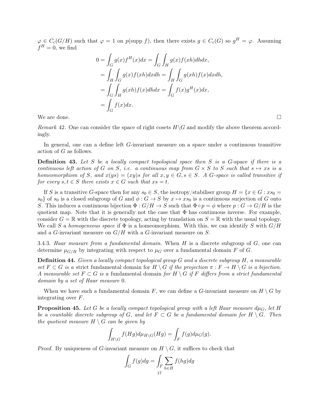$\varphi \in C_c(G/H)$  such that  $\varphi = 1$  on  $p(\text{supp } f)$ , then there exists  $g \in C_c(G)$  so  $g^H = \varphi$ . Assuming  $f^H=0$ , we find

$$
0 = \int_G g(x)f^H(x)dx = \int_G \int_H g(x)f(xh)dhdx,
$$
  
= 
$$
\int_H \int_G g(x)f(xh)dxdh = \int_H \int_G g(xh)f(x)dxdh,
$$
  
= 
$$
\int_G \int_H g(xh)f(x)dhdx = \int_G f(x)g^H(x)dx,
$$
  
= 
$$
\int_G f(x)dx.
$$

We are done.  $\square$ 

Remark 42. One can consider the space of right cosets  $H\backslash G$  and modify the above theorem accordingly.

In general, one can a define left G-invariant measure on a space under a continuous transitive action of G as follows.

**Definition 43.** Let S be a locally compact topological space then S is a G-space if there is a continuous left action of G on S, i.e. a continuous map from  $G \times S$  to S such that  $s \mapsto xs$  is a homeomorphism of S, and  $x(ys) = (xy)s$  for all  $x, y \in G$ ,  $s \in S$ . A G-space is called transitive if for every  $s, t \in S$  there exists  $x \in G$  such that  $xs = t$ .

If S is a transitive G-space then for any  $s_0 \in S$ , the isotropy/stabiliser group  $H = \{x \in G : xs_0 =$  $s_0$  of  $s_0$  is a closed subgroup of G and  $\phi : G \to S$  by  $x \mapsto xs_0$  is a continuous surjection of G onto S. This induces a continuous bijection  $\Phi: G/H \to S$  such that  $\Phi \circ p = \phi$  where  $p: G \to G/H$  is the quotient map. Note that it is generally not the case that  $\Phi$  has continuous inverse. For example, consider  $G = \mathbb{R}$  with the discrete topology, acting by translation on  $S = \mathbb{R}$  with the usual topology. We call S a homogeneous space if  $\Phi$  is a homeomorphism. With this, we can identify S with  $G/H$ and a G-invariant measure on  $G/H$  with a G-invariant measure on S.

3.4.3. Haar measure from a fundamental domain. When  $H$  is a discrete subgroup of  $G$ , one can determine  $\mu_{G/H}$  by integrating with respect to  $\mu_G$  over a fundamental domain F of G.

Definition 44. Given a locally compact topological group G and a discrete subgroup H, a measurable set  $F \subset G$  is a strict fundamental domain for  $H \setminus G$  if the projection  $\pi : F \to H \setminus G$  is a bijection. A measurable set  $F \subset G$  is a fundamental domain for  $H \setminus G$  if F differs from a strict fundamental domain by a set of Haar measure 0.

When we have such a fundamental domain F, we can define a G-invariant measure on  $H \setminus G$  by integrating over F.

**Proposition 45.** Let G be a locally compact topological group with a left Haar measure  $d\mu_G$ , let H be a countable discrete subgroup of G, and let  $F \subset G$  be a fundamental domain for  $H \setminus G$ . Then the quotient measure  $H \setminus G$  can be given by

$$
\int_{H\backslash G} f(Hg)d\mu_{H\backslash G}(Hg) = \int_{F} f(g)d\mu_G(g).
$$

Proof. By uniqueness of G-invariant measure on  $H \setminus G$ , it suffices to check that

$$
\int_G f(g) dg = \int_F \sum_{h \in H} f(hg) dg
$$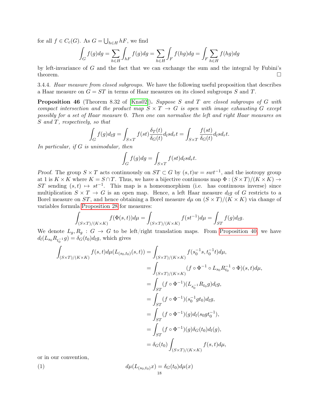for all  $f \in C_c(G)$ . As  $G = \bigcup_{h \in H} hF$ , we find

$$
\int_G f(g) dg = \sum_{h \in H} \int_{hF} f(g) dg = \sum_{h \in H} \int_F f(hg) dg = \int_F \sum_{h \in H} f(hg) dg
$$

by left-invariance of  $G$  and the fact that we can exchange the sum and the integral by Fubini's theorem.  $\square$ 

3.4.4. Haar measure from closed subgroups. We have the following useful proposition that describes a Haar measure on  $G = ST$  in terms of Haar measures on its closed subgroups S and T.

**Proposition 46** (Theorem 8.32 of [\[Kna02\]](#page-69-13)). Suppose S and T are closed subgroups of G with compact intersection and the product map  $S \times T \rightarrow G$  is open with image exhausting G except possibly for a set of Haar measure 0. Then one can normalise the left and right Haar measures on S and T, respectively, so that

$$
\int_G f(g) d\mu g = \int_{S \times T} f(st) \frac{\delta_T(t)}{\delta_G(t)} d\mu s d\mu t = \int_{S \times T} \frac{f(st)}{\delta_G(t)} d\mu s d\mu t.
$$

In particular, if G is unimodular, then

$$
\int_G f(g) dg = \int_{S \times T} f(st) d_l s d_r t.
$$

Proof. The group  $S \times T$  acts continuously on  $ST \subset G$  by  $(s,t)w = swt^{-1}$ , and the isotropy group at 1 is  $K \times K$  where  $K = S \cap T$ . Thus, we have a bijective continuous map  $\Phi : (S \times T)/(K \times K) \rightarrow$ ST sending  $(s, t) \mapsto st^{-1}$ . This map is a homeomorphism (i.e. has continuous inverse) since multiplication  $S \times T \to G$  is an open map. Hence, a left Haar measure  $d_l g$  of G restricts to a Borel measure on ST, and hence obtaining a Borel measure  $d\mu$  on  $(S \times T)/(K \times K)$  via change of variables formula [Proposition 28](#page-12-3) for measures:

$$
\int_{(S\times T)/(K\times K)} f(\Phi(s,t))d\mu = \int_{(S\times T)/(K\times K)} f(st^{-1})d\mu = \int_{ST} f(g)d_lg.
$$

We denote  $L_g, R_g : G \to G$  to be left/right translation maps. From [Proposition 40,](#page-14-1) we have  $d_l(L_{s_0}R_{t_0^{-1}}g) = \delta_G(t_0)d_lg$ , which gives

$$
\int_{(S\times T)/(K\times K)} f(s,t)d\mu(L_{(s_0,t_0)}(s,t)) = \int_{(S\times T)/(K\times K)} f(s_0^{-1}s, t_0^{-1}t)d\mu,
$$
\n
$$
= \int_{(S\times T)/(K\times K)} (f \circ \Phi^{-1} \circ L_{s_0} R_{t_0}^{-1} \circ \Phi)(s,t)d\mu,
$$
\n
$$
= \int_{ST} (f \circ \Phi^{-1})(L_{s_0^{-1}} R_{t_0} g) d_l g,
$$
\n
$$
= \int_{ST} (f \circ \Phi^{-1})(s_0^{-1}gt_0) d_l g,
$$
\n
$$
= \int_{ST} (f \circ \Phi^{-1})(g) d_l (s_0gt_0^{-1}),
$$
\n
$$
= \int_{ST} (f \circ \Phi^{-1})(g) \delta_G(t_0) d_l (g),
$$
\n
$$
= \delta_G(t_0) \int_{(S\times T)/(K\times K)} f(s,t)d\mu,
$$

or in our convention,

<span id="page-17-0"></span>(1) 
$$
d\mu(L_{(s_0,t_0)}x) = \delta_G(t_0)d\mu(x)
$$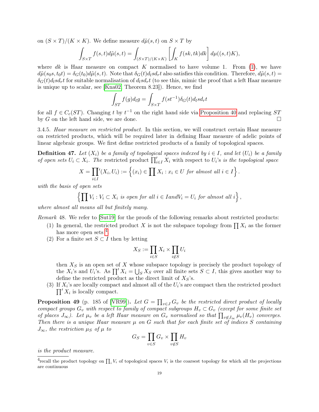on  $(S \times T)/(K \times K)$ . We define measure  $d\tilde{\mu}(s,t)$  on  $S \times T$  by

$$
\int_{S\times T} f(s,t)d\tilde{\mu}(s,t) = \int_{(S\times T)/(K\times K)} \left[ \int_K f(sk, tk)dk \right] d\mu((s,t)K),
$$

where dk is Haar measure on compact K normalised to have volume 1. From  $(1)$ , we have  $d\tilde{\mu}(s_0s, t_0t) = \delta_G(t_0)d\tilde{\mu}(s, t)$ . Note that  $\delta_G(t)d_lsd_rt$  also satisfies this condition. Therefore,  $d\tilde{\mu}(s, t)$  $\delta_G(t)$ d<sub>1</sub>sd<sub>r</sub>t for suitable normalisation of  $d_l s d_r t$  (to see this, mimic the proof that a left Haar measure is unique up to scalar, see [\[Kna02,](#page-69-13) Theorem 8.23]). Hence, we find

$$
\int_{ST} f(g) d_l g = \int_{S \times T} f(st^{-1}) \delta_G(t) d_l s d_r t
$$

for all  $f \in C_c(ST)$ . Changing t by  $t^{-1}$  on the right hand side via [Proposition 40](#page-14-1) and replacing ST by G on the left hand side, we are done.

3.4.5. Haar measure on restricted product. In this section, we will construct certain Haar measure on restricted products, which will be required later in defining Haar measure of adelic points of linear algebraic groups. We first define restricted products of a family of topological spaces.

**Definition 47.** Let  $(X_i)$  be a family of topological spaces indexed by  $i \in I$ , and let  $(U_i)$  be a family of open sets  $U_i \subset X_i$ . The restricted product  $\prod_{i\in I} X_i$  with respect to  $U_i$ 's is the topological space

$$
X = \prod_{i \in I} ' (X_i, U_i) := \left\{ (x_i) \in \prod X_i : x_i \in U \text{ for almost all } i \in I \right\}.
$$

with the basis of open sets

$$
\left\{ \prod V_i : V_i \subset X_i \text{ is open for all } i \in \text{land } V_i = U_i \text{ for almost all } i \right\},\
$$

where almost all means all but finitely many.

Remark 48. We refer to [\[Sut19\]](#page-70-5) for the proofs of the following remarks about restricted products:

- (1) In general, the restricted product X is not the subspace topology from  $\prod X_i$  as the former has more open sets <sup>[4](#page-18-0)</sup>.
- (2) For a finite set  $S \subset I$  then by letting

$$
X_S := \prod_{i \in S} X_i \times \prod_{i \notin S} U_i
$$

then  $X<sub>S</sub>$  is an open set of X whose subspace topology is precisely the product topology of the  $X_i$ 's and  $U_i$ 's. As  $\prod' X_i = \bigcup_S X_S$  over all finite sets  $S \subset I$ , this gives another way to define the restricted product as the direct limit of  $X_S$ 's.

(3) If  $X_i$ 's are locally compact and almost all of the  $U_i$ 's are compact then the restricted product  $\prod' X_i$  is locally compact.

**Proposition 49** (p. 185 of [\[VR99\]](#page-70-7)). Let  $G = \prod_{v \in J} G_v$  be the restricted direct product of locally compact groups  $G_v$  with respect to family of compact subgroups  $H_v \subset G_v$  (except for some finite set of places  $J_{\infty}$ ). Let  $\mu_v$  be a left Haar measure on  $G_v$  normalised so that  $\prod_{v \notin J_{\infty}} \mu_v(H_v)$  converges. Then there is a unique Haar measure  $\mu$  on G such that for each finite set of indices S containing  $J_{\infty}$ , the restriction  $\mu_S$  of  $\mu$  to

$$
G_S = \prod_{v \in S} G_v \times \prod_{v \notin S} H_v
$$

is the product measure.

<span id="page-18-0"></span><sup>&</sup>lt;sup>4</sup>recall the product topology on  $\prod_i V_i$  of topological spaces  $V_i$  is the coarsest topology for which all the projections are continuous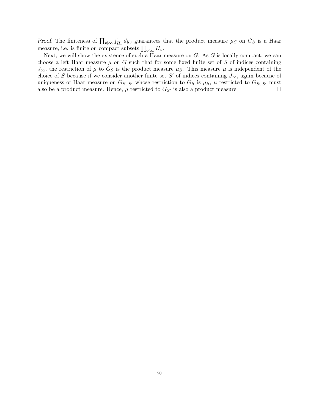Proof. The finiteness of  $\prod_{v \nmid \infty} \int_{H_v} dg_v$  guarantees that the product measure  $\mu_S$  on  $G_S$  is a Haar measure, i.e. is finite on compact subsets  $\prod_{v \nmid \infty} H_v$ .

Next, we will show the existence of such a Haar measure on  $G$ . As  $G$  is locally compact, we can choose a left Haar measure  $\mu$  on G such that for some fixed finite set of S of indices containing  $J_{\infty}$ , the restriction of  $\mu$  to  $G_S$  is the product measure  $\mu_S$ . This measure  $\mu$  is independent of the choice of S because if we consider another finite set S' of indices containing  $J_{\infty}$ , again because of uniqueness of Haar measure on  $G_{S\cup S}$  whose restriction to  $G_S$  is  $\mu_S$ ,  $\mu$  restricted to  $G_{S\cup S}$  must also be a product measure. Hence,  $\mu$  restricted to  $G_{S'}$  is also a product measure.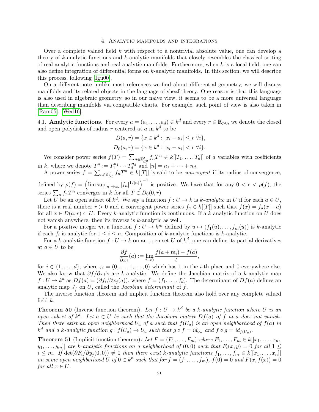#### 4. Analytic manifolds and integrations

<span id="page-20-0"></span>Over a complete valued field  $k$  with respect to a nontrivial absolute value, one can develop a theory of  $k$ -analytic functions and  $k$ -analytic manifolds that closely resembles the classical setting of real analytic functions and real analytic manifolds. Furthermore, when  $k$  is a local field, one can also define integration of differential forms on k-analytic manifolds. In this section, we will describe this process, following [\[Igu00\]](#page-69-15).

On a different note, unlike most references we find about differential geometry, we will discuss manifolds and its related objects in the language of sheaf theory. One reason is that this language is also used in algebraic geometry, so in our naive view, it seems to be a more universal language than describing manifolds via compatible charts. For example, such point of view is also taken in [\[Ram05\]](#page-70-8), [\[Wed16\]](#page-70-9).

<span id="page-20-1"></span>4.1. Analytic functions. For every  $a = (a_1, \ldots, a_d) \in k^d$  and every  $r \in \mathbb{R}_{>0}$ , we denote the closed and open polydisks of radius r centered at a in  $k^d$  to be

$$
D(a,r) = \{x \in k^d : |x_i - a_i| \le r \,\forall i\},\
$$
  

$$
D_0(a,r) = \{x \in k^d : |x_i - a_i| < r \,\forall i\}.
$$

We consider power series  $f(T) = \sum_{n \in \mathbb{Z}_{\geq 0}^d} f_n T^n \in k[[T_1, \ldots, T_d]]$  of d variables with coefficients in k, where we denote  $\underline{T}^n := T_1^{n_1} \cdots T_d^{n_d}$  and  $|n| = n_1 + \cdots + n_d$ .

A power series  $f = \sum_{n \in \mathbb{Z}_{\geq 0}^d} f_n T^n \in k[[T]]$  is said to be *convergent* if its radius of convergence, defined by  $\rho(f) = \left(\limsup_{|n| \to \infty} |f_n|^{1/|n|}\right)^{-1}$  is positive. We have that for any  $0 < r < \rho(f)$ , the

series  $\sum_n f_n T^n$  converges in k for all  $T \in D_0(0, r)$ .

Let U be an open subset of  $k^d$ . We say a function  $f: U \to k$  is k-analytic in U if for each  $a \in U$ , there is a real number  $r > 0$  and a convergent power series  $f_a \in k[[T]]$  such that  $f(x) = f_a(x - a)$ for all  $x \in D(a, r) \subset U$ . Every k-analytic function is continuous. If a k-analytic function on U does not vanish anywhere, then its inverse is k-analytic as well.

For a positive integer m, a function  $f: U \to k^m$  defined by  $u \mapsto (f_1(u), \ldots, f_m(u))$  is k-analytic if each  $f_i$  is analytic for  $1 \leq i \leq n$ . Composition of k-analytic functions is k-analytic.

For a k-analytic function  $f: U \to k$  on an open set U of  $k^d$ , one can define its partial derivatives at  $a \in U$  to be

$$
\frac{\partial f}{\partial x_i}(a) := \lim_{t \to 0} \frac{f(a + t\varepsilon_i) - f(a)}{t},
$$

for  $i \in \{1, \ldots, d\}$ , where  $\varepsilon_i = (0, \ldots, 1, \ldots, 0)$  which has 1 in the *i*-th place and 0 everywhere else. We also know that  $\partial f/\partial x_i$ 's are k-analytic. We define the Jacobian matrix of a k-analytic map  $f: U \to k^d$  as  $Df(a) = (\partial f_i/\partial x_j(a))$ , where  $f = (f_1, \ldots, f_d)$ . The determinant of  $Df(a)$  defines an analytic map  $J_f$  on U, called the Jacobian determinant of f.

The inverse function theorem and implicit function theorem also hold over any complete valued field  $k$ .

**Theorem 50** (Inverse function theorem). Let  $f: U \to k^d$  be a k-analytic function where U is an open subset of  $k^d$ . Let  $a \in U$  be such that the Jacobian matrix  $Df(a)$  of f at a does not vanish. Then there exist an open neighborhood  $U_a$  of a such that  $f(U_a)$  is an open neighborhood of  $f(a)$  in  $k^d$  and a k-analytic function  $g: f(U_a) \to U_a$  such that  $g \circ f = id_{U_a}$  and  $f \circ g = id_{f(U_a)}$ .

**Theorem 51** (Implicit function theorem). Let  $F = (F_1, \ldots, F_m)$  where  $F_1, \ldots, F_m \in k[[x_1, \ldots, x_n,$  $[y_1, \ldots, y_m]]$  are k-analytic functions on a neighborhood of  $(0, 0)$  such that  $F_i(x, y) = 0$  for all  $1 \leq$  $i \leq m$ . If  $\det(\partial F_i/\partial y_j(0,0)) \neq 0$  then there exist k-analytic functions  $f_1, \ldots, f_m \in k[[x_1, \ldots, x_n]]$ on some open neighborhood U of  $0 \in k^n$  such that for  $f = (f_1, \ldots, f_m)$ ,  $f(0) = 0$  and  $F(x, f(x)) = 0$ for all  $x \in U$ .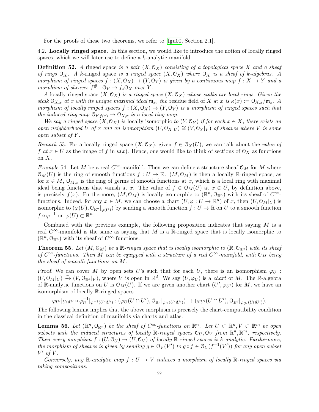For the proofs of these two theorems, we refer to [\[Igu00,](#page-69-15) Section 2.1].

<span id="page-21-0"></span>4.2. Locally ringed space. In this section, we would like to introduce the notion of locally ringed spaces, which we will later use to define a k-analytic manifold.

**Definition 52.** A ringed space is a pair  $(X, \mathcal{O}_X)$  consisting of a topological space X and a sheaf of rings  $\mathcal{O}_X$ . A k-ringed space is a ringed space  $(X, \mathcal{O}_X)$  where  $\mathcal{O}_X$  is a sheaf of k-algebras. A morphism of ringed spaces  $f : (X, \mathcal{O}_X) \to (Y, \mathcal{O}_Y)$  is given by a continuous map  $f : X \to Y$  and a morphism of sheaves  $f^{\#}: \mathcal{O}_Y \to f_*\mathcal{O}_X$  over Y.

A locally ringed space  $(X, \mathcal{O}_X)$  is a ringed space  $(X, \mathcal{O}_X)$  whose stalks are local rings. Given the stalk  $\mathcal{O}_{X,x}$  at x with its unique maximal ideal  $\mathfrak{m}_x$ , the residue field of X at x is  $\kappa(x) := \mathcal{O}_{X,x}/\mathfrak{m}_x$ . A morphism of locally ringed spaces  $f : (X, \mathcal{O}_X) \to (Y, \mathcal{O}_Y)$  is a morphism of ringed spaces such that the induced ring map  $\mathcal{O}_{Y, f(x)} \to \mathcal{O}_{X, x}$  is a local ring map.

We say a ringed space  $(X, \mathcal{O}_X)$  is locally isomorphic to  $(Y, \mathcal{O}_Y)$  if for each  $x \in X$ , there exists an open neighborhood U of x and an isomorphism  $(U, \mathcal{O}_X|_U) \cong (V, \mathcal{O}_Y|_V)$  of sheaves where V is some open subset of Y .

Remark 53. For a locally ringed space  $(X, \mathcal{O}_X)$ , given  $f \in \mathcal{O}_X(U)$ , we can talk about the *value of* f at  $x \in U$  as the image of f in  $\kappa(x)$ . Hence, one would like to think of sections of  $\mathcal{O}_X$  as functions on  $X$ .

Example 54. Let M be a real  $C^{\infty}$ -manifold. Then we can define a structure sheaf  $\mathcal{O}_M$  for M where  $\mathcal{O}_M(U)$  is the ring of smooth functions  $f: U \to \mathbb{R}$ .  $(M, \mathcal{O}_M)$  is then a locally  $\mathbb{R}$ -ringed space, as for  $x \in M$ ,  $\mathcal{O}_{M,x}$  is the ring of germs of smooth functions at x, which is a local ring with maximal ideal being functions that vanish at x. The value of  $f \in \mathcal{O}_M(U)$  at  $x \in U$ , by definition above, is precisely  $f(x)$ . Furthermore,  $(M, \mathcal{O}_M)$  is locally isomorphic to  $(\mathbb{R}^n, \mathcal{O}_{\mathbb{R}^n})$  with its sheaf of  $C^{\infty}$ . functions. Indeed, for any  $x \in M$ , we can choose a chart  $(U, \varphi : U \to \mathbb{R}^n)$  of x, then  $(U, \mathcal{O}_M|_U)$  is isomorphic to  $(\varphi(U), \mathbb{O}_{\mathbb{R}^n}|_{\varphi(U)})$  by sending a smooth function  $f: U \to \mathbb{R}$  on U to a smooth function  $f \circ \varphi^{-1}$  on  $\varphi(U) \subset \mathbb{R}^n$ .

Combined with the previous example, the following proposition indicates that saying  $M$  is a real  $C^{\infty}$ -manifold is the same as saying that M is a R-ringed space that is locally isomorphic to  $(\mathbb{R}^n, \mathcal{O}_{\mathbb{R}^n})$  with its sheaf of  $C^{\infty}$ -functions.

<span id="page-21-1"></span>**Theorem 55.** Let  $(M, \mathcal{O}_M)$  be a R-ringed space that is locally isomorphic to  $(\mathbb{R}, \mathcal{O}_{\mathbb{R}^d})$  with its sheaf of  $C^{\infty}$ -functions. Then M can be equipped with a structure of a real  $C^{\infty}$ -manifold, with  $\mathcal{O}_M$  being the sheaf of smooth functions on M.

Proof. We can cover M by open sets U's such that for each U, there is an isomorphism  $\varphi_U$ :  $(U, \mathcal{O}_M|_U) \stackrel{\sim}{\to} (V, \mathcal{O}_{\mathbb{R}^d}|_V)$ , where V is open in  $\mathbb{R}^d$ . We say  $(U, \varphi_U)$  is a *chart* of M. The R-algebra of R-analytic functions on U is  $\mathcal{O}_M(U)$ . If we are given another chart  $(U', \varphi_{U'})$  for M, we have an isomorphism of locally R-ringed spaces

 $\varphi_{U'}|_{U\cap U'}\circ \varphi_{U}^{-1}$  $\bigcup_{U}^{-1}|_{\varphi^{-1}(U\cap U')}:(\varphi_{U}(U\cap U'),\mathbb{O}_{\mathbb{R}^d}|_{\varphi_{U}(U\cap U')})\to(\varphi_{U'}(U\cap U'),\mathbb{O}_{\mathbb{R}^d}|_{\varphi_{U'}(U\cap U')}).$ 

The following lemma implies that the above morphism is precisely the chart-compatibility condition in the classical definition of manifolds via charts and atlas.

**Lemma 56.** Let  $(\mathbb{R}^n, \mathbb{O}_{\mathbb{R}^n})$  be the sheaf of  $C^{\infty}$ -functions on  $\mathbb{R}^n$ . Let  $U \subset \mathbb{R}^n$ ,  $V \subset \mathbb{R}^m$  be open subsets with the induced structures of locally  $\mathbb{R}\text{-ringed spaces } \mathcal{O}_U, \mathcal{O}_V$  from  $\mathbb{R}^n, \mathbb{R}^m$ , respectively. Then every morphism  $f:(U, \mathcal{O}_U) \to (U, \mathcal{O}_V)$  of locally  $\mathbb{R}$ -ringed spaces is k-analytic. Furthermore, the morphism of sheaves is given by sending  $g \in \mathcal{O}_V(V')$  to  $g \circ f \in \mathcal{O}_U(f^{-1}(V'))$  for any open subset  $V'$  of V.

Conversely, any R-analytic map  $f: U \to V$  induces a morphism of locally R-ringed spaces via taking compositions.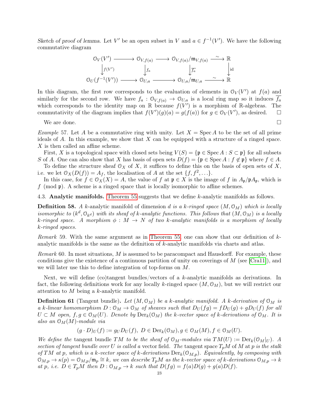Sketch of proof of lemma. Let V' be an open subset in V and  $a \in f^{-1}(V')$ . We have the following commutative diagram

$$
\begin{array}{ccc}\n\mathbb{O}_V(V') \longrightarrow & \mathbb{O}_{V,f(a)} \longrightarrow & \mathbb{O}_{V,f(a)}/\mathfrak{m}_{V,f(a)} \longrightarrow & \mathbb{R} \\
\downarrow f(V') & \downarrow f_a & \downarrow \overline{f_a} & \downarrow id \\
\mathbb{O}_U(f^{-1}(V')) \longrightarrow & \mathbb{O}_{U,a} \longrightarrow & \mathbb{O}_{U,a}/\mathfrak{m}_{U,a} \longrightarrow & \mathbb{R}\n\end{array}
$$

In this diagram, the first row corresponds to the evaluation of elements in  $\mathcal{O}_V(V')$  at  $f(a)$  and similarly for the second row. We have  $f_a: \mathcal{O}_{V,f(a)} \to \mathcal{O}_{U,a}$  is a local ring map so it induces  $f_a$ which corresponds to the identity map on R because  $f(V')$  is a morphism of R-algebras. The commutativity of the diagram implies that  $f(V')(g)(a) = g(f(a))$  for  $g \in \mathcal{O}_V(V')$ , as desired.  $\Box$ 

We are done.

*Example* 57. Let A be a commutative ring with unity. Let  $X = \text{Spec } A$  to be the set of all prime ideals of A. In this example, we show that  $X$  can be equipped with a structure of a ringed space. X is then called an affine scheme.

First, X is a topological space with closed sets being  $V(S) = {\mathfrak{p} \in \operatorname{Spec} A : S \subset \mathfrak{p}}$  for all subsets S of A. One can also show that X has basis of open sets  $D(f) = {\mathfrak{p} \in \operatorname{Spec} A : f \notin \mathfrak{p}}$  where  $f \in A$ .

To define the structure sheaf  $\mathcal{O}_X$  of X, it suffices to define this on the basis of open sets of X, i.e. we let  $\mathcal{O}_X(D(f)) = A_f$ , the localisation of A at the set  $\{f, f^2, \ldots\}$ .

In this case, for  $f \in \mathcal{O}_X(X) = A$ , the value of f at  $\mathfrak{p} \in X$  is the image of f in  $A_{\mathfrak{p}}/\mathfrak{p}A_{\mathfrak{p}}$ , which is f (mod  $\mathfrak{p}$ ). A scheme is a ringed space that is locally isomorphic to affine schemes.

<span id="page-22-0"></span>4.3. Analytic manifolds. [Theorem 55](#page-21-1) suggests that we define k-analytic manifolds as follows.

**Definition 58.** A k-analytic manifold of dimension d is a k-ringed space  $(M, \mathcal{O}_M)$  which is locally isomorphic to  $(k^d, \mathcal{O}_{k^d})$  with its sheaf of k-analytic functions. This follows that  $(M, \mathcal{O}_M)$  is a locally k-ringed space. A morphism  $\phi : M \to N$  of two k-analytic manifolds is a morphism of locally k-ringed spaces.

Remark 59. With the same argument as in [Theorem 55,](#page-21-1) one can show that our definition of kanalytic manifolds is the same as the definition of k-analytic manifolds via charts and atlas.

*Remark* 60. In most situations,  $M$  is assumed to be paracompact and Hausdorff. For example, these conditions give the existence of a continuous partition of unity on coverings of  $M$  (see [\[Cra11\]](#page-69-16)), and we will later use this to define integration of top-forms on M.

Next, we will define (co)tangent bundles/vectors of a k-analytic manifolds as derivations. In fact, the following definitions work for any locally k-ringed space  $(M, \mathcal{O}_M)$ , but we will restrict our attention to M being a k-analytic manifold.

**Definition 61** (Tangent bundle). Let  $(M, \mathcal{O}_M)$  be a k-analytic manifold. A k-derivation of  $\mathcal{O}_M$  is a k-linear homomorphism  $D: \mathcal{O}_M \to \mathcal{O}_M$  of sheaves such that  $D_U(fg) = fD_U(g) + gD_U(f)$  for all  $U \subset M$  open,  $f, g \in \mathcal{O}_M(U)$ . Denote by  $Der_k(\mathcal{O}_M)$  the k-vector space of k-derivations of  $\mathcal{O}_M$ . It is also an  $\mathfrak{O}_M(M)$ -module via

$$
(g \cdot D)_U(f) := g_U D_U(f), D \in \text{Der}_k(\mathcal{O}_M), g \in \mathcal{O}_M(M), f \in \mathcal{O}_M(U).
$$

We define the tangent bundle TM to be the sheaf of  $\mathfrak{O}_M$ -modules via  $TM(U) := \text{Der}_k(\mathfrak{O}_M|_U)$ . A section of tangent bundle over U is called a vector field. The tangent space  $T_pM$  of M at p is the stalk of TM at p, which is a k-vector space of k-derivations  $Der_k(\mathcal{O}_{M,p})$ . Equivalently, by composing with  $\mathcal{O}_{M,p} \to \kappa(p) = \mathcal{O}_{M,p}/\mathfrak{m}_p \cong k$ , we can describe  $T_pM$  as the k-vector space of k-derivations  $\mathcal{O}_{M,p} \to k$ at p, i.e.  $D \in T_pM$  then  $D: \mathcal{O}_{M,p} \to k$  such that  $D(fg) = f(a)D(g) + g(a)D(f)$ .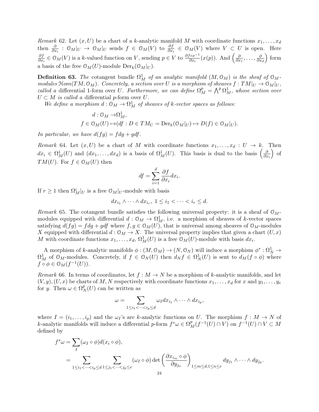Remark 62. Let  $(x, U)$  be a chart of a k-analytic manifold M with coordinate functions  $x_1, \ldots, x_d$ then  $\frac{\partial}{\partial x_i}: \mathcal{O}_M|_U \to \mathcal{O}_M|_U$  sends  $f \in \mathcal{O}_M(V)$  to  $\frac{\partial f}{\partial x_i} \in \mathcal{O}_M(V)$  where  $V \subset U$  is open. Here ∂f  $\frac{\partial f}{\partial x_i} \in \mathcal{O}_M(V)$  is a k-valued function on V, sending  $p \in V$  to  $\frac{\partial f \circ x^{-1}}{\partial x_i}(x(p))$ . And  $\left(\frac{\partial f}{\partial x_i}(x(p))\right)^2$  $\frac{\partial}{\partial x_1},\ldots,\frac{\partial}{\partial x_n}$  $\partial x_d$  $\binom{6}{1}$ a basis of the free  $\mathcal{O}_M(U)$ -module  $\text{Der}_k(\mathcal{O}_M|_U)$ .

**Definition 63.** The cotangent bundle  $\Omega_M^1$  of an analytic manifold  $(M, \mathcal{O}_M)$  is the sheaf of  $\mathcal{O}_M$ modules  $\mathfrak{Hom}(TM, \mathcal{O}_M)$ . Concretely, a section over U is a morphism of sheaves  $f:TM|_U \to \mathcal{O}_M|_U$ , called a differential 1-form over U. Furthermore, we can define  $\Omega_M^p = \bigwedge^p \Omega_M^1$ , whose section over  $U \subset M$  is called a differential p-form over U.

We define a morphism  $d: \mathcal{O}_M \to \Omega^1_M$  of sheaves of k-vector spaces as follows:

$$
d: \mathcal{O}_M \to \Omega^1_M,
$$
  

$$
f \in \mathcal{O}_M(U) \mapsto (df: D \in TM_U = \text{Der}_k(\mathcal{O}_M|_U) \mapsto D(f) \in \mathcal{O}_M|_U).
$$

In particular, we have  $d(fg) = f dg + g df$ .

Remark 64. Let  $(x, U)$  be a chart of M with coordinate functions  $x_1, \ldots, x_d : U \to k$ . Then  $dx_i \in \Omega^1_M(U)$  and  $(dx_1,\ldots, dx_d)$  is a basis of  $\Omega^1_M(U)$ . This basis is dual to the basis  $\left(\frac{\partial^2 u}{\partial x_1},\ldots, \frac{\partial^2 u}{\partial x_d}\right)$  $\partial x_i$  $\int$  of  $TM(U)$ . For  $f \in \mathcal{O}_M(U)$  then

$$
df = \sum_{i=1}^{d} \frac{\partial f}{\partial x_i} dx_i.
$$

If  $r \geq 1$  then  $\Omega_M^i|_U$  is a free  $\mathcal{O}_M|_U$ -module with basis

$$
dx_{i_1} \wedge \cdots \wedge dx_{i_r}, \ 1 \leq i_1 < \cdots < i_r \leq d.
$$

Remark 65. The cotangent bundle satisfies the following universal property: it is a sheaf of  $\mathcal{O}_M$ modules equipped with differential  $d: \mathcal{O}_M \to \Omega^1_M$ , i.e. a morphism of sheaves of k-vector spaces satisfying  $d(fg) = f dg + g df$  where  $f, g \in \mathcal{O}_M(U)$ , that is universal among sheaves of  $\mathcal{O}_M$ -modules X equipped with differential  $d: \mathcal{O}_M \to X$ . The universal property implies that given a chart  $(U, x)$ M with coordinate functions  $x_1, \ldots, x_d$ ,  $\Omega^1_M(U)$  is a free  $\mathcal{O}_M(U)$ -module with basis  $dx_i$ .

A morphism of k-analytic manifolds  $\phi:(M, \mathcal{O}_M) \to (N, \mathcal{O}_N)$  will induce a morphism  $\phi^*: \Omega^1_N \to \Omega^1_N$  $\Omega^1_M$  of  $\mathcal{O}_M$ -modules. Concretely, if  $f \in \mathcal{O}_N(U)$  then  $d_N f \in \Omega^1_N(U)$  is sent to  $d_M(f \circ \phi)$  where  $f \circ \phi \in \mathcal{O}_M(f^{-1}(U)).$ 

Remark 66. In terms of coordinates, let  $f : M \to N$  be a morphism of k-analytic manifolds, and let  $(V, y), (U, x)$  be charts of M, N respectively with coordinate functions  $x_1, \ldots, x_d$  for x and  $y_1, \ldots, y_e$ for y. Then  $\omega \in \Omega^p$  $N<sub>N</sub>(U)$  can be written as

$$
\omega = \sum_{1 \leq i_1 < \dots < i_p \leq d} \omega_I dx_{i_1} \wedge \dots \wedge dx_{i_p},
$$

where  $I = (i_1, \ldots, i_p)$  and the  $\omega_I$ 's are k-analytic functions on U. The morphism  $f : M \to N$  of k-analytic manifolds will induce a differential p-form  $f^*\omega \in \Omega_M^p(f^{-1}(U) \cap V)$  on  $f^{-1}(U) \cap V \subset M$ defined by

$$
f^*\omega = \sum_{I} (\omega_I \circ \phi) d(x_i \circ \phi),
$$
  
= 
$$
\sum_{1 \leq i_1 < \dots < i_p \leq d} \sum_{1 \leq j_1 < \dots < j_p \leq e} (\omega_I \circ \phi) \det \left( \frac{\partial x_{i_m} \circ \phi}{\partial y_{j_n}} \right)_{1 \leq m \leq d, 1 \leq n \leq e} dy_{j_1} \wedge \dots \wedge dy_{j_p}.
$$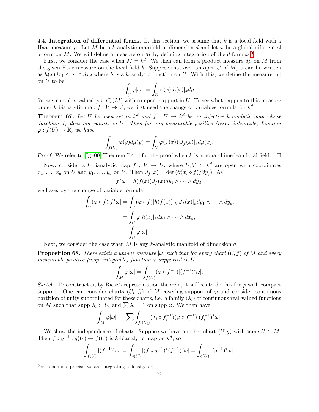<span id="page-24-0"></span>4.4. Integration of differential forms. In this section, we assume that k is a local field with a Haar measure  $\mu$ . Let M be a k-analytic manifold of dimension d and let  $\omega$  be a global differential d-form on M. We will define a measure on M by defining integration of the d-form  $\omega^{5}$  $\omega^{5}$  $\omega^{5}$ .

First, we consider the case when  $M = k^d$ . We then can form a product measure  $d\mu$  on M from the given Haar measure on the local field k. Suppose that over an open U of  $M$ ,  $\omega$  can be written as  $h(x)dx_1 \wedge \cdots \wedge dx_d$  where h is a k-analytic function on U. With this, we define the measure  $|\omega|$ on U to be

$$
\int_U\varphi|\omega|:=\int_U\varphi(x)|h(x)|_kd\mu
$$

for any complex-valued  $\varphi \in C_c(M)$  with compact support in U. To see what happen to this measure under k-bianalytic map  $f: V \to V$ , we first need the change of variables formula for  $k^d$ :

<span id="page-24-2"></span>**Theorem 67.** Let U be open set in  $k^d$  and  $f: U \to k^d$  be an injective k-analytic map whose Jacobian  $J_f$  does not vanish on U. Then for any measurable positive (resp. integrable) function  $\varphi: f(U) \to \mathbb{R}$ , we have

$$
\int_{f(U)} \varphi(y) d\mu(y) = \int_U \varphi(f(x)) |J_f(x)|_k d\mu(x).
$$

Proof. We refer to [\[Igu00,](#page-69-15) Theorem 7.4.1] for the proof when k is a nonarchimedean local field.  $\square$ 

Now, consider a k-bianalytic map  $f: V \to U$ , where  $U, V \subset k^d$  are open with coordinates  $x_1, \ldots, x_d$  on U and  $y_1, \ldots, y_d$  on V. Then  $J_f(x) = \det (\partial (x_i \circ f)/\partial y_i)$ . As

$$
f^*\omega = h(f(x))J_f(x)dy_1 \wedge \cdots \wedge dy_d,
$$

we have, by the change of variable formula

$$
\int_{V} (\varphi \circ f)|f^* \omega| = \int_{V} (\varphi \circ f)|h(f(x))|_{k} |J_f(x)|_{k} dy_1 \wedge \cdots \wedge dy_d,
$$

$$
= \int_{U} \varphi |h(x)|_{k} dx_1 \wedge \cdots \wedge dx_d,
$$

$$
= \int_{U} \varphi |\omega|.
$$

Next, we consider the case when M is any k-analytic manifold of dimension d.

**Proposition 68.** There exists a unique measure  $|\omega|$  such that for every chart  $(U, f)$  of M and every measurable positive (resp. integrable) function  $\varphi$  supported in U,

$$
\int_M \varphi |\omega| = \int_{f(U)} (\varphi \circ f^{-1}) |(f^{-1})^* \omega|.
$$

Sketch. To construct  $\omega$ , by Riesz's representation theorem, it suffices to do this for  $\varphi$  with compact support. One can consider charts  $(U_i, f_i)$  of M covering support of  $\varphi$  and consider continuous partition of unity subordinated for these charts, i.e. a family  $(\lambda_i)$  of continuous real-valued functions on M such that supp  $\lambda_i \subset U_i$  and  $\sum \lambda_i = 1$  on supp  $\varphi$ . We then have

$$
\int_M \varphi|\omega| := \sum_i \int_{f_i(U_i)} (\lambda_i \circ f_i^{-1})(\varphi \circ f_i^{-1})|(f_i^{-1})^*\omega|.
$$

We show the independence of charts. Suppose we have another chart  $(U, g)$  with same  $U \subset M$ . Then  $f \circ g^{-1} : g(U) \to f(U)$  is k-bianalytic map on  $k^d$ , so

$$
\int_{f(U)} |(f^{-1})^* \omega| = \int_{g(U)} |(f \circ g^{-1})^* (f^{-1})^* \omega| = \int_{g(U)} |(g^{-1})^* \omega|.
$$

<span id="page-24-1"></span><sup>&</sup>lt;sup>5</sup>or to be more precise, we are integrating a density  $|\omega|$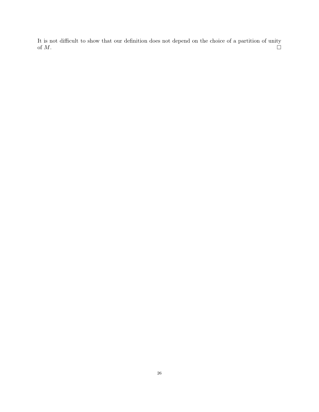It is not difficult to show that our definition does not depend on the choice of a partition of unity of  $M$ .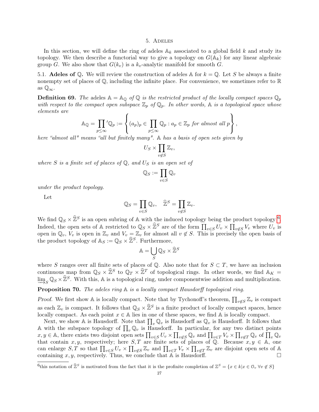#### 5. Adeles

<span id="page-26-0"></span>In this section, we will define the ring of adeles  $A_k$  associated to a global field k and study its topology. We then describe a functorial way to give a topology on  $G(\mathbb{A}_k)$  for any linear algebraic group G. We also show that  $G(k_v)$  is a  $k_v$ -analytic manifold for smooth G.

<span id="page-26-1"></span>5.1. **Adeles of Q.** We will review the construction of adeles A for  $k = Q$ . Let S be always a finite nonempty set of places of  $\mathbb Q$ , including the infinite place. For convenience, we sometimes refer to  $\mathbb R$ as  $\mathbb{Q}_{\infty}$ .

**Definition 69.** The adeles  $A = A_0$  of Q is the restricted product of the locally compact spaces  $\mathbb{Q}_p$ with respect to the compact open subspace  $\mathbb{Z}_p$  of  $\mathbb{Q}_p$ . In other words,  $\mathbb A$  is a topological space whose elements are

$$
\mathbb{A}_{\mathbb{Q}} = \prod_{p \leq \infty} \prime \mathbb{Q}_p := \left\{ (a_p)_p \in \prod_{p \leq \infty} \mathbb{Q}_p : a_p \in \mathbb{Z}_p \text{ for almost all } p \right\},\
$$

here "almost all" means "all but finitely many". A has a basis of open sets given by

$$
U_S \times \prod_{v \notin S} \mathbb{Z}_v,
$$

where S is a finite set of places of  $\mathbb{Q}$ , and  $U_S$  is an open set of

$$
\mathbb{Q}_S:=\prod_{v\in S}\mathbb{Q}_v
$$

under the product topology.

Let

$$
\mathbb{Q}_S = \prod_{v \in S} \mathbb{Q}_v, \quad \widehat{\mathbb{Z}}^S = \prod_{v \notin S} \mathbb{Z}_v.
$$

We find  $\mathbb{Q}_S \times \hat{\mathbb{Z}}^S$  is an open subring of A with the induced topology being the product topology <sup>[6](#page-26-2)</sup>. Indeed, the open sets of A restricted to  $\mathbb{Q}_S \times \hat{\mathbb{Z}}^S$  are of the form  $\prod_{v \in S} U_v \times \prod_{v \notin S} V_v$  where  $U_v$  is open in  $\mathbb{Q}_v$ ,  $V_v$  is open in  $\mathbb{Z}_v$  and  $V_v = \mathbb{Z}_v$  for almost all  $v \notin S$ . This is precisely the open basis of the product topology of  $\mathbb{A}_S := \mathbb{Q}_S \times \widehat{\mathbb{Z}}^S$ . Furthermore,

$$
\mathbb{A} = \bigcup_{S} \mathbb{Q}_S \times \widehat{\mathbb{Z}}^S
$$

where S ranges over all finite sets of places of Q. Also note that for  $S \subset T$ , we have an inclusion continuous map from  $\mathbb{Q}_S \times \hat{\mathbb{Z}}^S$  to  $\mathbb{Q}_T \times \hat{\mathbb{Z}}^T$  of topological rings. In other words, we find  $\mathbb{A}_K =$  $\underline{\lim}_{S} \mathbb{Q}_{S} \times \widehat{\mathbb{Z}}^{S}$ . With this, A is a topological ring, under componentwise addition and multiplication.

**Proposition 70.** The adeles ring A is a locally compact Hausdorff topological ring.

Proof. We first show A is locally compact. Note that by Tychonoff's theorem,  $\prod_{v \notin S} \mathbb{Z}_v$  is compact as each  $\mathbb{Z}_v$  is compact. It follows that  $\mathbb{Q}_S \times \hat{\mathbb{Z}}^S$  is a finite product of locally compact spaces, hence locally compact. As each point  $x \in A$  lies in one of these spaces, we find A is locally compact.

Next, we show A is Hausdorff. Note that  $\prod_v \mathbb{Q}_v$  is Hausdorff as  $\mathbb{Q}_v$  is Hausdorff. It follows that A with the subspace topology of  $\prod_v \mathbb{Q}_v$  is Hausdorff. In particular, for any two distinct points  $x, y \in \mathbb{A}$ , there exists two disjoint open sets  $\prod_{v \in S} U_v \times \prod_{v \notin S} \mathbb{Q}_v$  and  $\prod_{v \in T} V_v \times \prod_{v \notin T} \mathbb{Q}_v$  of  $\prod_{v \in T} \mathbb{Q}_v$ that contain x, y, respectively; here  $S, T$  are finite sets of places of Q. Because  $x, y \in A$ , one can enlarge  $S, T$  so that  $\prod_{v \in S} U_v \times \prod_{v \notin S} \mathbb{Z}_v$  and  $\prod_{v \in T} V_v \times \prod_{v \notin T} \mathbb{Z}_v$  are disjoint open sets of A containing  $x, y$ , respectively. Thus, we conclude that  $A$  is Hausdorff.

<span id="page-26-2"></span><sup>&</sup>lt;sup>6</sup>this notation of  $\hat{\mathbb{Z}}^S$  is motivated from the fact that it is the profinite completion of  $\mathbb{Z}^S = \{x \in k | x \in \mathbb{O}_v \,\forall v \notin S\}$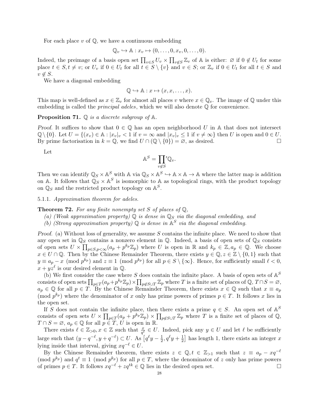For each place  $v$  of  $\mathbb{O}$ , we have a continuous embedding

$$
\mathbb{Q}_v \hookrightarrow \mathbb{A}: x_v \mapsto (0,\ldots,0,x_v,0,\ldots,0).
$$

Indeed, the preimage of a basis open set  $\prod_{v\in S} U_v \times \prod_{v\not\in S} \mathbb{Z}_v$  of A is either:  $\varnothing$  if  $0 \notin U_t$  for some place  $t \in S, t \neq v$ ; or  $U_v$  if  $0 \in U_t$  for all  $t \in S \setminus \{v\}$  and  $v \in S$ ; or  $\mathbb{Z}_v$  if  $0 \in U_t$  for all  $t \in S$  and  $v \notin S$ .

We have a diagonal embedding

$$
\mathbb{Q} \hookrightarrow \mathbb{A}: x \mapsto (x, x, \dots, x).
$$

This map is well-defined as  $x \in \mathbb{Z}_v$  for almost all places v where  $x \in \mathbb{Q}_v$ . The image of  $\mathbb Q$  under this embedding is called the *principal adeles*, which we will also denote  $\mathbb Q$  for convenience.

**Proposition 71.**  $\mathbb Q$  is a discrete subgroup of  $\mathbb A$ .

Proof. It suffices to show that  $0 \in \mathbb{Q}$  has an open neighborhood U in A that does not intersect  $\mathbb{Q}\setminus\{0\}$ . Let  $U = \{(x_v) \in \mathbb{A} : |x_v|_v < 1 \text{ if } v = \infty \text{ and } |x_v|_v \leq 1 \text{ if } v \neq \infty\}$  then U is open and  $0 \in U$ . By prime factorisation in  $k = \mathbb{Q}$ , we find  $U \cap (\mathbb{Q} \setminus \{0\}) = \emptyset$ , as desired.

Let

$$
\mathbb{A}^S = \prod_{v \notin S} \mathbb{Q}_v.
$$

Then we can identify  $\mathbb{Q}_S \times \mathbb{A}^S$  with  $\mathbb{A}$  via  $\mathbb{Q}_S \times \mathbb{A}^S \hookrightarrow \mathbb{A} \times \mathbb{A} \to \mathbb{A}$  where the latter map is addition on A. It follows that  $\mathbb{Q}_S \times \mathbb{A}^S$  is isomorphic to A as topological rings, with the product topology on  $\mathbb{Q}_S$  and the restricted product topology on  $\mathbb{A}^S$ .

5.1.1. Approximation theorem for adeles.

**Theorem 72.** For any finite nonempty set S of places of  $\mathbb{Q}$ ,

- (a) (Weak approximation property)  $\mathbb Q$  is dense in  $\mathbb Q_S$  via the diagonal embedding, and
- (b) (Strong approximation property)  $\mathbb Q$  is dense in  $\mathbb A^S$  via the diagonal embedding.

Proof. (a) Without loss of generality, we assume S contains the infinite place. We need to show that any open set in  $\mathbb{Q}_S$  contains a nonzero element in  $\mathbb{Q}$ . Indeed, a basis of open sets of  $\mathbb{Q}_S$  consists of open sets  $U \times \prod_{p \in S, p < \infty} (a_p + p^{k_p} \mathbb{Z}_p)$  where U is open in R and  $k_p \in \mathbb{Z}, a_p \in \mathbb{Q}$ . We choose  $x \in U \cap \mathbb{Q}$ . Then by the Chinese Remainder Theorem, there exists  $y \in \mathbb{Q}, z \in \mathbb{Z} \setminus \{0,1\}$  such that  $y \equiv a_p - x \pmod{p^{k_p}}$  and  $z \equiv 1 \pmod{p^{k_p}}$  for all  $p \in S \setminus \{\infty\}$ . Hence, for sufficiently small  $\ell < 0$ ,  $x + yz^{\ell}$  is our desired element in Q.

(b) We first consider the case where S does contain the infinite place. A basis of open sets of  $\mathbb{A}^S$ consists of open sets  $\prod_{p\in T}(a_p+p^{k_p}\mathbb{Z}_p)\times \prod_{p\not\in S\cup T}\mathbb{Z}_p$  where T is a finite set of places of  $\mathbb{Q}, T\cap S=\varnothing$ ,  $a_p \in \mathbb{Q}$  for all  $p \in T$ . By the Chinese Remainder Theorem, there exists  $x \in \mathbb{Q}$  such that  $x \equiv a_p$ (mod  $p^{k_p}$ ) where the denominator of x only has prime powers of primes  $p \in T$ . It follows x lies in the open set.

If S does not contain the infinite place, then there exists a prime  $q \in S$ . An open set of  $\mathbb{A}^S$ consists of open sets  $U \times \prod_{p \in T} (a_p + p^{k_p} \mathbb{Z}_p) \times \prod_{p \notin S \cup T} \mathbb{Z}_p$  where T is a finite set of places of Q,  $T \cap S = \emptyset$ ,  $a_p \in \mathbb{Q}$  for all  $p \in T$ , U is open in R.

There exists  $\ell \in \mathbb{Z}_{>0}$ ,  $x \in \mathbb{Z}$  such that  $\frac{x}{q^{\ell}} \in U$ . Indeed, pick any  $y \in U$  and let  $\ell$  be sufficiently large such that  $(y - q^{-\ell}, y + q^{-\ell}) \subset U$ . As  $\lceil q^{\ell} y - \frac{1}{2} \rceil$  $\frac{1}{2}$ ,  $q^{\ell}y + \frac{1}{2}$  $\frac{1}{2}$  has length 1, there exists an integer x lying inside that interval, giving  $xq^{-\ell} \in U$ .

<span id="page-27-0"></span>By the Chinese Remainder theorem, there exists  $z \in \mathbb{Q}, t \in \mathbb{Z}_{>1}$  such that  $z \equiv a_p - xq^{-\ell}$ (mod  $p^{k_p}$ ) and  $q^t \equiv 1 \pmod{p^{k_p}}$  for all  $p \in T$ , where the denominator of z only has prime powers of primes  $p \in T$ . It follows  $xq^{-\ell} + zq^{tk} \in \mathbb{Q}$  lies in the desired open set. □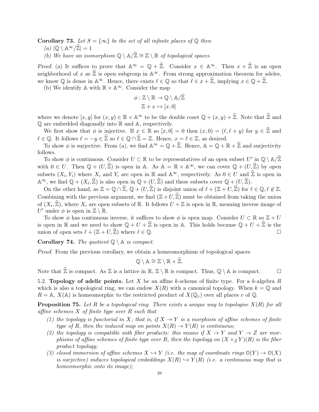**Corollary 73.** Let  $S = \{\infty\}$  be the set of all infinite places of  $\mathbb{O}$  then

- $(a) | \mathbb{Q} \setminus \mathbb{A}^{\infty}/\widehat{\mathbb{Z}}| = 1$
- (b) We have an isomorphism  $\mathbb{Q} \setminus \mathbb{A}/\widehat{\mathbb{Z}} \cong \mathbb{Z} \setminus \mathbb{R}$  of topological spaces.

Proof. (a) It suffices to prove that  $\mathbb{A}^{\infty} = \mathbb{Q} + \hat{\mathbb{Z}}$ . Consider  $x \in \mathbb{A}^{\infty}$ . Then  $x + \hat{\mathbb{Z}}$  is an open neighborhood of x as  $\hat{\mathbb{Z}}$  is open subgroup in A<sup>∞</sup>. From strong approximation theorem for adeles, we know  $\mathbb Q$  is dense in  $\mathbb A^\infty$ . Hence, there exists  $\ell \in \mathbb Q$  so that  $\ell \in x + \widehat{\mathbb Z}$ , implying  $x \in \mathbb Q + \widehat{\mathbb Z}$ .

(b) We identify  $\mathbb{A}$  with  $\mathbb{R} \times \mathbb{A}^{\infty}$ . Consider the map

$$
\phi: \mathbb{Z} \setminus \mathbb{R} \to \mathbb{Q} \setminus \mathbb{A}/\widehat{\mathbb{Z}}
$$

$$
\mathbb{Z} + x \mapsto [x, 0]
$$

where we denote  $[x, y]$  for  $(x, y) \in \mathbb{R} \times \mathbb{A}^{\infty}$  to be the double coset  $\mathbb{Q} + (x, y) + \hat{\mathbb{Z}}$ . Note that  $\hat{\mathbb{Z}}$  and  $\mathbb Q$  are embedded diagonally into  $\mathbb R$  and  $\mathbb A$ , respectively.

We first show that  $\phi$  is injective. If  $x \in \mathbb{R}$  so  $[x, 0] = 0$  then  $(x, 0) = (\ell, \ell + y)$  for  $y \in \mathbb{Z}$  and  $\ell \in \mathbb{Q}$ . It follows  $\ell = -y \in \widehat{\mathbb{Z}}$  so  $\ell \in \mathbb{Q} \cap \widehat{\mathbb{Z}} = \mathbb{Z}$ . Hence,  $x = \ell \in \mathbb{Z}$ , as desired.

To show  $\phi$  is surjective. From (a), we find  $\mathbb{A}^{\infty} = \mathbb{Q} + \widehat{\mathbb{Z}}$ . Hence,  $\mathbb{A} = \mathbb{Q} + \mathbb{R} + \widehat{\mathbb{Z}}$  and surjectivity follows.

To show  $\phi$  is continuous. Consider  $U \subset \mathbb{R}$  to be representatives of an open subset  $U'$  in  $\mathbb{Q} \setminus \mathbb{A}/\mathbb{Z}$ with  $0 \in U$ . Then  $\mathbb{Q} + (U, \widehat{\mathbb{Z}})$  is open in A. As  $\mathbb{A} = \mathbb{R} \times \mathbb{A}^{\infty}$ , we can cover  $\mathbb{Q} + (U, \widehat{\mathbb{Z}})$  by open subsets  $(X_i, Y_i)$  where  $X_i$  and  $Y_i$  are open in  $\mathbb R$  and  $\mathbb A^\infty$ , respectively. As  $0 \in U$  and  $\widehat{\mathbb Z}$  is open in  $\mathbb{A}^{\infty}$ , we find  $\mathbb{Q} + (X_i, \widehat{\mathbb{Z}})$  is also open in  $\mathbb{Q} + (U, \widehat{\mathbb{Z}})$  and these subsets cover  $\mathbb{Q} + (U, \widehat{\mathbb{Z}})$ .

On the other hand, as  $\mathbb{Z} = \mathbb{Q} \cap \widehat{\mathbb{Z}}$ ,  $\mathbb{Q} + (U, \widehat{\mathbb{Z}})$  is disjoint union of  $\ell + (\mathbb{Z} + U, \widehat{\mathbb{Z}})$  for  $\ell \in \mathbb{Q}$ ,  $\ell \notin \mathbb{Z}$ . Combining with the previous argument, we find  $(\mathbb{Z}+U,\widehat{\mathbb{Z}})$  must be obtained from taking the union of  $(X_i, \widehat{\mathbb{Z}})$ , where  $X_i$  are open subsets of R. It follows  $U + \mathbb{Z}$  is open in R, meaning inverse image of U' under  $\phi$  is open in  $\mathbb{Z}\setminus\mathbb{R}$ .

To show  $\phi$  has continuous inverse, it suffices to show  $\phi$  is open map. Consider  $U \subset \mathbb{R}$  so  $\mathbb{Z} + U$ is open in R and we need to show  $\mathbb{Q} + U + \widehat{\mathbb{Z}}$  is open in A. This holds because  $\mathbb{Q} + U + \widehat{\mathbb{Z}}$  is the union of open sets  $\ell + (\mathbb{Z} + U, \widehat{\mathbb{Z}})$  where  $\ell \in \mathbb{Q}$ . union of open sets  $\ell + (\mathbb{Z} + U, \widehat{\mathbb{Z}})$  where  $\ell \in \mathbb{Q}$ .

Corollary 74. The quotient  $\mathbb{Q} \setminus \mathbb{A}$  is compact.

Proof. From the previous corollary, we obtain a homeomorphism of topological spaces

$$
\mathbb{Q} \setminus \mathbb{A} \cong \mathbb{Z} \setminus \mathbb{R} \times \widehat{\mathbb{Z}}.
$$

Note that  $\mathbb{Z}$  is compact. As  $\mathbb{Z}$  is a lattice in  $\mathbb{R}, \mathbb{Z} \setminus \mathbb{R}$  is compact. Thus,  $\mathbb{Q} \setminus \mathbb{A}$  is compact.  $\square$ 

<span id="page-28-0"></span>5.2. Topology of adelic points. Let X be an affine k-scheme of finite type. For a k-algebra R which is also a topological ring, we can endow  $X(R)$  with a canonical topology. When  $k = 0$  and  $R = \mathbb{A}, X(\mathbb{A})$  is homeomorphic to the restricted product of  $X(\mathbb{Q}_v)$  over all places v of  $\mathbb{Q}$ .

<span id="page-28-1"></span>**Proposition 75.** Let R be a topological ring. There exists a unique way to topologise  $X(R)$  for all affine schemes  $X$  of finite type over  $R$  such that

- (1) the topology is functorial in X; that is, if  $X \to Y$  is a morphism of affine schemes of finite type of R, then the induced map on points  $X(R) \to Y(R)$  is continuous;
- (2) the topology is compatible with fiber products: this means if  $X \to Y$  and  $Y \to Z$  are morphisms of affine schemes of finite type over R, then the topology on  $(X \times Z Y)(R)$  is the fiber product topology;
- (3) closed immersion of affine schemes  $X \hookrightarrow Y$  (i.e. the map of coordinate rings  $\mathcal{O}(Y) \to \mathcal{O}(X)$ is surjective) induces topological embeddings  $X(R) \hookrightarrow Y(R)$  (i.e. a continuous map that is homeomorphic onto its image);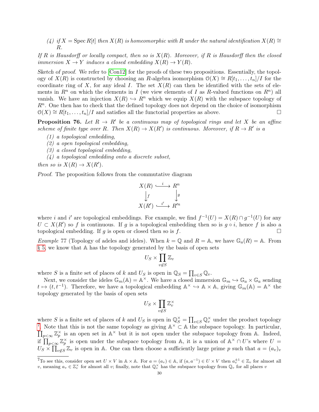(4) if  $X = \text{Spec } R[t]$  then  $X(R)$  is homeomorphic with R under the natural identification  $X(R) \cong$ R.

If R is Hausdorff or locally compact, then so is  $X(R)$ . Moreover, if R is Hausdorff then the closed immersion  $X \to Y$  induces a closed embedding  $X(R) \to Y(R)$ .

Sketch of proof. We refer to [\[Con12\]](#page-69-17) for the proofs of these two propositions. Essentially, the topology of  $X(R)$  is constructed by choosing an R-algebra isomorphism  $\mathcal{O}(X) \cong R[t_1, \ldots, t_n]/I$  for the coordinate ring of X, for any ideal I. The set  $X(R)$  can then be identified with the sets of elements in  $R^n$  on which the elements in I (we view elements of I as R-valued functions on  $R^n$ ) all vanish. We have an injection  $X(R) \hookrightarrow R^n$  which we equip  $X(R)$  with the subspace topology of  $R<sup>n</sup>$ . One then has to check that the defined topology does not depend on the choice of isomorphism  $\mathcal{O}(X) \cong R[t_1, \ldots, t_n]/I$  and satisfies all the functorial properties as above.

**Proposition 76.** Let  $R \to R'$  be a continuous map of topological rings and let X be an affine scheme of finite type over R. Then  $X(R) \to X(R')$  is continuous. Moreover, if  $R \to R'$  is a

- (1) a topological embedding,
- (2) a open topological embedding,
- (3) a closed topological embedding,
- (4) a topological embedding onto a discrete subset,

then so is  $X(R) \to X(R')$ .

Proof. The proposition follows from the commutative diagram

$$
X(R) \xrightarrow{i} R^n
$$
  
\n
$$
\downarrow f
$$
  
\n
$$
X(R') \xrightarrow{i'} R'^n
$$

where i and i' are topological embeddings. For example, we find  $f^{-1}(U) = X(R) \cap g^{-1}(U)$  for any  $U \subset X(R')$  so f is continuous. If g is a topological embedding then so is  $g \circ i$ , hence f is also a topological embedding. If g is open or closed then so is f.  $\Box$ 

*Example 77* (Topology of adeles and ideles). When  $k = \mathbb{Q}$  and  $R = \mathbb{A}$ , we have  $\mathbb{G}_a(R) = \mathbb{A}$ . From [§ 5,](#page-26-0) we know that A has the topology generated by the basis of open sets

$$
U_S \times \prod_{v \notin S} \mathbb{Z}_v
$$

where S is a finite set of places of k and  $U_S$  is open in  $\mathbb{Q}_S = \prod_{v \in S} \mathbb{Q}_v$ .

Next, we consider the ideles  $\mathbb{G}_m(\mathbb{A}) = \mathbb{A}^\times$ . We have a closed immersion  $\mathbb{G}_m \hookrightarrow \mathbb{G}_a \times \mathbb{G}_a$  sending  $t \mapsto (t, t^{-1})$ . Therefore, we have a topological embedding  $\mathbb{A}^{\times} \hookrightarrow \mathbb{A} \times \mathbb{A}$ , giving  $\mathbb{G}_m(\mathbb{A}) = \mathbb{A}^{\times}$  the topology generated by the basis of open sets

$$
U_S \times \prod_{v \notin S} \mathbb{Z}_v^\times
$$

where S is a finite set of places of k and  $U_S$  is open in  $\mathbb{Q}_S^{\times} = \prod_{v \in S} \mathbb{Q}_v^{\times}$  under the product topology <sup>[7](#page-29-0)</sup>. Note that this is not the same topology as giving  $\mathbb{A}^{\times} \subset \mathbb{A}$  the subspace topology. In particular,  $\prod_{p<\infty}\mathbb{Z}_p^{\times}$  is an open set in  $\mathbb{A}^{\times}$  but it is not open under the subspace topology from  $\mathbb{A}$ . Indeed, if  $\prod_{p<\infty}\mathbb{Z}_p^{\times}$  is open under the subspace topology from A, it is a union of  $\mathbb{A}^{\times}\cap U$ 's where  $U=$  $U_S \times \prod_{v \notin S} \mathbb{Z}_v$  is open in A. One can then choose a sufficiently large prime p such that  $a = (a_v)_v$ 

<span id="page-29-0"></span><sup>&</sup>lt;sup>7</sup>To see this, consider open set  $U \times V$  in  $\mathbb{A} \times \mathbb{A}$ . For  $a = (a_v) \in \mathbb{A}$ , if  $(a, a^{-1}) \in U \times V$  then  $a_v^{\pm 1} \in \mathbb{Z}_v$  for almost all v, meaning  $a_v \in \mathbb{Z}_v^{\times}$  for almost all v; finally, note that  $\mathbb{Q}_v^{\times}$  has the subspace topology from  $\mathbb{Q}_v$  for all places v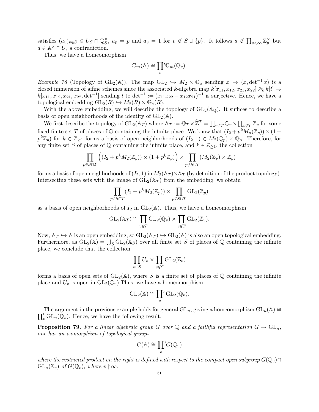satisfies  $(a_v)_{v \in S} \in U_S \cap \mathbb{Q}_S^\times$  $\zeta$ ,  $a_p = p$  and  $a_v = 1$  for  $v \notin S \cup \{p\}$ . It follows  $a \notin \prod_{v < \infty} \mathbb{Z}_p^{\times}$  but  $a \in \mathbb{A}^{\times} \cap U$ , a contradiction.

Thus, we have a homeomorphism

$$
\mathbb{G}_m(\mathbb{A}) \cong \prod_v \mathbb{G}_m(\mathbb{Q}_v).
$$

Example 78 (Topology of GL<sub>2</sub>(A)). The map GL<sub>2</sub>  $\hookrightarrow M_2 \times \mathbb{G}_a$  sending  $x \mapsto (x, \det^{-1} x)$  is a closed immersion of affine schemes since the associated k-algebra map  $k[x_{11}, x_{12}, x_{21}, x_{22}] \otimes_k k[t] \rightarrow$  $k[x_{11}, x_{12}, x_{21}, x_{22}, \text{det}^{-1}]$  sending t to  $\text{det}^{-1} := (x_{11}x_{22} - x_{12}x_{21})^{-1}$  is surjective. Hence, we have a topological embedding  $GL_2(R) \hookrightarrow M_2(R) \times \mathbb{G}_a(R)$ .

With the above embedding, we will describe the topology of  $GL_2(\mathbb{A}_{\mathbb{Q}})$ . It suffices to describe a basis of open neighborhoods of the identity of  $GL_2(\mathbb{A})$ .

We first describe the topology of  $GL_2(\mathbb{A}_T)$  where  $\mathbb{A}_T := \mathbb{Q}_T \times \widehat{\mathbb{Z}}^T = \prod_{v \in T} \mathbb{Q}_v \times \prod_{v \notin T} \mathbb{Z}_v$  for some fixed finite set T of places of Q containing the infinite place. We know that  $(I_2 + p^k M_n(\mathbb{Z}_p)) \times (1 +$  $p^k \mathbb{Z}_p$ ) for  $k \in \mathbb{Z}_{\geq 1}$  forms a basis of open neighborhoods of  $(I_2, 1) \in M_2(\mathbb{Q}_p) \times \mathbb{Q}_p$ . Therefore, for any finite set S of places of  $\mathbb Q$  containing the infinite place, and  $k \in \mathbb{Z}_{\geq 1}$ , the collection

$$
\prod_{p \in S \cap T} \left( (I_2 + p^k M_2(\mathbb{Z}_p)) \times (1 + p^k \mathbb{Z}_p) \right) \times \prod_{p \notin S \cup T} (M_2(\mathbb{Z}_p) \times \mathbb{Z}_p)
$$

forms a basis of open neighborhoods of  $(I_2, 1)$  in  $M_2(\mathbb{A}_T) \times \mathbb{A}_T$  (by definition of the product topology). Intersecting these sets with the image of  $GL_2(\mathbb{A}_T)$  from the embedding, we obtain

$$
\prod_{p \in S \cap T} (I_2 + p^k M_2(\mathbb{Z}_p)) \times \prod_{p \notin S \cup T} \text{GL}_2(\mathbb{Z}_p)
$$

as a basis of open neighborhoods of  $I_2$  in  $GL_2(\mathbb{A})$ . Thus, we have a homeomorphism

$$
GL_2(\mathbb{A}_T) \cong \prod_{v \in T} GL_2(\mathbb{Q}_v) \times \prod_{v \notin T} GL_2(\mathbb{Z}_v).
$$

Now,  $A_T \hookrightarrow A$  is an open embedding, so  $GL_2(A_T) \hookrightarrow GL_2(A)$  is also an open topological embedding. Furthermore, as  $GL_2(\mathbb{A}) = \bigcup_S GL_2(\mathbb{A}_S)$  over all finite set S of places of Q containing the infinite place, we conclude that the collection

$$
\prod_{v \in S} U_v \times \prod_{v \notin S} \mathrm{GL}_2(\mathbb{Z}_v)
$$

forms a basis of open sets of  $GL_2(\mathbb{A})$ , where S is a finite set of places of  $\mathbb Q$  containing the infinite place and  $U_v$  is open in  $GL_2(\mathbb{Q}_v)$ . Thus, we have a homeomorphism

$$
GL_2(\mathbb{A}) \cong \prod_v {'} GL_2(\mathbb{Q}_v).
$$

 $\prod_v \text{GL}_n(\overline{\mathbb{Q}}_v)$ . Hence, we have the following result. The argument in the previous example holds for general  $GL_n$ , giving a homeomorphism  $GL_n(\mathbb{A}) \cong$ 

**Proposition 79.** For a linear algebraic group G over Q and a faithful representation  $G \to \mathrm{GL}_n$ , one has an isomorphism of topological groups

$$
G(\mathbb{A}) \cong \prod_{v} G(\mathbb{Q}_v)
$$

where the restricted product on the right is defined with respect to the compact open subgroup  $G(\mathbb{Q}_v) \cap$  $GL_n(\mathbb{Z}_v)$  of  $G(\mathbb{Q}_v)$ , where  $v \nmid \infty$ .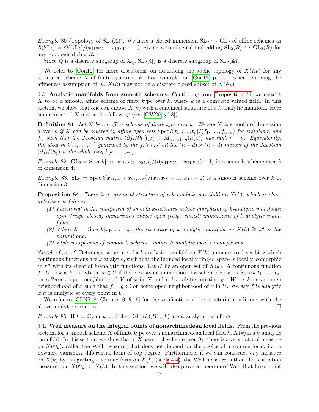Example 80 (Topology of  $SL_2(\mathbb{A})$ ). We have a closed immersion  $SL_2 \hookrightarrow GL_2$  of affine schemes as  $\mathcal{O}(\mathrm{SL}_2) = \mathcal{O}(\mathrm{GL}_2)/(x_{11}x_{22} - x_{12}x_{11} - 1)$ , giving a topological embedding  $\mathrm{SL}_2(R) \hookrightarrow \mathrm{GL}_2(R)$  for any topological ring R.

Since Q is a discrete subgroup of  $\mathbb{A}_{\mathbb{O}}$ ,  $SL_2(\mathbb{Q})$  is a discrete subgroup of  $SL_2(\mathbb{A})$ .

We refer to [\[Con12\]](#page-69-17) for more discussions on describing the adelic topology of  $X(\mathbb{A}_k)$  for any separated scheme X of finite type over  $k$ . For example, on [\[Con12,](#page-69-17) p. 10], when removing the affineness assumption of X,  $X(k)$  may not be a discrete closed subset of  $X(\mathbb{A}_k)$ .

<span id="page-31-0"></span>5.3. Analytic manifolds from smooth schemes. Continuing from [Proposition 75,](#page-28-1) we restrict X to be a smooth affine scheme of finite type over k, where k is a complete valued field. In this section, we show that one can endow  $X(k)$  with a canonical structure of a k-analytic manifold. Here smoothness of X means the following (see [\[GW20,](#page-69-18)  $\S 6.8$ ])

**Definition 81.** Let X be an affine scheme of finite type over k. We say X is smooth of dimension d over k if X can be covered by affine open sets  $\operatorname{Spec} k[t_1, \ldots, t_n]/(f_1, \ldots, f_{n-d})$  for suitable n and f<sub>i</sub>, such that the Jacobian matrix  $(\partial f_i/\partial t_j)(x) \in M_{(n-d)\times n}(\kappa(x))$  has rank n – d. Equivalently, the ideal in  $k[t_1, \ldots, t_n]$  generated by the  $f_i$ 's and all the  $(n-d) \times (n-d)$  minors of the Jacobian  $(\partial f_i/\partial t_j)$  is the whole ring  $k[t_1,\ldots,t_n]$ .

Example 82. GL<sub>2</sub> = Spec  $k[x_{11}, x_{12}, x_{21}, x_{22}, t]/(t(x_{11}x_{22} - x_{21}x_{12}) - 1)$  is a smooth scheme over k of dimension 4.

Example 83.  $SL_2 = Spec k[x_{11}, x_{12}, x_{21}, x_{22}]/(x_{11}x_{22} - x_{21}x_{12} - 1)$  is a smooth scheme over k of dimension 3.

**Proposition 84.** There is a canonical structure of a k-analytic manifold on  $X(k)$ , which is characterised as follows:

- (1) Functorial in X: morphism of smooth k-schemes induce morphism of k-analytic manifolds; open (resp. closed) immersions induce open (resp. closed) immersions of k-analytic manifolds.
- (2) When  $X = \text{Spec } k[x_1, \ldots, x_d]$ , the structure of k-analytic manifold on  $X(k) \cong k^d$  is the natural one.
- (3) Etale morphisms of smooth k-schemes induce k-analytic local isomorphisms.

Sketch of proof. Defining a structure of a k-analytic manifold on  $X(k)$  amounts to describing which continuous functions are k-analytic, such that the induced locally ringed space is locally isomorphic to  $k^n$  with its sheaf of k-analytic functions. Let U be an open set of  $X(k)$ . A continuous function  $f: U \to k$  is k-analytic at  $x \in U$  if there exists an immersion of k-schemes  $i: V \to \text{Spec } k[t_1, \ldots, t_n]$ on a Zariski-open neighborhood V of x in X and a k-analytic function  $g: W \to k$  on an open neighborhood of x such that  $f = g \circ i$  on some open neighborhood of x in U. We say f is analytic if it is analytic at every point in U.

We refer to [\[CLNS18,](#page-69-19) Chapter 0,  $\S1.6$ ] for the verification of the functorial conditions with the above analytic structure.

*Example* 85. If  $k = \mathbb{Q}_p$  or  $k = \mathbb{R}$  then  $GL_2(k)$ ,  $SL_2(k)$  are k-analytic manifolds.

<span id="page-31-1"></span>5.4. Weil measure on the integral points of nonarchimedean local fields. From the previous section, for a smooth scheme X of finite type over a nonarchimedean local field  $k, X(k)$  is a k-analytic manifold. In this section, we show that if X a smooth scheme over  $\mathcal{O}_k$ , there is a very natural measure on  $X(\mathcal{O}_k)$ , called the Weil measure, that does not depend on the choice of a volume form, i.e. a nowhere vanishing differential form of top degree. Furthermore, if we can construct *any* measure on  $X(k)$  by integrating a volume form on  $X(k)$  (see [§ 4.4\)](#page-24-0), the Weil measure is then the restriction measured on  $X(\mathcal{O}_k) \subset X(k)$ . In this section, we will also prove a theorem of Weil that links point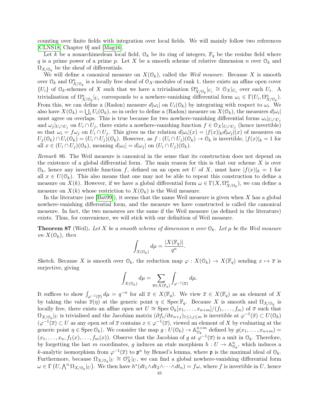counting over finite fields with integration over local fields. We will mainly follow two references [\[CLNS18,](#page-69-19) Chapter 0] and [\[Mag16\]](#page-69-20).

Let k be a nonarchimedean local field,  $\mathcal{O}_k$  be its ring of integers,  $\mathbb{F}_q$  be the residue field where q is a prime power of a prime p. Let X be a smooth scheme of relative dimension n over  $\mathcal{O}_k$  and  $\Omega_{X/\mathbb{O}_k}$  be the sheaf of differentials.

We will define a canonical measure on  $X(\mathbb{O}_k)$ , called the Weil measure. Because X is smooth over  $\mathcal{O}_k$  and  $\Omega_{X/\mathcal{O}_k}^n$  is a locally free sheaf of  $\mathcal{O}_X$ -modules of rank 1, there exists an affine open cover  ${U_i}$  of  $\mathcal{O}_k$ -schemes of X such that we have a trivialisation  $\Omega_{X/\mathcal{O}_k}^n|_{U_i} \cong \mathcal{O}_X|_{U_i}$  over each  $U_i$ . A trivialisation of  $\Omega_{X/\mathcal{O}_k}^n|_{U_i}$  corresponds to a nowhere-vanishing differential form  $\omega_i \in \Gamma(U_i, \Omega_{X/\mathcal{O}_k}^n)$ . From this, we can define a (Radon) measure  $d|\omega_i|$  on  $U_i(\mathbb{O}_k)$  by integrating with respect to  $\omega_i$ . We also have  $X(\mathcal{O}_k) = \bigcup_i U_i(\mathcal{O}_k)$ , so in order to define a (Radon) measure on  $X(\mathcal{O}_k)$ , the measures  $d|\omega_i|$ must agree on overlaps. This is true because for two nowhere-vanishing differential forms  $\omega_i|_{U_i \cap U_j}$ and  $\omega_j|_{U_i \cap U_j}$  on  $U_i \cap U_j$ , there exists a nowhere-vanishing function  $f \in \mathcal{O}_X|_{U_i \cap U_j}$  (hence invertible) so that  $\omega_i = f \omega_j$  on  $U_i \cap U_j$ . This gives us the relation  $d|\omega_i|(x) = |f(x)|_k d|\omega_j|(x)$  of measures on  $U_j(\mathcal{O}_k) \cap U_i(\mathcal{O}_k) = (U_i \cap U_j)(\mathcal{O}_k)$ . However, as  $f : (U_i \cap U_j)(\mathcal{O}_k) \to \mathcal{O}_k$  is invertible,  $|f(x)|_k = 1$  for all  $x \in (U_i \cap U_j)(\mathcal{O}_k)$ , meaning  $d|\omega_i| = d|\omega_j|$  on  $(U_i \cap U_j)(\mathcal{O}_k)$ .

Remark 86. The Weil measure is canonical in the sense that its construction does not depend on the existence of a global differential form. The main reason for this is that our scheme  $X$  is over  $\mathcal{O}_k$ , hence any invertible function f, defined on an open set U of X, must have  $|f(x)|_k = 1$  for all  $x \in U(\mathbb{O}_k)$ . This also means that one may not be able to repeat this construction to define a measure on  $X(k)$ . However, if we have a global differential form  $\omega \in \Gamma(X, \Omega^n_{X/\mathbb{O}_k})$ , we can define a measure on  $X(k)$  whose restriction to  $X(\mathcal{O}_k)$  is the Weil measure.

In the literature (see  $[\text{Bat99}]$ ), it seems that the name Weil measure is given when X has a global nowhere-vanishing differential form, and the measure we have constructed is called the canonical measure. In fact, the two measures are the same if the Weil measure (as defined in the literature) exists. Thus, for convenience, we will stick with our definition of Weil measure.

<span id="page-32-0"></span>**Theorem 87** (Weil). Let X be a smooth scheme of dimension n over  $\mathcal{O}_k$ . Let  $\mu$  be the Weil measure on  $X(\mathcal{O}_k)$ , then

$$
\int_{X(\mathbb{O}_k)} d\mu = \frac{|X(\mathbb{F}_q)|}{q^n}
$$

.

Sketch. Because X is smooth over  $\mathcal{O}_k$ , the reduction map  $\varphi: X(\mathcal{O}_k) \to X(\mathbb{F}_q)$  sending  $x \mapsto \overline{x}$  is surjective, giving

$$
\int_{X(\mathbb{O}_k)} d\mu = \sum_{\overline{x} \in X(\mathbb{F}_q)} \int_{\varphi^{-1}(\overline{x})} d\mu.
$$

It suffices to show  $\int_{\varphi^{-1}(\overline{x})} d\mu = q^{-n}$  for all  $\overline{x} \in X(\mathbb{F}_q)$ . We view  $\overline{x} \in X(\mathbb{F}_q)$  as an element of X by taking the value  $\overline{x}(\eta)$  at the generic point  $\eta \in \text{Spec } \mathbb{F}_q$ . Because X is smooth and  $\Omega_{X/\mathbb{O}_k}$  is locally free, there exists an affine open set  $U \cong \operatorname{Spec} \mathcal{O}_k[x_1, \ldots, x_{n+m}]/(f_1, \ldots, f_m)$  of  $\overline{x}$  such that  $\Omega_{X/\mathbb{O}_k}|_U$  is trivialised and the Jacobian matrix  $(\partial f_i/\partial x_{n+j})_{1\leq i,j\leq m}$  is invertible at  $\varphi^{-1}(\overline{x})\subset U(\mathbb{O}_k)$  $(\varphi^{-1}(\overline{x}) \subset U$  as any open set of  $\overline{x}$  contains  $x \in \varphi^{-1}(\overline{x})$ , viewed an element of X by evaluating at the generic point  $\eta \in \text{Spec } \mathcal{O}_k$ . We consider the map  $g: U(\mathcal{O}_k) \to \mathbb{A}_{\mathcal{O}_k}^{n+m}$  $\mathcal{O}_k^{n+m}$  defined by  $g(x_1,\ldots,x_{n+m})=$  $(x_1, \ldots, x_n, f_1(x), \ldots, f_m(x))$ . Observe that the Jacobian of g at  $\varphi^{-1}(\overline{x})$  is a unit in  $\mathcal{O}_k$ . Therefore, by forgetting the last m coordinates, g induces an etale morphism  $h: U \to \mathbb{A}_{0_k}^n$ , which induces a k-analytic isomorphism from  $\varphi^{-1}(\overline{x})$  to  $\mathfrak{p}^n$  by Hensel's lemma, where  $\mathfrak{p}$  is the maximal ideal of  $\mathfrak{O}_k$ . Furthermore, because  $\Omega_{X/\mathcal{O}_k}|_U \cong \mathcal{O}_X^n|_U$ , we can find a global nowhere-vanishing differential form  $\omega \in \Gamma\left(U, \bigwedge^n \Omega_{X/\mathbb{O}_k}|_U\right)$ . We then have  $h^*(dt_1 \wedge dt_2 \wedge \cdots \wedge dt_n) = f\omega$ , where f is invertible in U, hence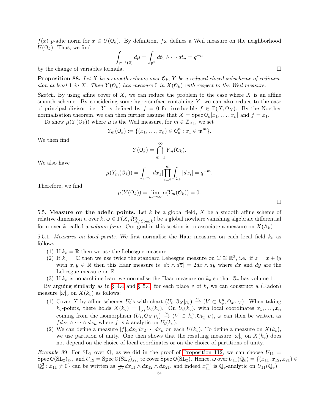$f(x)$  p-adic norm for  $x \in U(0_k)$ . By definition,  $f\omega$  defines a Weil measure on the neighborhood  $U(\mathcal{O}_k)$ . Thus, we find

$$
\int_{\varphi^{-1}(\overline{x})} d\mu = \int_{\mathfrak{p}^n} dt_1 \wedge \cdots dt_n = q^{-n}
$$

by the change of variables formula.

**Proposition 88.** Let X be a smooth scheme over  $\mathcal{O}_k$ , Y be a reduced closed subscheme of codimension at least 1 in X. Then  $Y(\mathbb{O}_k)$  has measure 0 in  $X(\mathbb{O}_k)$  with respect to the Weil measure.

Sketch. By using affine cover of X, we can reduce the problem to the case where X is an affine smooth scheme. By considering some hypersurface containing  $Y$ , we can also reduce to the case of principal divisor, i.e. Y is defined by  $f = 0$  for irreducible  $f \in \Gamma(X, \mathcal{O}_X)$ . By the Noether normalisation theorem, we can then further assume that  $X = \text{Spec } \mathbb{O}_k[x_1, \ldots, x_n]$  and  $f = x_1$ .

To show  $\mu(Y(\mathbb{O}_k))$  where  $\mu$  is the Weil measure, for  $m \in \mathbb{Z}_{\geq 1}$ , we set

$$
Y_m(\mathcal{O}_k) := \{(x_1, \ldots, x_n) \in \mathcal{O}_k^n : x_1 \in \mathfrak{m}^m\}.
$$

We then find

$$
Y(\mathcal{O}_k) = \bigcap_{m=1}^{\infty} Y_m(\mathcal{O}_k).
$$

We also have

$$
\mu(Y_m(\mathcal{O}_k)) = \int_{\mathfrak{m}^m} |dx_1| \prod_{i=2}^m \int_{\mathcal{O}_k} |dx_i| = q^{-m}.
$$

Therefore, we find

$$
\mu(Y(\mathcal{O}_k)) = \lim_{m \to \infty} \mu(Y_m(\mathcal{O}_k)) = 0.
$$

 $\Box$ 

<span id="page-33-0"></span>5.5. Measure on the adelic points. Let k be a global field, X be a smooth affine scheme of relative dimension n over  $k, \omega \in \Gamma(X, \Omega^n_{X/\operatorname{Spec} k})$  be a global nowhere vanishing algebraic differential form over k, called a *volume form*. Our goal in this section is to associate a measure on  $X(\mathbb{A}_k)$ .

<span id="page-33-1"></span>5.5.1. Measures on local points. We first normalise the Haar measures on each local field  $k_v$  as follows:

- (1) If  $k_v = \mathbb{R}$  then we use the Lebesgue measure.
- (2) If  $k_v = \mathbb{C}$  then we use twice the standard Lebesgue measure on  $\mathbb{C} \cong \mathbb{R}^2$ , i.e. if  $z = x + iy$ with  $x, y \in \mathbb{R}$  then this Haar measure is  $|dz \wedge d\overline{z}| = 2dx \wedge dy$  where dx and dy are the Lebesgue measure on R.
- (3) If  $k_v$  is nonarchimedean, we normalise the Haar measure on  $k_v$  so that  $\mathcal{O}_v$  has volume 1.

By arguing similarly as in [§ 4.4](#page-24-0) and [§ 5.4,](#page-31-1) for each place v of k, we can construct a (Radon) measure  $|\omega|_v$  on  $X(k_v)$  as follows:

- (1) Cover X by affine schemes  $U_i$ 's with chart  $(U_i, \mathcal{O}_X|_{U_i}) \xrightarrow{\sim} (V \subset k_v^n, \mathcal{O}_{k_v^n}|_V)$ . When taking  $k_v$ -points, there holds  $X(k_v) = \bigcup_i U_i(k_v)$ . On  $U_i(k_v)$ , with local coordinates  $x_1, \ldots, x_n$ coming from the isomorphism  $(U_i, \mathcal{O}_X|_{U_i}) \xrightarrow{\sim} (V \subset k_v^n, \mathcal{O}_{k_v^n}|_V)$ ,  $\omega$  can then be written as  $fdx_1 \wedge \cdots \wedge dx_n$  where f is k-analytic on  $U_i(k_v)$ .
- (2) We can define a measure  $|f|_v dx_1 dx_2 \cdots dx_n$  on each  $U(k_v)$ . To define a measure on  $X(k_v)$ , we use partition of unity. One then shows that the resulting measure  $|\omega|_v$  on  $X(k_v)$  does not depend on the choice of local coordinates or on the choice of partitions of unity.

*Example* 89. For  $SL_2$  over Q, as we did in the proof of [Proposition 112,](#page-44-1) we can choose  $U_{11}$  =  $\text{Spec } \mathcal{O}(\mathrm{SL}_2)_{x_{11}} \text{ and } U_{12} = \text{Spec } \mathcal{O}(\mathrm{SL}_2)_{x_{12}} \text{ to cover } \text{Spec } \mathcal{O}(\mathrm{SL}_2). \text{ Hence, } \omega \text{ over } U_{11}(\mathbb{Q}_v) = \{ (x_{11}, x_{12}, x_{21}) \in \mathcal{O}(\mathrm{SL}_2)_{x_{12}} \text{ and } U_{12} = \text{Spec } \mathcal{O}(\mathrm{SL}_2)_{x_{12}} \text{ to cover } \text{Spec } \mathcal{O}(\mathrm{SL}_2).$  $\mathbb{Q}_v^3: x_{11} \neq 0$  can be written as  $\frac{1}{x_{11}} dx_{11} \wedge dx_{12} \wedge dx_{21}$ , and indeed  $x_{11}^{-1}$  is  $\mathbb{Q}_v$ -analytic on  $U_{11}(\mathbb{Q}_v)$ .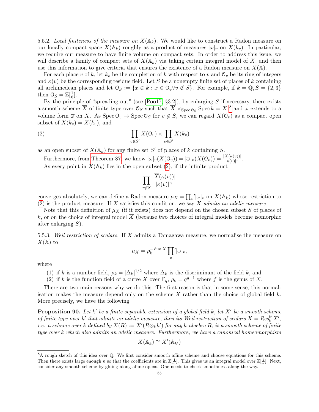<span id="page-34-2"></span>5.5.2. Local finiteness of the measure on  $X(\mathbb{A}_k)$ . We would like to construct a Radon measure on our locally compact space  $X(\mathbb{A}_k)$  roughly as a product of measures  $|\omega|_v$  on  $X(k_v)$ . In particular, we require our measure to have finite volume on compact sets. In order to address this issue, we will describe a family of compact sets of  $X(\mathbb{A}_k)$  via taking certain integral model of X, and then use this information to give criteria that ensures the existence of a Radon measure on  $X(\mathbb{A})$ .

For each place v of k, let  $k_v$  be the completion of k with respect to v and  $\mathcal{O}_v$  be its ring of integers and  $\kappa(v)$  be the corresponding residue field. Let S be a nonempty finite set of places of k containing all archimedean places and let  $\mathcal{O}_S := \{x \in k : x \in \mathcal{O}_v \forall v \notin S\}$ . For example, if  $k = \mathbb{Q}, S = \{2,3\}$ then  $0_S = \mathbb{Z}[\frac{1}{6}]$  $\frac{1}{6}$ .

By the principle of "spreading out" (see [\[Poo17,](#page-69-22) §3.2]), by enlarging S if necessary, there exists a smooth scheme  $\overline{X}$  of finite type over  $\mathcal{O}_S$  such that  $\overline{X} \times_{\text{Spec } \mathcal{O}_S} \text{Spec } k = X$ <sup>[8](#page-34-0)</sup> and  $\omega$  extends to a volume form  $\overline{\omega}$  on  $\overline{X}$ . As  $\operatorname{Spec} \mathcal{O}_v \to \operatorname{Spec} \mathcal{O}_S$  for  $v \notin S$ , we can regard  $\overline{X}(\mathcal{O}_v)$  as a compact open subset of  $X(k_v) = \overline{X}(k_v)$ , and

(2) 
$$
\prod_{v \notin S'} \overline{X}(0_v) \times \prod_{v \in S'} X(k_v)
$$

as an open subset of  $X(\mathbb{A}_k)$  for any finite set S' of places of k containing S.

Furthermore, from [Theorem 87,](#page-32-0) we know  $|\omega|_v(\overline{X}(0_v)) = |\overline{\omega}|_v(\overline{X}(0_v)) = \frac{|X(\kappa(v))|}{|\kappa(v)|^n}$ .

As every point in  $X(\mathbb{A}_k)$  lies in the open subset [\(2\)](#page-34-1), if the infinite product

<span id="page-34-1"></span>
$$
\prod_{v \notin S} \frac{|X(\kappa(v))|}{|\kappa(v)|^n}
$$

converges absolutely, we can define a Radon measure  $\mu_X = \prod_v' |\omega|_v$  on  $X(\mathbb{A}_k)$  whose restriction to [\(2\)](#page-34-1) is the product measure. If  $X$  satisfies this condition, we say  $X$  admits an adelic measure.

Note that this definition of  $\mu_X$  (if it exists) does not depend on the chosen subset S of places of k, or on the choice of integral model  $\overline{X}$  (because two choices of integral models become isomorphic after enlarging S).

<span id="page-34-3"></span>5.5.3. Weil restriction of scalars. If X admits a Tamagawa measure, we normalise the measure on  $X(\mathbb{A})$  to

$$
\mu_X = \rho_k^{-\dim X} \prod_v \lvert \omega \rvert_v,
$$

where

- (1) if k is a number field,  $\rho_k = |\Delta_k|^{1/2}$  where  $\Delta_k$  is the discriminant of the field k, and
- (2) if k is the function field of a curve X over  $\mathbb{F}_q$ ,  $\rho_k = q^{g-1}$  where f is the genus of X.

There are two main reasons why we do this. The first reason is that in some sense, this normalisation makes the measure depend only on the scheme  $X$  rather than the choice of global field  $k$ . More precisely, we have the following

**Proposition 90.** Let  $k'$  be a finite separable extension of a global field k, let  $X'$  be a smooth scheme of finite type over k' that admits an adelic measure, then its Weil restriction of scalars  $X = Res_k^{k'} X'$ , i.e. a scheme over  $k$  defined by  $X(R) := X'(R{\otimes}_kk')$  for any  $k$ -algebra  $R$ , is a smooth scheme of finite type over k which also admits an adelic measure. Furthermore, we have a canonical homeomorphism

$$
X(\mathbb{A}_k) \cong X'(\mathbb{A}_{k'})
$$

<span id="page-34-0"></span><sup>8</sup>A rough sketch of this idea over Q: We first consider smooth affine scheme and choose equations for this scheme. Then there exists large enough n so that the coefficients are in  $\mathbb{Z}[\frac{1}{n}]$ . This gives us an integral model over  $\mathbb{Z}[\frac{1}{n}]$ . Next, consider any smooth scheme by gluing along affine opens. One needs to check smoothness along the way.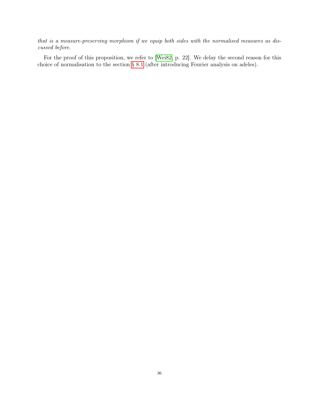that is a measure-preserving morphism if we equip both sides with the normalised measures as discussed before.

For the proof of this proposition, we refer to [\[Wei82,](#page-70-2) p. 22]. We delay the second reason for this choice of normalisation to the section [§ 8.1](#page-46-1) (after introducing Fourier analysis on adeles).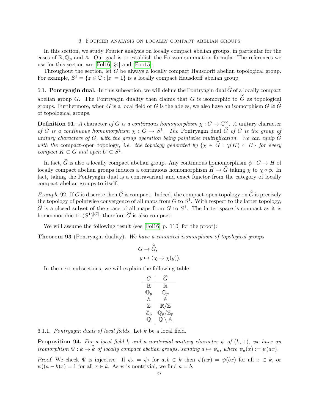#### 6. Fourier analysis on locally compact abelian groups

<span id="page-36-0"></span>In this section, we study Fourier analysis on locally compact abelian groups, in particular for the cases of  $\mathbb{R}, \mathbb{Q}_p$  and A. Our goal is to establish the Poisson summation formula. The references we use for this section are [\[Fol16,](#page-69-12) §4] and [\[Poo15\]](#page-69-23).

Throughout the section, let G be always a locally compact Hausdorff abelian topological group. For example,  $S^1 = \{z \in \mathbb{C} : |z| = 1\}$  is a locally compact Hausdorff abelian group.

<span id="page-36-1"></span>6.1. **Pontryagin dual.** In this subsection, we will define the Pontryagin dual  $\widehat{G}$  of a locally compact abelian group G. The Pontryagin duality then claims that G is isomorphic to  $\hat{\hat{G}}$  as topological groups. Furthermore, when G is a local field or G is the adeles, we also have an isomorphism  $G \cong \widehat{G}$ of topological groups.

**Definition 91.** A character of G is a continuous homomorphism  $\chi : G \to \mathbb{C}^{\times}$ . A unitary character of G is a continuous homomorphism  $\chi : G \to S^1$ . The Pontryagin dual  $\widehat{G}$  of G is the group of unitary characters of G, with the group operation being pointwise multiplication. We can equip  $\widehat{G}$ with the compact-open topology, i.e. the topology generated by  $\{\chi \in \hat{G} : \chi(K) \subset U\}$  for every compact  $K \subset G$  and open  $U \subset S^1$ .

In fact,  $\widehat{G}$  is also a locally compact abelian group. Any continuous homomorphism  $\phi : G \to H$  of locally compact abelian groups induces a continuous homomorphism  $\hat{H} \to \hat{G}$  taking  $\chi$  to  $\chi \circ \phi$ . In fact, taking the Pontryagin dual is a contravariant and exact functor from the category of locally compact abelian groups to itself.

*Example* 92. If G is discrete then  $\widehat{G}$  is compact. Indeed, the compact-open topology on  $\widehat{G}$  is precisely the topology of pointwise convergence of all maps from  $G$  to  $S^1$ . With respect to the latter topology,  $\widehat{G}$  is a closed subset of the space of all maps from G to  $S^1$ . The latter space is compact as it is homeomorphic to  $(S^1)^{|G|}$ , therefore  $\widehat{G}$  is also compact.

We will assume the following result (see [\[Fol16,](#page-69-12) p. 110] for the proof):

Theorem 93 (Pontryagin duality). We have a canonical isomorphism of topological groups

$$
G \to \widehat{\widehat{G}},
$$
  

$$
g \mapsto (\chi \mapsto \chi(g)).
$$

In the next subsections, we will explain the following table:

$$
\begin{array}{c|c}\nG & \hat{G} \\
\hline\n\mathbb{R} & \mathbb{R} \\
\mathbb{Q}_p & \mathbb{Q}_p \\
\mathbb{A} & \mathbb{R}/\mathbb{Z} \\
\mathbb{Z}_p & \mathbb{Q}_p/\mathbb{Z}_p \\
\mathbb{Q} & \mathbb{Q} \setminus \mathbb{A}\n\end{array}
$$

6.1.1. Pontryagin duals of local fields. Let k be a local field.

**Proposition 94.** For a local field k and a nontrivial unitary character  $\psi$  of  $(k, +)$ , we have an isomorphism  $\Psi : k \to \hat{k}$  of locally compact abelian groups, sending  $a \mapsto \psi_a$ , where  $\psi_a(x) := \psi(ax)$ .

Proof. We check  $\Psi$  is injective. If  $\psi_a = \psi_b$  for  $a, b \in k$  then  $\psi(ax) = \psi(bx)$  for all  $x \in k$ , or  $\psi((a - b)x) = 1$  for all  $x \in k$ . As  $\psi$  is nontrivial, we find  $a = b$ .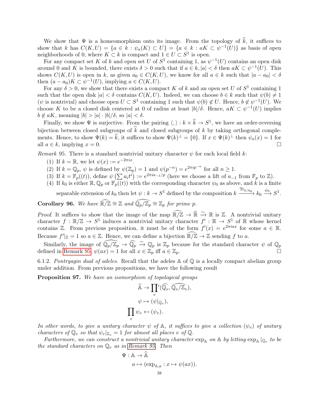We show that  $\Psi$  is a homeomorphism onto its image. From the topology of  $\hat{k}$ , it suffices to show that k has  $C(K, U) = \{a \in k : \psi_a(K) \subset U\} = \{a \in k : aK \subset \psi^{-1}(U)\}\$ as basis of open neighborhoods of 0, where  $K \subset k$  is compact and  $1 \in U \subset S^1$  is open.

For any compact set K of k and open set U of  $S^1$  containing 1, as  $\psi^{-1}(U)$  contains an open disk around 0 and K is bounded, there exists  $\delta > 0$  such that if  $a \in k$ ,  $|a| < \delta$  then  $aK \subset \psi^{-1}(U)$ . This shows  $C(K, U)$  is open in k, as given  $a_0 \in C(K, U)$ , we know for all  $a \in k$  such that  $|a - a_0| < \delta$ then  $(a - a_0)K \subset \psi^{-1}(U)$ , implying  $a \in C(K, U)$ .

For any  $\delta > 0$ , we show that there exists a compact K of k and an open set U of  $S^1$  containing 1 such that the open disk  $|a| < \delta$  contains  $C(K, U)$ . Indeed, we can choose  $b \in k$  such that  $\psi(b) \neq 1$  $(\psi \text{ is nontrivial})$  and choose open  $U \subset S^1$  containing 1 such that  $\psi(b) \notin U$ . Hence,  $b \notin \psi^{-1}(U)$ . We choose K to be a closed disk centered at 0 of radius at least  $|b|/\delta$ . Hence,  $aK \subset \psi^{-1}(U)$  implies  $b \notin aK$ , meaning  $|b| > |a| \cdot |b|/\delta$ , so  $|a| < \delta$ .

Finally, we show  $\Psi$  is surjective. From the pairing  $\langle , \rangle : k \times \hat{k} \to S^1$ , we have an order-reversing bijection between closed subgroups of  $\hat{k}$  and closed subgroups of k by taking orthogonal complements. Hence, to show  $\Psi(k) = \hat{k}$ , it suffices to show  $\Psi(k)^{\perp} = \{0\}$ . If  $x \in \Psi(k)^{\perp}$  then  $\psi_a(x) = 1$  for all  $a \in k$ , implying  $x = 0$ .

<span id="page-37-0"></span>Remark 95. There is a standard nontrivial unitary character  $\psi$  for each local field k:

- (1) If  $k = \mathbb{R}$ , we let  $\psi(x) := e^{-2\pi ix}$ .
- (2) If  $k = \mathbb{Q}_p$ ,  $\psi$  is defined by  $\psi(\mathbb{Z}_p) = 1$  and  $\psi(p^{-n}) = e^{2\pi i p^{-n}}$  for all  $n \ge 1$ .
- (3) If  $k = \mathbb{F}_p((t))$ , define  $\psi\left(\sum a_i t^i\right) := e^{2\pi i a_{-1}/p}$  (here we choose a lift of  $a_{-1}$  from  $\mathbb{F}_p$  to  $\mathbb{Z}$ ).
- (4) If  $k_0$  is either  $\mathbb{R}, \mathbb{Q}_p$  or  $\mathbb{F}_p((t))$  with the corresponding character  $\psi_0$  as above, and k is a finite separable extension of  $k_0$  then let  $\psi : k \to S^1$  defined by the composition  $k \xrightarrow{\text{Tr}_{k/k_0}} k_0 \xrightarrow{\psi_0} S^1$ .

<span id="page-37-1"></span>**Corollary 96.** We have  $\widehat{\mathbb{R}/\mathbb{Z}} \cong \mathbb{Z}$  and  $\widehat{\mathbb{Q}_p/\mathbb{Z}_p} \cong \mathbb{Z}_p$  for prime  $p$ .

Proof. It suffices to show that the image of the map  $\widehat{\mathbb{R}/\mathbb{Z}} \to \widehat{\mathbb{R}} \stackrel{\sim}{\to} \mathbb{R}$  is Z. A nontrivial unitary character  $f : \mathbb{R}/\mathbb{Z} \to S^1$  induces a nontrivial unitary character  $f' : \mathbb{R} \to S^1$  of R whose kernel contains  $\mathbb{Z}$ . From previous proposition, it must be of the form  $f'(x) = e^{2\pi i ax}$  for some  $a \in \mathbb{R}$ . Because  $f'|_{\mathbb{Z}} = 1$  so  $a \in \mathbb{Z}$ . Hence, we can define a bijection  $\widehat{\mathbb{R}/\mathbb{Z}} \to \mathbb{Z}$  sending f to a.

Similarly, the image of  $\widehat{\mathbb{Q}_p/\mathbb{Z}_p} \to \widehat{\mathbb{Q}_p} \stackrel{\sim}{\to} \mathbb{Q}_p$  is  $\mathbb{Z}_p$  because for the standard character  $\psi$  of  $\mathbb{Q}_p$ defined in [Remark 95,](#page-37-0)  $\psi(ax) = 1$  for all  $x \in \mathbb{Z}_p$  iff  $a \in \mathbb{Z}_p$ .

6.1.2. Pontryagin dual of adeles. Recall that the adeles  $\mathbb A$  of  $\mathbb Q$  is a locally compact abelian group under addition. From previous propositions, we have the following result

Proposition 97. We have an isomorphism of topological groups

$$
\widehat{A} \to \prod_v' (\widehat{\mathbb{Q}_v}, \widehat{\mathbb{Q}_v/\mathbb{Z}_v}),
$$
  

$$
\psi \mapsto (\psi|_{\mathbb{Q}_v}),
$$
  

$$
\prod_v \psi_v \leftarrow (\psi_v).
$$

In other words, to give a unitary character  $\psi$  of  $\mathbb{A}$ , it suffices to give a collection  $(\psi_v)$  of unitary characters of  $\mathbb{Q}_v$  so that  $\psi_v|_{\mathbb{Z}_v} = 1$  for almost all places v of  $\mathbb{Q}$ .

Furthermore, we can construct a nontrivial unitary character  $\exp_A$  on A by letting  $\exp_A |_{\mathbb{Q}_v}$  to be the standard characters on  $\mathbb{Q}_v$  as in [Remark 95.](#page-37-0) Then

$$
\Psi: \mathbb{A} \to \widehat{\mathbb{A}}
$$

$$
a \mapsto (\exp_{\mathbb{A},a} : x \mapsto \psi(ax)).
$$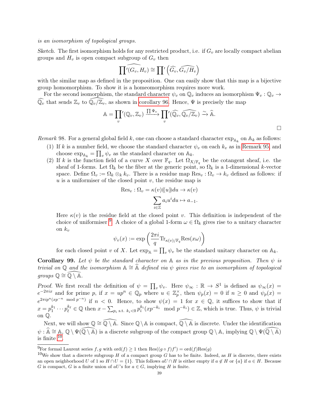is an isomorphism of topological groups.

Sketch. The first isomorphism holds for any restricted product, i.e. if  $G_v$  are locally compact abelian groups and  $H_v$  is open compact subgroup of  $G_v$  then

$$
\widehat{\prod' (G_v, H_v)} \cong \prod' \left(\widehat{G_v}, \widehat{G_v/H_v}\right)
$$

with the similar map as defined in the proposition. One can easily show that this map is a bijective group homomorphism. To show it is a homeomorphism requires more work.

For the second isomorphism, the standard character  $\psi_v$  on  $\mathbb{Q}_v$  induces an isomorphism  $\Psi_v : \mathbb{Q}_v \to$  $\overline{\mathbb{Q}_v}$  that sends  $\mathbb{Z}_v$  to  $\mathbb{Q}_v/\mathbb{Z}_v$ , as shown in [corollary 96.](#page-37-1) Hence,  $\Psi$  is precisely the map

$$
\mathbb{A} = \prod_{v} (\mathbb{Q}_v, \mathbb{Z}_v) \xrightarrow{\prod \Psi_v} \prod_{v} (\widehat{\mathbb{Q}_v}, \widehat{\mathbb{Q}_v/\mathbb{Z}_v}) \xrightarrow{\sim} \widehat{\mathbb{A}}.
$$

<span id="page-38-2"></span>Remark 98. For a general global field k, one can choose a standard character  $\exp_{A_k}$  on  $A_k$  as follows:

- (1) If k is a number field, we choose the standard character  $\psi_v$  on each  $k_v$  as in [Remark 95,](#page-37-0) and choose  $\exp_{\mathbb{A}_k} = \prod_v \psi_v$  as the standard character on  $\mathbb{A}_k$ .
- (2) If k is the function field of a curve X over  $\mathbb{F}_q$ . Let  $\Omega_{X/\mathbb{F}_q}$  be the cotangent sheaf, i.e. the sheaf of 1-forms. Let  $\Omega_k$  be the fiber at the generic point, so  $\Omega_k$  is a 1-dimensional k-vector space. Define  $\Omega_v := \Omega_k \otimes_k k_v$ . There is a residue map  $\text{Res}_v : \Omega_v \to k_v$  defined as follows: if  $u$  is a uniformiser of the closed point  $v$ , the residue map is

$$
Res_v : \Omega_v = \kappa(v)((u))du \to \kappa(v)
$$

$$
\sum_{i \in \mathbb{Z}} a_i u^i du \mapsto a_{-1}.
$$

Here  $\kappa(v)$  is the residue field at the closed point v. This definition is independent of the choice of uniformiser <sup>[9](#page-38-0)</sup>. A choice of a global 1-form  $\omega \in \Omega_k$  gives rise to a unitary character on  $k_v$ 

$$
\psi_v(x) := \exp\left(\frac{2\pi i}{q} \text{Tr}_{\kappa(v)/\mathbb{F}_q} \text{Res}(x\omega)\right)
$$

for each closed point v of X. Let  $\exp_{\mathbb{A}} = \prod_v \psi_v$  be the standard unitary character on  $\mathbb{A}_k$ .

**Corollary 99.** Let  $\psi$  be the standard character on A as in the previous proposition. Then  $\psi$  is trivial on Q and the isomorphism  $\mathbb{A} \cong \mathbb{A}$  defined via  $\psi$  gives rise to an isomorphism of topological *groups*  $\mathbb{O} \cong \widehat{\mathbb{O}} \setminus \widehat{\mathbb{A}}$ .

Proof. We first recall the definition of  $\psi = \prod_v \psi_v$ . Here  $\psi_\infty : \mathbb{R} \to S^1$  is defined as  $\psi_\infty(x) =$  $e^{-2\pi ix}$  and for prime p, if  $x = up^n \in \mathbb{Q}_p$  where  $u \in \mathbb{Z}_p^{\times}$ , then  $\psi_p(x) = 0$  if  $n \geq 0$  and  $\psi_p(x) = 0$  $e^{2\pi i p^n (x p^{-n} \mod p^{-n})}$  if  $n < 0$ . Hence, to show  $\psi(x) = 1$  for  $x \in \mathbb{Q}$ , it suffices to show that if  $x = p_1^{k_1} \cdots p_\ell^{k_\ell} \in \mathbb{Q}$  then  $x - \sum_{p_i \text{ s.t. } k_i < 0} p_i^{k_i} (xp^{-k_i} \mod p^{-k_i}) \in \mathbb{Z}$ , which is true. Thus,  $\psi$  is trivial on Q.

Next, we will show  $\mathbb{Q} \cong \widehat{\mathbb{Q} \setminus \mathbb{A}}$ . Since  $\mathbb{Q} \setminus \mathbb{A}$  is compact,  $\widehat{\mathbb{Q} \setminus \mathbb{A}}$  is discrete. Under the identification  $\psi : \widehat{\mathbb{A}} \cong \mathbb{A}, \mathbb{Q} \setminus \Psi(\widehat{\mathbb{Q}} \setminus \widehat{\mathbb{A}})$  is a discrete subgroup of the compact group  $\mathbb{Q} \setminus \mathbb{A}$ , implying  $\mathbb{Q} \setminus \Psi(\widehat{\mathbb{Q}} \setminus \widehat{\mathbb{A}})$ is finite  $10$ .

<span id="page-38-0"></span><sup>&</sup>lt;sup>9</sup>For formal Laurent series  $f, g$  with  $\text{ord}(f) \geq 1$  then  $\text{Res}((g \circ f)f') = \text{ord}(f)\text{Res}(g)$ 

<span id="page-38-1"></span><sup>&</sup>lt;sup>10</sup>We show that a discrete subgroup H of a compact group G has to be finite. Indeed, as H is discrete, there exists an open neighborhood U of 1 so  $H \cap U = \{1\}$ . This follows  $aU \cap H$  is either empty if  $a \notin H$  or  $\{a\}$  if  $a \in H$ . Because G is compact, G is a finite union of aU's for  $a \in G$ , implying H is finite.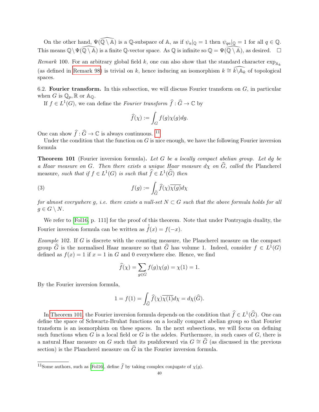On the other hand,  $\Psi(\widehat{\mathbb{Q}\setminus\mathbb{A}})$  is a Q-subspace of A, as if  $\psi_a|_{\mathbb{Q}}=1$  then  $\psi_{qa}|_{\mathbb{Q}}=1$  for all  $q\in\mathbb{Q}$ . This means  $\mathbb{Q}\setminus \Psi(\widehat{\mathbb{Q}\setminus\mathbb{A}})$  is a finite  $\mathbb{Q}\text{-vector space.}$  As  $\mathbb{Q}$  is infinite so  $\mathbb{Q}=\Psi(\widehat{\mathbb{Q}\setminus\mathbb{A}})$ , as desired.  $\Box$ 

Remark 100. For an arbitrary global field k, one can also show that the standard character  $\exp_{A_k}$ (as defined in [Remark 98\)](#page-38-2) is trivial on k, hence inducing an isomorphism  $k \cong \widehat{k\setminus\mathbb{A}_k}$  of topological spaces.

<span id="page-39-0"></span>6.2. **Fourier transform.** In this subsection, we will discuss Fourier transform on  $G$ , in particular when G is  $\mathbb{Q}_p$ , R or  $\mathbb{A}_{\mathbb{Q}}$ .

If  $f \in L^1(G)$ , we can define the *Fourier transform*  $\widehat{f} : \widehat{G} \to \mathbb{C}$  by

$$
\widehat{f}(\chi) := \int_G f(g)\chi(g) dg.
$$

One can show  $\hat{f}: \hat{G} \to \mathbb{C}$  is always continuous. <sup>[11](#page-39-1)</sup>

Under the condition that the function on  $G$  is nice enough, we have the following Fourier inversion formula

<span id="page-39-2"></span>**Theorem 101** (Fourier inversion formula). Let G be a locally compact abelian group. Let dg be a Haar measure on G. Then there exists a unique Haar measure  $d\chi$  on  $\widehat{G}$ , called the Plancherel measure, such that if  $f \in L^1(G)$  is such that  $\widehat{f} \in L^1(\widehat{G})$  then

(3) 
$$
f(g) := \int_{\widehat{G}} \widehat{f}(\chi) \overline{\chi(g)} d\chi
$$

for almost everywhere g, i.e. there exists a null-set  $N \subset G$  such that the above formula holds for all  $g \in G \setminus N$ .

We refer to [\[Fol16,](#page-69-12) p. 111] for the proof of this theorem. Note that under Pontryagin duality, the Fourier inversion formula can be written as  $\hat{f}(x) = f(-x)$ .

<span id="page-39-3"></span>Example 102. If G is discrete with the counting measure, the Plancherel measure on the compact group  $\widehat{G}$  is the normalised Haar measure so that  $\widehat{G}$  has volume 1. Indeed, consider  $f \in L^1(G)$ defined as  $f(x) = 1$  if  $x = 1$  in G and 0 everywhere else. Hence, we find

$$
\widehat{f}(\chi) = \sum_{g \in G} f(g)\chi(g) = \chi(1) = 1.
$$

By the Fourier inversion formula,

$$
1 = f(1) = \int_{\widehat{G}} \widehat{f}(\chi) \overline{\chi(1)} d\chi = d\chi(\widehat{G}).
$$

In [Theorem 101,](#page-39-2) the Fourier inversion formula depends on the condition that  $\hat{f} \in L^1(\hat{G})$ . One can define the space of Schwartz-Bruhat functions on a locally compact abelian group so that Fourier transform is an isomorphism on these spaces. In the next subsections, we will focus on defining such functions when G is a local field or G is the adeles. Furthermore, in such cases of  $G$ , there is a natural Haar measure on G such that its pushforward via  $G \cong \widehat{G}$  (as discussed in the previous section) is the Plancherel measure on  $\widehat{G}$  in the Fourier inversion formula.

<span id="page-39-1"></span><sup>&</sup>lt;sup>11</sup>Some authors, such as [\[Fol16\]](#page-69-12), define  $\hat{f}$  by taking complex conjugate of  $\chi(g)$ .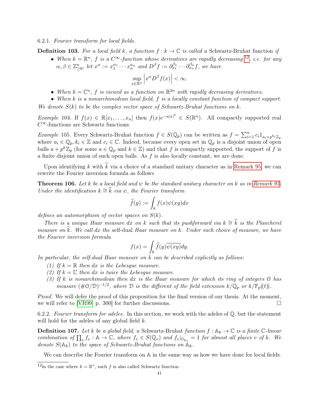#### 6.2.1. Fourier transform for local fields.

- **Definition 103.** For a local field k, a function  $f : k \to \mathbb{C}$  is called a Schwartz-Bruhat function if
	- When  $k = \mathbb{R}^n$ , f is a  $C^{\infty}$ -function whose derivatives are rapidly decreasing <sup>[12](#page-40-0)</sup>, i.e. for any  $\alpha, \beta \in \mathbb{Z}_{\geq 0}^n$ , let  $x^{\alpha} := x_1^{\alpha_1} \cdots x_n^{\alpha_n}$  and  $D^{\beta} f := \partial_{x_1}^{\beta_1} \cdots \partial_{x_n}^{\beta_n} f$ , we have

$$
\sup_{x \in \mathbb{R}^n} \left| x^{\alpha} D^{\beta} f(x) \right| < \infty.
$$

- When  $k = \mathbb{C}^n$ , f is viewed as a function on  $\mathbb{R}^{2n}$  with rapidly decreasing derivatives.
- When k is a nonarchimedean local field, f is a locally constant function of compact support. We denote  $S(k)$  to be the complex vector space of Schwartz-Bruhat functions on k.

Example 104. If  $f(x) \in \mathbb{R}[x_1,\ldots,x_n]$  then  $f(x)e^{-a|x|^2} \in S(\mathbb{R}^n)$ . All compactly supported real  $C^{\infty}$ -functions are Schwartz functions.

Example 105. Every Schwartz-Bruhat function  $f \in S(\mathbb{Q}_p)$  can be written as  $f = \sum_{i=1}^n c_i 1_{a_i + p^{k_i} \mathbb{Z}_p}$ where  $a_i \in \mathbb{Q}_p, k_i \in \mathbb{Z}$  and  $c_i \in \mathbb{C}$ . Indeed, because every open set in  $\mathbb{Q}_p$  is a disjoint union of open balls  $a + p^k \mathbb{Z}_p$  (for some  $a \in \mathbb{Q}_p$  and  $k \in \mathbb{Z}$ ) and that f is compactly supported, the support of f is a finite disjoint union of such open balls. As f is also locally constant, we are done.

Upon identifying k with  $\hat{k}$  via a choice of a standard unitary character as in [Remark 95,](#page-37-0) we can rewrite the Fourier inversion formula as follows

<span id="page-40-1"></span>**Theorem 106.** Let k be a local field and  $\psi$  be the standard unitary character on k as in [Remark 95.](#page-37-0) Under the identification  $k \cong \hat{k}$  via  $\psi$ , the Fourier transform

$$
\widehat{f}(y) := \int_{k} f(x)\psi(xy)dx
$$

defines an automorphism of vector spaces on  $S(k)$ .

There is a unique Haar measure dx on k such that its pushforward via  $k \cong \hat{k}$  is the Plancherel measure on  $\hat{k}$ . We call dx the self-dual Haar measure on k. Under such choice of measure, we have the Fourier inversion formula

$$
f(x) = \int_{k} \widehat{f}(y)\overline{\psi(xy)}dy.
$$

In particular, the self-dual Haar measure on k can be described explicitly as follows:

- (1) If  $k = \mathbb{R}$  then dx is the Lebesque measure.
- (2) If  $k = \mathbb{C}$  then dx is twice the Lebesgue measure.
- (3) If k is nonarchimedean then dx is the Haar measure for which its ring of integers  $\mathcal O$  has measure  $(\text{#O}/\mathcal{D})^{-1/2}$ , where  $\mathcal D$  is the different of the field extension  $k/\mathbb Q_p$  or  $k/\mathbb F_p(\mathfrak k)$ .

Proof. We will defer the proof of this proposition for the final version of our thesis. At the moment, we will refer to  $[VR99, p. 300]$  $[VR99, p. 300]$  for further discussions.

6.2.2. Fourier transform for adeles. In this section, we work with the adeles of  $\mathbb{Q}$ , but the statement will hold for the adeles of any global field k.

**Definition 107.** Let k be a global field, a Schwartz-Bruhat function  $f : \mathbb{A}_k \to \mathbb{C}$  is a finite  $\mathbb{C}\text{-}linear$ combination of  $\prod_v f_v : \mathbb{A} \to \mathbb{C}$ , where  $f_v \in S(\mathbb{Q}_v)$  and  $f_v|_{\mathcal{O}_{k_v}} = 1$  for almost all places v of k. We denote  $S(\mathbb{A}_k)$  to the space of Schwartz-Bruhat functions on  $\mathbb{A}_k$ .

We can describe the Fourier transform on  $A$  in the same way as how we have done for local fields.

<span id="page-40-0"></span><sup>&</sup>lt;sup>12</sup>in the case where  $k = \mathbb{R}^n$ , such f is also called Schwartz function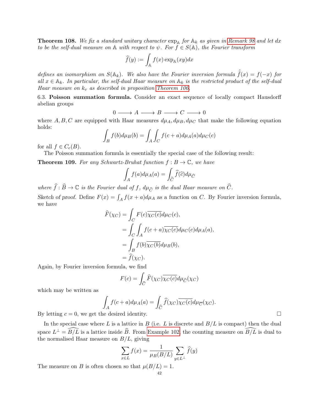<span id="page-41-1"></span>**Theorem 108.** We fix a standard unitary character  $\exp_A$  for  $A_k$  as given in [Remark 98](#page-38-2) and let dx to be the self-dual measure on  $\mathbb A$  with respect to  $\psi$ . For  $f \in S(\mathbb A)$ , the Fourier transform

$$
\widehat{f}(y) := \int_{\mathbb{A}} f(x) \exp_{\mathbb{A}}(xy) dx
$$

defines an isomorphism on  $S(\mathbb{A}_k)$ . We also have the Fourier inversion formula  $\hat{f}(x) = f(-x)$  for all  $x \in A_k$ . In particular, the self-dual Haar measure on  $A_k$  is the restricted product of the self-dual Haar measure on  $k_v$  as described in proposition [Theorem 106.](#page-40-1)

<span id="page-41-0"></span>6.3. Poisson summation formula. Consider an exact sequence of locally compact Hausdorff abelian groups

 $0 \longrightarrow A \longrightarrow B \longrightarrow C \longrightarrow 0$ 

where A, B, C are equipped with Haar measures  $d\mu_A, d\mu_B, d\mu_C$  that make the following equation holds:

$$
\int_B f(b)d\mu_B(b) = \int_A \int_C f(c+a)d\mu_A(a)d\mu_C(c)
$$

for all  $f \in C_c(B)$ .

The Poisson summation formula is essentially the special case of the following result:

**Theorem 109.** For any Schwartz-Bruhat function  $f : B \to \mathbb{C}$ , we have

$$
\int_A f(a)d\mu_A(a) = \int_{\widehat{C}} \widehat{f}(\widehat{c})d\mu_{\widehat{C}}
$$

where  $\hat{f}: \hat{B} \to \mathbb{C}$  is the Fourier dual of f,  $d\mu_{\hat{C}}$  is the dual Haar measure on  $\hat{C}$ . Sketch of proof. Define  $F(x) = \int_A f(x+a)d\mu_A$  as a function on C. By Fourier inversion formula, we have

$$
\widehat{F}(\chi_C) = \int_C F(c) \overline{\chi_C(c)} d\mu_C(c),
$$
  
= 
$$
\int_C \int_A f(c+a) \overline{\chi_C(c)} d\mu_C(c) d\mu_A(a),
$$
  
= 
$$
\int_B f(b) \overline{\chi_C(b)} d\mu_B(b),
$$
  
= 
$$
\widehat{f}(\chi_C).
$$

Again, by Fourier inversion formula, we find

$$
F(c) = \int_{\widehat{C}} \widehat{F}(\chi_C) \overline{\chi_C(c)} d\mu_{\widehat{C}}(\chi_C)
$$

which may be written as

$$
\int_{A} f(c+a)d\mu_{A}(a) = \int_{\widehat{C}} \widehat{f}(\chi_{C}) \overline{\chi_{C}(c)} d\mu_{\overline{C}}(\chi_{C}).
$$

By letting  $c = 0$ , we get the desired identity.

In the special case where L is a lattice in B (i.e. L is discrete and  $B/L$  is compact) then the dual space  $L^{\perp} = \widehat{B/L}$  is a lattice inside  $\widehat{B}$ . From [Example 102,](#page-39-3) the counting measure on  $\widehat{B/L}$  is dual to the normalised Haar measure on  $B/L$ , giving

$$
\sum_{x \in L} f(x) = \frac{1}{\mu(B/L)} \sum_{y \in L^{\perp}} \widehat{f}(y)
$$

The measure on B is often chosen so that  $\mu(B/L) = 1$ .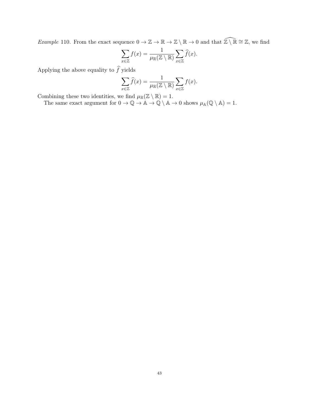Example 110. From the exact sequence  $0 \to \mathbb{Z} \to \mathbb{R} \to \mathbb{Z} \setminus \mathbb{R} \to 0$  and that  $\widehat{\mathbb{Z} \setminus \mathbb{R}} \cong \mathbb{Z}$ , we find

$$
\sum_{x \in \mathbb{Z}} f(x) = \frac{1}{\mu_{\mathbb{R}}(\mathbb{Z} \setminus \mathbb{R})} \sum_{x \in \mathbb{Z}} \widehat{f}(x).
$$

Applying the above equality to  $\widehat{f}$  yields

$$
\sum_{x \in \mathbb{Z}} \widehat{f}(x) = \frac{1}{\mu_{\mathbb{R}}(\mathbb{Z} \setminus \mathbb{R})} \sum_{x \in \mathbb{Z}} f(x).
$$

Combining these two identities, we find  $\mu_{\mathbb{R}}(\mathbb{Z} \setminus \mathbb{R}) = 1$ .

The same exact argument for  $0 \to \mathbb{Q} \to \mathbb{A} \to \mathbb{Q} \setminus \mathbb{A} \to 0$  shows  $\mu_{\mathbb{A}}(\mathbb{Q} \setminus \mathbb{A}) = 1$ .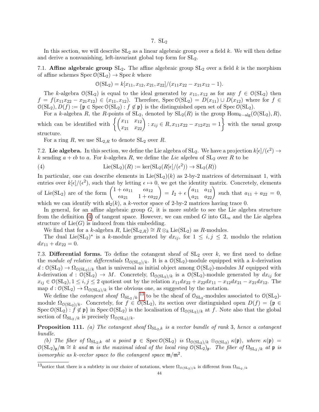#### 7.  $SL<sub>2</sub>$

<span id="page-43-0"></span>In this section, we will describe  $SL_2$  as a linear algebraic group over a field k. We will then define and derive a nonvanishing, left-invariant global top form for SL2.

<span id="page-43-1"></span>7.1. Affine algebraic group  $SL_2$ . The affine algebraic group  $SL_2$  over a field k is the morphism of affine schemes  $Spec\ O(SL_2) \rightarrow Spec k$  where

$$
\mathcal{O}(\mathrm{SL}_2)=k[x_{11}, x_{12}, x_{21}, x_{22}]/(x_{11}x_{22}-x_{21}x_{12}-1).
$$

The k-algebra  $\mathcal{O}(SL_2)$  is equal to the ideal generated by  $x_{11}, x_{12}$  as for any  $f \in \mathcal{O}(SL_2)$  then  $f = f(x_{11}x_{22} - x_{21}x_{12}) \in (x_{11}, x_{12})$ . Therefore, Spec  $\mathcal{O}(SL_2) = D(x_{11}) \cup D(x_{12})$  where for  $f \in$  $\mathcal{O}(\mathrm{SL}_2), D(f) := \{ \mathfrak{p} \in \mathrm{Spec} \, \mathcal{O}(\mathrm{SL}_2) : f \notin \mathfrak{p} \}$  is the distinguished open set of  $\mathrm{Spec} \, \mathcal{O}(\mathrm{SL}_2)$ .

For a k-algebra R, the R-points of  $SL_2$ , denoted by  $SL_2(R)$  is the group  $Hom_{k-alg}(\mathcal{O}(SL_2), R)$ , which can be identified with  $\left\{ \begin{pmatrix} x_{11} & x_{12} \\ x_{21} & x_{22} \end{pmatrix} : x_{ij} \in R, x_{11}x_{22} - x_{12}x_{21} = 1 \right\}$  with the usual group structure.

<span id="page-43-4"></span>For a ring R, we use  $SL_{2,R}$  to denote  $SL_2$  over R.

<span id="page-43-2"></span>7.2. Lie algebra. In this section, we define the Lie algebra of  $SL_2$ . We have a projection  $k[\epsilon]/(\epsilon^2) \to$ k sending  $a + \epsilon b$  to a. For k-algebra R, we define the Lie algebra of  $SL_2$  over R to be

(4) 
$$
\operatorname{Lie}(\operatorname{SL}_2)(R) := \operatorname{ker}(\operatorname{SL}_2(R[\epsilon]/(\epsilon^2)) \to \operatorname{SL}_2(R))
$$

In particular, one can describe elements in  $Lie(SL_2)(k)$  as 2-by-2 matrices of determinant 1, with entries over  $k[\epsilon]/(\epsilon^2)$ , such that by letting  $\epsilon \mapsto 0$ , we get the identity matrix. Concretely, elements of Lie(SL<sub>2</sub>) are of the form  $\begin{pmatrix} 1 + \epsilon a_{11} & \epsilon a_{12} \\ \epsilon a_{21} & 1 + \epsilon a_{22} \end{pmatrix} = I_2 + \epsilon \begin{pmatrix} a_{11} & a_{12} \\ a_{21} & a_{22} \end{pmatrix}$  such that  $a_{11} + a_{22} = 0$ , which we can identify with  $\mathfrak{sl}_2(k)$ , a k-vector space of 2-by-2 matrices having trace 0.

In general, for an affine algebraic group  $G$ , it is more subtle to see the Lie algebra structure from the definition [\(4\)](#page-43-4) of tangent space. However, we can embed G into  $GL_n$  and the Lie algebra structure of  $Lie(G)$  is induced from this embedding.

We find that for a k-algebra R, Lie(SL<sub>2,R</sub>)  $\cong$  R  $\otimes_k$  Lie(SL<sub>2</sub>) as R-modules.

The dual Lie(SL<sub>2</sub>)<sup>\*</sup> is a k-module generated by  $dx_{ij}$ , for  $1 \leq i, j \leq 2$ , modulo the relation  $dx_{11} + dx_{22} = 0.$ 

<span id="page-43-3"></span>7.3. Differential forms. To define the cotangent sheaf of  $SL_2$  over k, we first need to define the module of relative differentials  $\Omega_{\text{O(SL}_2)/k}$ . It is a  $\mathcal{O}(\text{SL}_2)$ -module equipped with a k-derivation  $d: \mathcal{O}(\mathrm{SL}_2) \to \Omega_{\mathcal{O}(\mathrm{SL}_2)/k}$  that is universal as initial object among  $\mathcal{O}(\mathrm{SL}_2)$ -modules M equipped with k-derivation  $d : \mathcal{O}(\mathrm{SL}_2) \to M$ . Concretely,  $\Omega_{\mathcal{O}(\mathrm{SL}_2)/k}$  is a  $\mathcal{O}(\mathrm{SL}_2)$ -module generated by  $dx_{ij}$  for  $x_{ij} \in \mathcal{O}(\mathrm{SL}_2), 1 \leq i, j \leq 2$  quotient out by the relation  $x_{11}dx_{22} + x_{22}dx_{11} - x_{12}dx_{21} - x_{21}dx_{12}$ . The map  $d: \mathcal{O}(\mathrm{SL}_2) \to \Omega_{\mathcal{O}(\mathrm{SL}_2)/k}$  is the obvious one, as suggested by the notation.

We define the *cotangent sheaf*  $\Omega_{SL_2/k}$ <sup>[13](#page-43-5)</sup> to be the sheaf of  $\mathcal{O}_{SL_2}$ -modules associated to  $\mathcal{O}(SL_2)$ module  $\Omega_{\mathcal{O}(\mathrm{SL}_2)/k}$ . Concretely, for  $f \in \mathcal{O}(\mathrm{SL}_2)$ , its section over distinguished open  $D(f) = \{ \mathfrak{p} \in$ Spec  $\mathcal{O}(\mathrm{SL}_2)$ :  $f \notin \mathfrak{p}$  in Spec  $\mathcal{O}(\mathrm{SL}_2)$  is the localisation of  $\Omega_{\mathcal{O}(\mathrm{SL}_2)/k}$  at f. Note also that the global section of  $\Omega_{SL_2/k}$  is precisely  $\Omega_{\mathcal{O}(SL_2)/k}$ .

**Proposition 111.** (a) The cotangent sheaf  $\Omega_{SL_2,k}$  is a vector bundle of rank 3, hence a cotangent bundle.

(b) The fiber of  $\Omega_{SL_2,k}$  at a point  $\mathfrak{p} \in \text{Spec } \mathcal{O}(\text{SL}_2)$  is  $\Omega_{\mathcal{O}(\text{SL}_2)/k} \otimes_{\mathcal{O}(\text{SL}_2)} \kappa(\mathfrak{p})$ , where  $\kappa(\mathfrak{p}) =$  $O(SL_2)_{\mathfrak{p}}/\mathfrak{m} \cong k$  and  $\mathfrak{m}$  is the maximal ideal of the local ring  $O(SL_2)_{\mathfrak{p}}$ . The fiber of  $\Omega_{SL_2/k}$  at  $\mathfrak{p}$  is isomorphic as k-vector space to the cotangent space  $\mathfrak{m}/\mathfrak{m}^2$ .

<span id="page-43-5"></span><sup>&</sup>lt;sup>13</sup>notice that there is a subtlety in our choice of notations, where  $\Omega_{\text{O(SL}_2)/k}$  is different from  $\Omega_{\text{SL}_2/k}$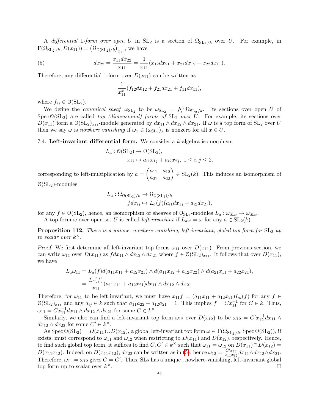A differential 1-form over open U in  $SL_2$  is a section of  $\Omega_{SL_2/k}$  over U. For example, in  $\Gamma(\Omega_{\mathrm{SL}_2/k}, D(x_{11})) = (\Omega_{\mathcal{O}(\mathrm{SL}_2)/k})_{x_{11}},$  we have

(5) 
$$
dx_{22} = \frac{x_{11}dx_{22}}{x_{11}} = \frac{1}{x_{11}}(x_{12}dx_{21} + x_{21}dx_{12} - x_{22}dx_{11}).
$$

Therefore, any differential 1-form over  $D(x_{11})$  can be written as

<span id="page-44-2"></span>
$$
\frac{1}{x_{11}^k}(f_{12}dx_{12}+f_{21}dx_{21}+f_{11}dx_{11}),
$$

where  $f_{ij} \in \mathcal{O}(\mathrm{SL}_2)$ .

We define the *canonical sheaf*  $\omega_{SL_2}$  to be  $\omega_{SL_2} = \Lambda^3 \Omega_{SL_2/k}$ . Its sections over open U of Spec  $\mathcal{O}(SL_2)$  are called top *(dimensional)* forms of  $SL_2$  over U. For example, its sections over  $D(x_{11})$  form a  $\mathcal{O}(\mathrm{SL}_2)_{x_{11}}$ -module generated by  $dx_{11} \wedge dx_{12} \wedge dx_{21}$ . If  $\omega$  is a top form of  $\mathrm{SL}_2$  over U then we say  $\omega$  is *nowhere vanishing* if  $\omega_x \in (\omega_{SL_2})_x$  is nonzero for all  $x \in U$ .

### <span id="page-44-0"></span>7.4. Left-invariant differential form. We consider a  $k$ -algebra isomorphism

$$
L_a: \mathcal{O}(\mathrm{SL}_2) \to \mathcal{O}(\mathrm{SL}_2),
$$
  
\n
$$
x_{ij} \mapsto a_{i1}x_{1j} + a_{i2}x_{2j}, \ 1 \le i, j \le 2.
$$

corresponding to left-multiplication by  $a = \begin{pmatrix} a_{11} & a_{12} \\ a_{21} & a_{22} \end{pmatrix} \in SL_2(k)$ . This induces an isomorphism of  $\mathcal{O}(\mathrm{SL}_2)$ -modules

$$
L_a: \Omega_{\mathcal{O}(\mathrm{SL}_2)/k} \to \Omega_{\mathcal{O}(\mathrm{SL}_2)/k}
$$
  

$$
fdx_{ij} \mapsto L_a(f)(a_{i1}dx_{1j} + a_{i2}dx_{2j}),
$$

for any  $f \in \mathcal{O}(\mathrm{SL}_2)$ , hence, an isomorphism of sheaves of  $\mathcal{O}_{\mathrm{SL}_2}$ -modules  $L_a: \omega_{\mathrm{SL}_2} \to \omega_{\mathrm{SL}_2}$ .

A top form  $\omega$  over open set U is called *left-invariant* if  $L_a\omega = \omega$  for any  $a \in SL_2(k)$ .

<span id="page-44-1"></span>**Proposition 112.** There is a unique, nowhere vanishing, left-invariant, global top form for  $SL_2$  up to scalar over  $k^{\times}$ .

Proof. We first determine all left-invariant top forms  $\omega_{11}$  over  $D(x_{11})$ . From previous section, we can write  $\omega_{11}$  over  $D(x_{11})$  as  $fdx_{11} \wedge dx_{12} \wedge dx_{21}$  where  $f \in \mathcal{O}(\mathrm{SL}_2)_{x_{11}}$ . It follows that over  $D(x_{11})$ , we have

$$
L_a\omega_{11} = L_a(f)d(a_{11}x_{11} + a_{12}x_{21}) \wedge d(a_{11}x_{12} + a_{12}x_{22}) \wedge d(a_{21}x_{11} + a_{22}x_{21}),
$$
  
= 
$$
\frac{L_a(f)}{x_{11}}(a_{11}x_{11} + a_{12}x_{21})dx_{11} \wedge dx_{12} \wedge dx_{21}.
$$

Therefore, for  $\omega_{11}$  to be left-invariant, we must have  $x_{11}f = (a_{11}x_{11} + a_{12}x_{21})L_a(f)$  for any  $f \in$  $\mathcal{O}(\mathrm{SL}_2)_{x_{11}}$  and any  $a_{ij} \in k$  such that  $a_{11}a_{22} - a_{12}a_{21} = 1$ . This implies  $f = Cx_{11}^{-1}$  for  $C \in k$ . Thus,  $\omega_{11} = C x_{11}^{-1} dx_{11} \wedge dx_{12} \wedge dx_{21}$  for some  $C \in k^{\times}$ .

Similarly, we also can find a left-invariant top form  $\omega_{12}$  over  $D(x_{12})$  to be  $\omega_{12} = C' x_{12}^{-1} dx_{11} \wedge$  $dx_{12} \wedge dx_{22}$  for some  $C' \in k^{\times}$ .

As Spec  $\mathcal{O}(\mathrm{SL}_2) = D(x_{11}) \cup D(x_{12})$ , a global left-invariant top form  $\omega \in \Gamma(\Omega_{\mathrm{SL}_2/k}, \mathrm{Spec} \, \mathcal{O}(\mathrm{SL}_2))$ , if exists, must correspond to  $\omega_{11}$  and  $\omega_{12}$  when restricting to  $D(x_{11})$  and  $D(x_{12})$ , respectively. Hence, to find such global top form, it suffices to find  $C, C' \in k^{\times}$  such that  $\omega_{11} = \omega_{12}$  on  $D(x_{11}) \cap D(x_{12}) =$  $D(x_{11}x_{12})$ . Indeed, on  $D(x_{11}x_{12})$ ,  $dx_{22}$  can be written as in [\(5\)](#page-44-2), hence  $\omega_{12} = \frac{C'x_{12}}{x_{11}x_{13}}$  $\frac{C'x_{12}}{x_{11}x_{12}}dx_{11}\wedge dx_{12}\wedge dx_{21}.$ Therefore,  $\omega_{11} = \omega_{12}$  gives  $C = C'$ . Thus,  $SL_2$  has a unique, nowhere-vanishing, left-invariant global top form up to scalar over  $k^{\times}$ . ×.<br>∴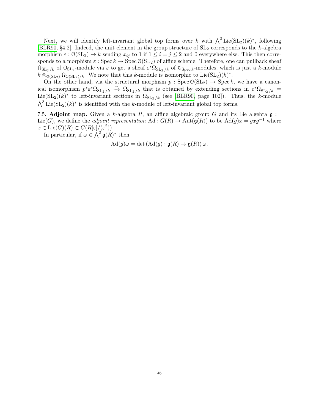Next, we will identify left-invariant global top forms over k with  $\bigwedge^3 \text{Lie}(\text{SL}_2)(k)^*$ , following [\[BLR90,](#page-69-24) §4.2]. Indeed, the unit element in the group structure of  $SL_2$  corresponds to the k-algebra morphism  $\varepsilon : \mathcal{O}(\mathrm{SL}_2) \to k$  sending  $x_{ij}$  to 1 if  $1 \leq i = j \leq 2$  and 0 everywhere else. This then corresponds to a morphism  $\varepsilon$  : Spec  $k \to \text{Spec } \mathcal{O}(\text{SL}_2)$  of affine scheme. Therefore, one can pullback sheaf  $\Omega_{\mathrm{SL}_2/k}$  of  $\mathcal{O}_{\mathrm{SL}_2}$ -module via  $\varepsilon$  to get a sheaf  $\varepsilon^*\Omega_{\mathrm{SL}_2/k}$  of  $\mathcal{O}_{\mathrm{Spec} k}$ -modules, which is just a k-module  $k \otimes_{\mathcal{O}(\mathrm{SL}_2)}^{\mathcal{O}} \Omega_{\mathcal{O}(\mathrm{SL}_2)/k}$ . We note that this k-module is isomorphic to Lie $(\mathrm{SL}_2)(k)^*$ .

On the other hand, via the structural morphism  $p : \text{Spec } \mathcal{O}(\text{SL}_2) \to \text{Spec } k$ , we have a canonical isomorphism  $p^* \varepsilon^* \Omega_{SL_2/k} \stackrel{\sim}{\to} \Omega_{SL_2/k}$  that is obtained by extending sections in  $\varepsilon^* \Omega_{SL_2/k}$ Lie(SL<sub>2</sub>)(k)<sup>\*</sup> to left-invariant sections in  $\Omega_{SL_2/k}$  (see [\[BLR90,](#page-69-24) page 102]). Thus, the k-module  $\bigwedge^3 \text{Lie}(\text{SL}_2)(k)^*$  is identified with the k-module of left-invariant global top forms.

<span id="page-45-0"></span>7.5. Adjoint map. Given a k-algebra R, an affine algebraic group G and its Lie algebra  $\mathfrak{g}$  := Lie(G), we define the *adjoint representation* Ad :  $G(R) \to \text{Aut}(\mathfrak{g}(R))$  to be Ad(g)x =  $gxq^{-1}$  where  $x \in \text{Lie}(G)(R) \subset G(R[\varepsilon]/(\varepsilon^2)).$ 

In particular, if  $\omega \in \bigwedge^3 \mathfrak{g}(R)^*$  then

$$
\mathrm{Ad}(g)\omega = \det\left(\mathrm{Ad}(g) : \mathfrak{g}(R) \to \mathfrak{g}(R)\right)\omega.
$$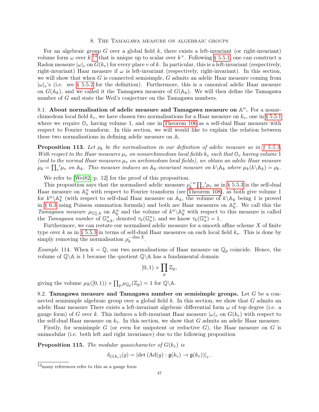#### 8. The Tamagawa measure on algebraic groups

<span id="page-46-0"></span>For an algebraic group G over a global field  $k$ , there exists a left-invariant (or right-invariant) volume form  $\omega$  over  $k^{-14}$  $k^{-14}$  $k^{-14}$  that is unique up to scalar over  $k^{\times}$ . Following [§ 5.5.1,](#page-33-1) one can construct a Radon measure  $|\omega|_v$  on  $G(k_v)$  for every place v of k. In particular, this is a left-invariant (respectively, right-invariant) Haar measure if  $\omega$  is left-invariant (respectively, right-invariant). In this section, we will show that when  $G$  is connected semisimple,  $G$  admits an adelic Haar measure coming from  $|\omega|_v$ 's (i.e. see [§ 5.5.2](#page-34-2) for the definition). Furthermore, this is a canonical adelic Haar measure on  $G(\mathbb{A}_k)$ , and we called it the Tamagawa measure of  $G(\mathbb{A}_k)$ . We will then define the Tamagawa number of G and state the Weil's conjecture on the Tamagawa numbers.

<span id="page-46-1"></span>8.1. About normalisation of adelic measure and Tamagawa measure on  $\mathbb{A}^n$ . For a nonarchimedean local field  $k_v$ , we have chosen two normalisations for a Haar measure on  $k_v$ , one in [§ 5.5.1](#page-33-1) where we require  $\mathcal{O}_v$  having volume 1, and one in [Theorem 106](#page-40-1) as a self-dual Haar measure with respect to Fourier transform. In this section, we will would like to explain the relation between these two normalisations in defining adelic measure on A.

**Proposition 113.** Let  $\rho_k$  be the normalisation in our definition of adelic measure as in [§ 5.5.3.](#page-34-3) With respect to the Haar measures  $\mu_v$  on nonarchimedean local fields  $k_v$  such that  $\mathcal{O}_v$  having volume 1 (and to the normal Haar measures  $\mu_v$  on archimedean local fields), we obtain an adelic Haar measure  $\mu_k = \prod_{v} \mu_v$  on  $\mathbb{A}_k$ . This measure induces an  $\mathbb{A}_k$ -invariant measure on  $k \setminus \mathbb{A}_k$  where  $\mu_k(k \setminus \mathbb{A}_k) = \rho_k$ .

We refer to [\[Wei82,](#page-70-2) p. 12] for the proof of this proposition.

This proposition says that the normalised adelic measure  $\rho_k^{-n}$  $\int_k^{-n} \prod_v' \mu_v$  as in [§ 5.5.3](#page-34-3) is the self-dual Haar measure on  $\mathbb{A}_k^n$  with respect to Fourier transform (see [Theorem 108\)](#page-41-1), as both give volume 1 for  $k^n \backslash \mathbb{A}_k^n$  (with respect to self-dual Haar measure on  $\mathbb{A}_k$ , the volume of  $k \backslash \mathbb{A}_k$  being 1 is proved in [§ 6.3](#page-41-0) using Poisson summation formula) and both are Haar measures on  $\mathbb{A}_k^n$ . We call this the Tamagawa measure  $\mu_{\mathbb{G}_a^n,k}$  on  $\mathbb{A}_k^n$  and the volume of  $k^n\backslash \mathbb{A}_k^n$  with respect to this measure is called the Tamagawa number of  $\mathbb{G}_{a,k}^n$ , denoted  $\tau_k(\mathbb{G}_a^n)$ , and we know  $\tau_k(\mathbb{G}_a^n) = 1$ .

Furthermore, we can restate our normalised adelic measure for a smooth affine scheme  $X$  of finite type over k as in [§ 5.5.3](#page-34-3) in terms of self-dual Haar measures on each local field  $k_v$ . This is done by simply removing the normalisation  $\rho_k^{-\dim X}$ k .

*Example* 114. When  $k = \mathbb{Q}$ , our two normalisations of Haar measure on  $\mathbb{Q}_p$  coincide. Hence, the volume of  $\mathbb{Q} \setminus \mathbb{A}$  is 1 because the quotient  $\mathbb{Q} \setminus \mathbb{A}$  has a fundamental domain

$$
[0,1)\times \prod_p \mathbb{Z}_p,
$$

giving the volume  $\mu_{\mathbb{R}}([0,1)) \times \prod_{p} \mu_{\mathbb{Q}_p}(\mathbb{Z}_p) = 1$  for  $\mathbb{Q} \backslash \mathbb{A}$ .

<span id="page-46-2"></span>8.2. Tamagawa measure and Tamagawa number on semisimple groups. Let  $G$  be a connected semisimple algebraic group over a global field  $k$ . In this section, we show that  $G$  admits an adelic Haar measure There exists a left-invariant algebraic differential form  $\omega$  of top degree (i.e. a gauge form) of G over k. This induces a left-invariant Haar measure  $|\omega|_v$  on  $G(k_v)$  with respect to the self-dual Haar measure on  $k_v$ . In this section, we show that G admits an adelic Haar measure.

Firstly, for semisimple G (or even for unipotent or reductive  $G$ ), the Haar measure on G is unimodular (i.e. both left and right invariance) due to the following proposition

<span id="page-46-3"></span>**Proposition 115.** The modular quasicharacter of  $G(k_v)$  is

 $\delta_{G(k_v)}(g) = \left| \det (\mathrm{Ad}(g) : \mathfrak{g}(k_v) \to \mathfrak{g}(k_v)) \right|_v.$ 

<span id="page-46-4"></span> $^{14}\mathrm{many}$  references refer to this as a gauge form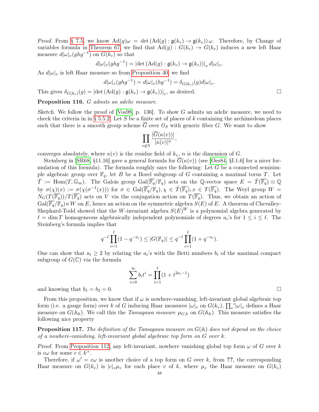Proof. From [§ 7.5,](#page-45-0) we know  $\text{Ad}(q)\omega = \det(\text{Ad}(q) : \mathfrak{g}(k_v) \to \mathfrak{g}(k_v))\omega$ . Therefore, by Change of variables formula in [Theorem 67,](#page-24-2) we find that  $\text{Ad}(g) : G(k_v) \to G(k_v)$  induces a new left Haar measure  $d|\omega|_v(ghg^{-1})$  on  $G(k_v)$  so that

$$
d|\omega|_v(ghg^{-1}) = |\det(\mathrm{Ad}(g) : \mathfrak{g}(k_v) \to \mathfrak{g}(k_v))|_v d|\omega|_v.
$$

As  $d|\omega|_v$  is left Haar measure so from [Proposition 40,](#page-14-1) we find

$$
d|\omega|_v(ghg^{-1}) = d|\omega|_v(hg^{-1}) = \delta_{G(k_v)}(g)d|\omega|_v.
$$

This gives  $\delta_{G(k_v)}(g) = |\det(\text{Ad}(g) : \mathfrak{g}(k_v) \to \mathfrak{g}(k_v))|_v$ , as desired.

Proposition 116. G admits an adelic measure.

Sketch. We follow the proof of [\[Vos98,](#page-70-10) p. 136]. To show G admits an adelic measure, we need to check the criteria in in [§ 5.5.2.](#page-34-2) Let S be a finite set of places of k containing the archimedean places such that there is a smooth group scheme  $\overline{G}$  over  $\mathcal{O}_S$  with generic fiber G. We want to show

$$
\prod_{v \notin S} \frac{|\overline{G}(\kappa(v))|}{|\kappa(v)|^n},
$$

converges absolutely, where  $\kappa(v)$  is the residue field of  $k_v$ , n is the dimension of G.

Steinberg in [\[SR68,](#page-70-11) §11.16] gave a general formula for  $G(\kappa(v))$  (see [\[Oes84,](#page-69-8) §I.1.6] for a nicer formulation of this formula). The formula roughly says the following: Let  $G$  be a connected semisimple algebraic group over  $\mathbb{F}_q$ , let B be a Borel subgroup of G containing a maximal torus T. Let  $\hat{T} := \text{Hom}(T, \mathbb{G}_m)$ . The Galois group  $\text{Gal}(\overline{\mathbb{F}_q}/\mathbb{F}_q)$  acts on the Q-vector space  $E = \hat{T}(\overline{\mathbb{F}_q}) \otimes \mathbb{Q}$ by  $\sigma(\chi)(x) := \sigma(\chi(\sigma^{-1}(x)))$  for  $\sigma \in \text{Gal}(\overline{\mathbb{F}_q}/\mathbb{F}_q)$ ,  $\chi \in \hat{T}(\overline{\mathbb{F}_q})$ ,  $x \in T(\overline{\mathbb{F}_q})$ . The Weyl group  $W =$  $N_G(T(\overline{\mathbb{F}_q}))/T(\overline{\mathbb{F}_q})$  acts on V via the conjugation action on  $T(\overline{\mathbb{F}_q})$ . Thus, we obtain an action of  $Gal(\overline{\mathbb{F}_q}/\mathbb{F}_q)\ltimes W$  on E, hence an action on the symmetric algebra  $S(E)$  of E. A theorem of Chevalley-Shephard-Todd showed that the W-invariant algebra  $S(E)^W$  is a polynomial algebra generated by  $\ell = \dim T$  homogeneous algebraically independent polynomials of degrees  $a_i$ 's for  $1 \leq i \leq \ell$ . The Steinberg's formula implies that

$$
q^{-\ell} \prod_{i=1}^{\ell} (1 - q^{-a_i}) \le |G(\mathbb{F}_q)| \le q^{-\ell} \prod_{i=1}^{\ell} (1 + q^{-a_i}).
$$

One can show that  $a_i \geq 2$  by relating the  $a_i$ 's with the Betti numbers  $b_i$  of the maximal compact subgroup of  $G(\mathbb{C})$  via the formula

$$
\sum_{i=0}^{\infty} b_i t^i = \prod_{i=1}^{\ell} (1 + t^{2a_i - 1})
$$

and knowing that  $b_1 = b_2 = 0$ .

From this proposition, we know that if  $\omega$  is nowhere-vanishing, left-invariant global algebraic top form (i.e. a gauge form) over k of G inducing Haar measures  $|\omega|_v$  on  $G(k_v)$ ,  $\prod_v'|\omega|_v$  defines a Haar measure on  $G(\mathbb{A}_k)$ . We call this the *Tamagawa measure*  $\mu_{G,k}$  on  $G(\mathbb{A}_k)$ . This measure satisfies the following nice property

**Proposition 117.** The definition of the Tamagawa measure on  $G(A)$  does not depend on the choice of a nowhere-vanishing, left-invariant global algebraic top form on G over k.

Proof. From [Proposition 112,](#page-44-1) any left-invariant, nowhere vanishing global top form  $\omega$  of G over k is  $c\omega$  for some  $c \in k^{\times}$ .

Therefore, if  $\omega' = c\omega$  is another choice of a top form on G over k, from ??, the corresponding Haar measure on  $G(k_v)$  is  $|c|_v\mu_v$  for each place v of k, where  $\mu_v$  the Haar measure on  $G(k_v)$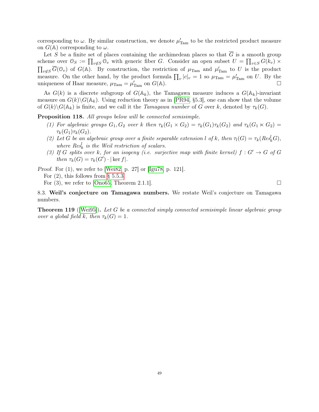corresponding to  $\omega$ . By similar construction, we denote  $\mu'_{\text{Tam}}$  to be the restricted product measure on  $G(\mathbb{A})$  corresponding to  $\omega$ .

Let S be a finite set of places containing the archimedean places so that  $\overline{G}$  is a smooth group scheme over  $\mathcal{O}_S := \prod_{v \notin S} \mathcal{O}_v$  with generic fiber G. Consider an open subset  $U = \prod_{v \in S} G(k_v) \times$  $\prod_{v \notin S} \overline{G}(\mathbb{O}_v)$  of  $G(\mathbb{A})$ . By construction, the restriction of  $\mu_{\text{Tam}}$  and  $\mu'_{\text{Tam}}$  to U is the product measure. On the other hand, by the product formula  $\prod_{v} |c|_{v} = 1$  so  $\mu_{\text{Tam}} = \mu'_{\text{Tam}}$  on U. By the uniqueness of Haar measure,  $\mu_{\text{Tam}} = \mu'_{\text{Tam}}$  on  $G(\mathbb{A})$ .

As  $G(k)$  is a discrete subgroup of  $G(\mathbb{A}_k)$ , the Tamagawa measure induces a  $G(\mathbb{A}_k)$ -invariant measure on  $G(k)\backslash G(\mathbb{A}_k)$ . Using reduction theory as in [\[PR94,](#page-70-12) §5.3], one can show that the volume of  $G(k)\backslash G(\mathbb{A}_k)$  is finite, and we call it the *Tamagawa number* of G over k, denoted by  $\tau_k(G)$ .

Proposition 118. All groups below will be connected semisimple.

- (1) For algebraic groups  $G_1, G_2$  over k then  $\tau_k(G_1 \times G_2) = \tau_k(G_1) \tau_k(G_2)$  and  $\tau_k(G_1 \times G_2)$  $\tau_k(G_1)\tau_k(G_2).$
- (2) Let G be an algebraic group over a finite separable extension l of k, then  $\tau_l(G) = \tau_k(Res_k^l(G)$ , where  $Res_k^l$  is the Weil restriction of scalars.
- (3) If G splits over k, for an isogeny (i.e. surjective map with finite kernel)  $f: G' \to G$  of G then  $\tau_k(G) = \tau_k(G') \cdot |\ker f|.$

Proof. For (1), we refer to [\[Wei82,](#page-70-2) p. 27] or [\[Igu78,](#page-69-25) p. 121].

For  $(2)$ , this follows from [§ 5.5.3.](#page-34-3)

For  $(3)$ , we refer to [\[Ono65,](#page-69-26) Theorem 2.1.1].

<span id="page-48-0"></span>8.3. Weil's conjecture on Tamagawa numbers. We restate Weil's conjecture on Tamagawa numbers.

**Theorem 119** ([\[Wei95\]](#page-70-1)). Let G be a connected simply connected semisimple linear algebraic group over a global field k, then  $\tau_k(G) = 1$ .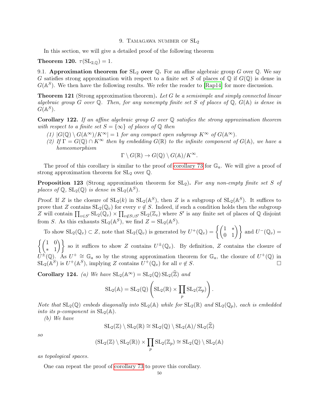#### 9. TAMAGAWA NUMBER OF  $SL<sub>2</sub>$

<span id="page-49-0"></span>In this section, we will give a detailed proof of the following theorem

<span id="page-49-3"></span>Theorem 120.  $\tau(SL_{2,\mathbb{Q}})=1$ .

<span id="page-49-1"></span>9.1. Approximation theorem for  $SL_2$  over  $\mathbb Q$ . For an affine algebraic group G over  $\mathbb Q$ . We say G satisfies strong approximation with respect to a finite set S of places of  $\mathbb Q$  if  $G(\mathbb Q)$  is dense in  $G(\mathbb{A}^S)$ . We then have the following results. We refer the reader to [\[Rap14\]](#page-70-13) for more discussion.

**Theorem 121** (Strong approximation theorem). Let G be a semisimple and simply connected linear algebraic group G over  $\mathbb Q$ . Then, for any nonempty finite set S of places of  $\mathbb Q$ ,  $G(\mathbb A)$  is dense in  $G(\mathbb{A}^S)$ .

**Corollary 122.** If an affine algebraic group G over  $\mathbb Q$  satisfies the strong approximation theorem with respect to a finite set  $S = \{\infty\}$  of places of  $\mathbb Q$  then

- (1)  $|G(\mathbb{Q}) \setminus G(\mathbb{A}^{\infty})/K^{\infty}| = 1$  for any compact open subgroup  $K^{\infty}$  of  $G(\mathbb{A}^{\infty})$ .
- (2) If  $\Gamma = G(\mathbb{Q}) \cap K^{\infty}$  then by embedding  $G(\mathbb{R})$  to the infinite component of  $G(\mathbb{A})$ , we have a homeomorphism

$$
\Gamma \setminus G(\mathbb{R}) \to G(\mathbb{Q}) \setminus G(\mathbb{A})/K^{\infty}.
$$

The proof of this corollary is similar to the proof of [corollary 73](#page-27-0) for  $\mathbb{G}_a$ . We will give a proof of strong approximation theorem for  $SL_2$  over  $\mathbb{Q}$ .

**Proposition 123** (Strong approximation theorem for  $SL_2$ ). For any non-empty finite set S of places of  $\mathbb{Q}$ ,  $\text{SL}_2(\mathbb{Q})$  is dense in  $\text{SL}_2(\mathbb{A}^S)$ .

Proof. If Z is the closure of  $SL_2(k)$  in  $SL_2(\mathbb{A}^S)$ , then Z is a subgroup of  $SL_2(\mathbb{A}^S)$ . It suffices to prove that Z contains  $SL_2(\mathbb{Q}_v)$  for every  $v \notin S$ . Indeed, if such a condition holds then the subgroup Z will contain  $\prod_{v\in S'} SL_2(\mathbb{Q}_v) \times \prod_{v\not\in S\cup S'} SL_2(\mathbb{Z}_v)$  where S' is any finite set of places of Q disjoint from S. As this exhausts  $SL_2(\mathbb{A}^S)$ , we find  $Z = SL_2(\mathbb{A}^S)$ .

To show 
$$
SL_2(\mathbb{Q}_v) \subset Z
$$
, note that  $SL_2(\mathbb{Q}_v)$  is generated by  $U^+(\mathbb{Q}_v) = \left\{ \begin{pmatrix} 1 & * \\ 0 & 1 \end{pmatrix} \right\}$  and  $U^-(\mathbb{Q}_v) =$   
(1, 0)

 $\int (1 \ 0)$  $\begin{pmatrix} 1 & 0 \\ 1 & 1 \end{pmatrix}$  so it suffices to show Z contains  $U^{\pm}(\mathbb{Q}_v)$ . By definition, Z contains the closure of  $\hat{U}^{\pm}(\mathbb{Q})$ . As  $U^{+} \cong \mathbb{G}_a$  so by the strong approximation theorem for  $\mathbb{G}_a$ , the closure of  $U^{+}(\mathbb{Q})$  in  $SL_2(\mathbb{A}^S)$  is  $U^+(\mathbb{A}^S)$ , implying Z contains  $U^+(\mathbb{Q}_v)$  for all  $v \notin S$ .

<span id="page-49-2"></span>Corollary 124. *(a)* We have  $SL_2(\mathbb{A}^{\infty}) = SL_2(\mathbb{Q}) SL_2(\mathbb{Z})$  and

$$
SL_2(\mathbb{A}) = SL_2(\mathbb{Q}) \left( SL_2(\mathbb{R}) \times \prod_p SL_2(\mathbb{Z}_p) \right).
$$

Note that  $SL_2(\mathbb{Q})$  embeds diagonally into  $SL_2(\mathbb{A})$  while for  $SL_2(\mathbb{R})$  and  $SL_2(\mathbb{Q}_p)$ , each is embedded into its p-component in  $SL_2(\mathbb{A})$ .

(b) We have

$$
\operatorname{SL}_2(\mathbb{Z})\setminus\operatorname{SL}_2(\mathbb{R})\cong\operatorname{SL}_2(\mathbb{Q})\setminus\operatorname{SL}_2(\mathbb{A})/\operatorname{SL}_2(\widehat{\mathbb{Z}})
$$

so

$$
(\mathrm{SL}_2(\mathbb{Z}) \setminus \mathrm{SL}_2(\mathbb{R})) \times \prod_p \mathrm{SL}_2(\mathbb{Z}_p) \cong \mathrm{SL}_2(\mathbb{Q}) \setminus \mathrm{SL}_2(\mathbb{A})
$$

as topological spaces.

One can repeat the proof of [corollary 73](#page-27-0) to prove this corollary.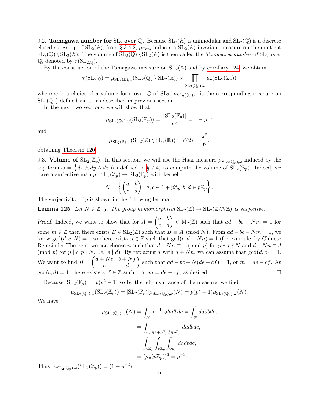<span id="page-50-0"></span>9.2. **Tamagawa number for**  $SL_2$  over  $\mathbb{Q}$ . Because  $SL_2(\mathbb{A})$  is unimodular and  $SL_2(\mathbb{Q})$  is a discrete closed subgroup of  $SL_2(\mathbb{A})$ , from [§ 3.4.2,](#page-15-0)  $\mu_{\text{Tam}}$  induces a  $SL_2(\mathbb{A})$ -invariant measure on the quotient  $SL_2(\mathbb{Q}) \setminus SL_2(\mathbb{A})$ . The volume of  $SL_2(\mathbb{Q}) \setminus SL_2(\mathbb{A})$  is then called the *Tamagawa number of*  $SL_2$  over Q, denoted by  $\tau(SL_{2,0})$ .

By the construction of the Tamagawa measure on  $SL_2(\mathbb{A})$  and by [corollary 124,](#page-49-2) we obtain

$$
\tau(\mathrm{SL}_{2,\mathbb{Q}}) = \mu_{\mathrm{SL}_2(\mathbb{R}),\omega}(\mathrm{SL}_2(\mathbb{Q}) \setminus \mathrm{SL}_2(\mathbb{R})) \times \prod_{\mathrm{SL}_2(\mathbb{Q}_p),\omega} \mu_p(\mathrm{SL}_2(\mathbb{Z}_p))
$$

where  $\omega$  is a choice of a volume form over  $\mathbb Q$  of  $SL_2$ ;  $\mu_{SL_2(\mathbb Q_v),\omega}$  is the corresponding measure on  $SL_2(\mathbb{Q}_v)$  defined via  $\omega$ , as described in previous section.

In the next two sections, we will show that

$$
\mu_{\mathrm{SL}_2(\mathbb{Q}_p),\omega}(\mathrm{SL}_2(\mathbb{Z}_p)) = \frac{|\mathrm{SL}_2(\mathbb{F}_p)|}{p^3} = 1 - p^{-2}
$$

and

$$
\mu_{\mathrm{SL}_2(\mathbb{R}),\omega}(\mathrm{SL}_2(\mathbb{Z})\setminus \mathrm{SL}_2(\mathbb{R}))=\zeta(2)=\frac{\pi^2}{6},
$$

obtaining [Theorem 120](#page-49-3)

<span id="page-50-1"></span>9.3. Volume of  $SL_2(\mathbb{Z}_p)$ . In this section, we will use the Haar measure  $\mu_{SL_2(\mathbb{Q}_p),\omega}$  induced by the top form  $\omega = \frac{1}{r}$  $\frac{1}{x}dx \wedge dy \wedge dz$  (as defined in [§ 7.4\)](#page-44-0) to compute the volume of  $SL_2(\mathbb{Z}_p)$ . Indeed, we have a surjective map  $p : SL_2(\mathbb{Z}_p) \to SL_2(\mathbb{F}_p)$  with kernel

$$
N = \left\{ \begin{pmatrix} a & b \\ c & d \end{pmatrix} : a, c \in 1 + p\mathbb{Z}_p; b, d \in p\mathbb{Z}_p \right\}.
$$

The surjectivity of  $p$  is shown in the following lemma:

**Lemma 125.** Let  $N \in \mathbb{Z}_{>0}$ . The group homomorphism  $SL_2(\mathbb{Z}) \to SL_2(\mathbb{Z}/N\mathbb{Z})$  is surjective.

Proof. Indeed, we want to show that for  $A = \begin{pmatrix} a & b \\ c & d \end{pmatrix} \in M_2(\mathbb{Z})$  such that  $ad - bc - Nm = 1$  for some  $m \in \mathbb{Z}$  then there exists  $B \in SL_2(\mathbb{Z})$  such that  $B \equiv A \pmod{N}$ . From  $ad - bc - Nm = 1$ , we know gcd $(d, c, N) = 1$  so there exists  $n \in \mathbb{Z}$  such that  $gcd(c, d + Nn) = 1$  (for example, by Chinese Remainder Theorem, we can choose n such that  $d + Nn \equiv 1 \pmod{p}$  for  $p|c, p \nmid N$  and  $d + Nn \equiv d$ (mod p) for p | c, p | N, i.e.  $p \nmid d$ ). By replacing d with  $d + Nn$ , we can assume that  $gcd(d, c) = 1$ . We want to find  $B = \begin{pmatrix} a + Ne & b + Nf \\ c & d \end{pmatrix}$  such that  $ad - bc + N(de - cf) = 1$ , or  $m = de - cf$ . As  $gcd(c, d) = 1$ , there exists  $e, f \in \mathbb{Z}$  such that  $m = de - cf$ , as desired.

Because  $|\mathrm{SL}_2(\mathbb{F}_p)| = p(p^2 - 1)$  so by the left-invariance of the measure, we find

$$
\mu_{\mathrm{SL}_2(\mathbb{Q}_p),\omega}(\mathrm{SL}_2(\mathbb{Z}_p)) = |\mathrm{SL}_2(\mathbb{F}_p)| \mu_{\mathrm{SL}_2(\mathbb{Q}_p),\omega}(N) = p(p^2 - 1) \mu_{\mathrm{SL}_2(\mathbb{Q}_p),\omega}(N).
$$

We have

$$
\mu_{\mathrm{SL}_2(\mathbb{Q}_p),\omega}(N) = \int_N |a^{-1}|_p da db dc = \int_N dadbdc,
$$
  
= 
$$
\int_{a,c \in 1+p\mathbb{Z}_p, b \in p\mathbb{Z}_p} dadbdc,
$$
  
= 
$$
\int_{p\mathbb{Z}_p} \int_{p\mathbb{Z}_p} \int_{p\mathbb{Z}_p} dadbdc,
$$
  
= 
$$
(\mu_p(p\mathbb{Z}_p))^3 = p^{-3}.
$$

Thus,  $\mu_{\mathrm{SL}_2(\mathbb{Q}_p), \omega}(\mathrm{SL}_2(\mathbb{Z}_p)) = (1 - p^{-2}).$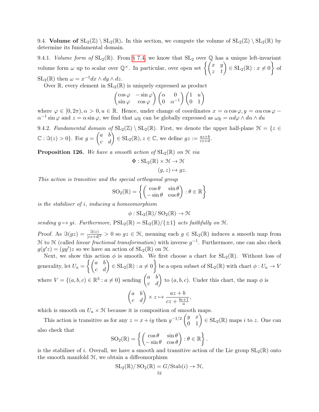<span id="page-51-0"></span>9.4. Volume of  $SL_2(\mathbb{Z}) \setminus SL_2(\mathbb{R})$ . In this section, we compute the volume of  $SL_2(\mathbb{Z}) \setminus SL_2(\mathbb{R})$  by determine its fundamental domain.

9.4.1. Volume form of  $SL_2(\mathbb{R})$ . From [§ 7.4,](#page-44-0) we know that  $SL_2$  over Q has a unique left-invariant volume form  $\omega$  up to scalar over  $\mathbb{Q}^{\times}$ . In particular, over open set  $\left\{ \begin{pmatrix} x & y \ z & t \end{pmatrix} \in SL_2(\mathbb{R}) : x \neq 0 \right\}$  of  $\mathrm{SL}_2(\mathbb{R})$  then  $\omega = x^{-1} dx \wedge dy \wedge dz$ .

Over  $\mathbb{R}$ , every element in  $SL_2(\mathbb{R})$  is uniquely expressed as product

$$
\begin{pmatrix}\n\cos\varphi & -\sin\varphi \\
\sin\varphi & \cos\varphi\n\end{pmatrix}\n\begin{pmatrix}\n\alpha & 0 \\
0 & \alpha^{-1}\n\end{pmatrix}\n\begin{pmatrix}\n1 & u \\
0 & 1\n\end{pmatrix}
$$

where  $\varphi \in [0, 2\pi), \alpha > 0, u \in \mathbb{R}$ . Hence, under change of coordinates  $x = \alpha \cos \varphi, y = \alpha u \cos \varphi$  $\alpha^{-1}$  sin  $\varphi$  and  $z = \alpha \sin \varphi$ , we find that  $\omega_{\mathbb{R}}$  can be globally expressed as  $\omega_{\mathbb{R}} = \alpha d\varphi \wedge d\alpha \wedge du$ 

9.4.2. Fundamental domain of  $SL_2(\mathbb{Z}) \setminus SL_2(\mathbb{R})$ . First, we denote the upper half-plane  $\mathcal{H} = \{z \in$  $\mathbb{C}: \Im(z) > 0\}$ . For  $g = \begin{pmatrix} a & b \\ c & d \end{pmatrix} \in SL_2(\mathbb{R}), z \in \mathbb{C}$ , we define  $gz := \frac{az+b}{cz+d}$ .

**Proposition 126.** We have a smooth action of  $SL_2(\mathbb{R})$  on  $\mathcal{H}$  via

$$
\Phi: SL_2(\mathbb{R}) \times \mathcal{H} \to \mathcal{H}
$$

$$
(g, z) \mapsto gz.
$$

This action is transitive and the special orthogonal group

$$
SO_2(\mathbb{R}) = \left\{ \begin{pmatrix} \cos \theta & \sin \theta \\ -\sin \theta & \cos \theta \end{pmatrix} : \theta \in \mathbb{R} \right\}
$$

is the stabiliser of i, inducing a homeomorphism

$$
\phi: SL_2(\mathbb{R})/SO_2(\mathbb{R}) \to \mathcal{H}
$$

sending  $g \mapsto gi$ . Furthermore,  $PSL_2(\mathbb{R}) = SL_2(\mathbb{R})/\{\pm 1\}$  acts faithfully on H.

Proof. As  $\Im(gz) = \frac{\Im(z)}{|cz+d|^2} > 0$  so  $gz \in \mathcal{H}$ , meaning each  $g \in SL_2(\mathbb{R})$  induces a smooth map from H to H (called *linear fractional transformation*) with inverse  $g^{-1}$ . Furthermore, one can also check  $g(g'z) = (gg')z$  so we have an action of  $SL_2(\mathbb{R})$  on H.

Next, we show this action  $\phi$  is smooth. We first choose a chart for  $SL_2(\mathbb{R})$ . Without loss of generality, let  $U_a = \left\{ \begin{pmatrix} a & b \ c & d \end{pmatrix} \in \mathrm{SL}_2(\mathbb{R}) : a \neq 0 \right\}$  be a open subset of  $\mathrm{SL}_2(\mathbb{R})$  with chart  $\phi : U_a \to V_a$ where  $V = \{(a, b, c) \in \mathbb{R}^3 : a \neq 0\}$  sending  $\begin{pmatrix} a & b \\ c & d \end{pmatrix}$  to  $(a, b, c)$ . Under this chart, the map  $\phi$  is  $\begin{pmatrix} a & b \\ c & d \end{pmatrix} \times z \mapsto \frac{az + b}{cz + \frac{bc + b}{c}}$  $cz + \frac{bc+1}{a}$ ,

which is smooth on  $U_a \times \mathcal{H}$  because it is composition of smooth maps.

This action is transitive as for any  $z = x + iy$  then  $y^{-1/2} \begin{pmatrix} y & x \\ 0 & 1 \end{pmatrix} \in SL_2(\mathbb{R})$  maps i to z. One can also check that

a

$$
SO_2(\mathbb{R}) = \left\{ \begin{pmatrix} \cos \theta & \sin \theta \\ -\sin \theta & \cos \theta \end{pmatrix} : \theta \in \mathbb{R} \right\}.
$$

is the stabiliser of i. Overall, we have a smooth and transitive action of the Lie group  $SL_2(\mathbb{R})$  onto the smooth manifold H, we obtain a diffeomorphism

$$
SL_2(\mathbb{R})/SO_2(\mathbb{R}) = G/\text{Stab}(i) \to \mathcal{H},
$$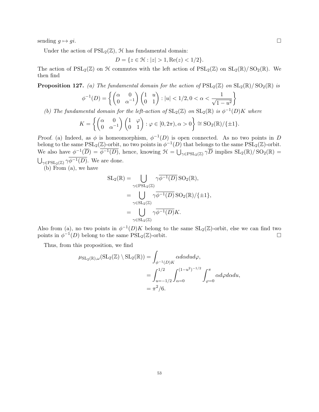sending  $q \mapsto qi$ .

Under the action of  $PSL_2(\mathbb{Z})$ ,  $\mathcal H$  has fundamental domain:

$$
D = \{ z \in \mathcal{H} : |z| > 1, \text{Re}(z) < 1/2 \}.
$$

The action of  $PSL_2(\mathbb{Z})$  on  $\mathcal H$  commutes with the left action of  $PSL_2(\mathbb{Z})$  on  $SL_2(\mathbb{R})/SO_2(\mathbb{R})$ . We then find

**Proposition 127.** (a) The fundamental domain for the action of  $PSL_2(\mathbb{Z})$  on  $SL_2(\mathbb{R})/SO_2(\mathbb{R})$  is

$$
\phi^{-1}(D) = \left\{ \begin{pmatrix} \alpha & 0 \\ 0 & \alpha^{-1} \end{pmatrix} \begin{pmatrix} 1 & u \\ 0 & 1 \end{pmatrix} : |u| < 1/2, 0 < \alpha < \frac{1}{\sqrt{1 - u^2}} \right\}
$$

(b) The fundamental domain for the left-action of  $SL_2(\mathbb{Z})$  on  $SL_2(\mathbb{R})$  is  $\phi^{-1}(D)K$  where

$$
K = \left\{ \begin{pmatrix} \alpha & 0 \\ 0 & \alpha^{-1} \end{pmatrix} \begin{pmatrix} 1 & \varphi \\ 0 & 1 \end{pmatrix} : \varphi \in [0, 2\pi), \alpha > 0 \right\} \cong SO_2(\mathbb{R}) / \{\pm 1\}.
$$

Proof. (a) Indeed, as  $\phi$  is homeomorphism,  $\phi^{-1}(D)$  is open connected. As no two points in D belong to the same  $PSL_2(\mathbb{Z})$ -orbit, no two points in  $\phi^{-1}(D)$  that belongs to the same  $PSL_2(\mathbb{Z})$ -orbit. We also have  $\phi^{-1}(\overline{D}) = \overline{\phi^{-1}(D)}$ , hence, knowing  $\mathcal{H} = \bigcup_{\gamma \in \text{PSL}_2(\mathbb{Z})} \gamma \overline{D}$  implies  $\text{SL}_2(\mathbb{R})/\text{SO}_2(\mathbb{R}) =$  $\bigcup_{\gamma \in \text{PSL}_2(\mathbb{Z})} \gamma \phi^{-1}(D)$ . We are done.

(b) From (a), we have

$$
SL_2(\mathbb{R}) = \bigcup_{\gamma \in \text{PSL}_2(\mathbb{Z})} \gamma \overline{\phi^{-1}(D)} \, \text{SO}_2(\mathbb{R}),
$$
  
\n
$$
= \bigcup_{\gamma \in \text{SL}_2(\mathbb{Z})} \gamma \overline{\phi^{-1}(D)} \, \text{SO}_2(\mathbb{R}) / \{ \pm 1 \},
$$
  
\n
$$
= \bigcup_{\gamma \in \text{SL}_2(\mathbb{Z})} \gamma \overline{\phi^{-1}(D)} K.
$$

Also from (a), no two points in  $\phi^{-1}(D)K$  belong to the same  $SL_2(\mathbb{Z})$ -orbit, else we can find two points in  $\phi^{-1}(D)$  belong to the same  $PSL_2(\mathbb{Z})$ -orbit.

Thus, from this proposition, we find

$$
\mu_{\mathrm{SL}_2(\mathbb{R}),\omega}(\mathrm{SL}_2(\mathbb{Z}) \setminus \mathrm{SL}_2(\mathbb{R})) = \int_{\phi^{-1}(D)K} \alpha d\alpha dud\varphi,
$$
  
= 
$$
\int_{u=-1/2}^{1/2} \int_{\alpha=0}^{(1-u^2)^{-1/2}} \int_{\varphi=0}^{\pi} \alpha d\varphi d\alpha du,
$$
  
=  $\pi^2/6.$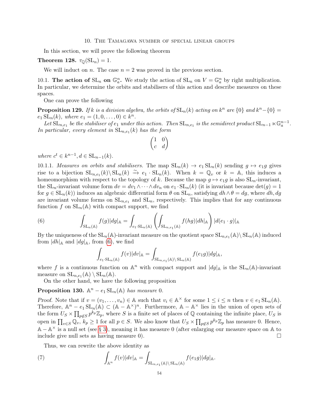<span id="page-53-0"></span>In this section, we will prove the following theorem

Theorem 128.  $\tau_{\mathbb{Q}}(\mathrm{SL}_n) = 1$ .

We will induct on n. The case  $n = 2$  was proved in the previous section.

<span id="page-53-1"></span>10.1. The action of  $SL_n$  on  $\mathbb{G}_a^n$ . We study the action of  $SL_n$  on  $V = \mathbb{G}_a^n$  by right multiplication. In particular, we determine the orbits and stabilisers of this action and describe measures on these spaces.

One can prove the following

**Proposition 129.** If k is a division algebra, the orbits of  $SL_n(k)$  acting on  $k^n$  are  $\{0\}$  and  $k^n - \{0\} =$  $e_1 \, SL_n(k)$ , where  $e_1 = (1, 0, \ldots, 0) \in k^n$ .

Let  $\tilde{\mathrm{SL}}_{n,e_1}$  be the stabiliser of  $e_1$  under this action. Then  $\mathrm{SL}_{n,e_1}$  is the semidirect product  $\mathrm{SL}_{n-1} \ltimes \mathbb{G}_a^{n-1}$ . In particular, every element in  $SL_{n,e_1}(k)$  has the form

$$
\begin{pmatrix} 1 & 0 \\ c & d \end{pmatrix}
$$

where  $c^t \in k^{n-1}, d \in SL_{n-1}(k)$ .

10.1.1. Measures on orbits and stabilisers. The map  $SL_n(k) \to e_1 SL_n(k)$  sending  $g \mapsto e_1 g$  gives rise to a bijection  $SL_{n,e_1}(k)\backslash SL_n(k) \stackrel{\sim}{\to} e_1 \cdot SL_n(k)$ . When  $k = \mathbb{Q}_v$  or  $k = \mathbb{A}$ , this induces a homeomorphism with respect to the topology of k. Because the map  $g \mapsto e_1g$  is also  $SL_n$ -invariant, the SL<sub>n</sub>-invariant volume form  $dv = dv_1 \wedge \cdots \wedge dv_n$  on  $e_1 \cdot SL_n(k)$  (it is invariant because  $det(g) = 1$ ) for  $g \in SL_n(k)$  induces an algebraic differential form  $\theta$  on  $SL_n$ , satisfying  $dh \wedge \theta = dg$ , where  $dh, dg$ are invariant volume forms on  $SL_{n,e_1}$  and  $SL_n$ , respectively. This implies that for any continuous function f on  $SL_n(\mathbb{A})$  with compact support, we find

(6) 
$$
\int_{\mathrm{SL}_n(\mathbb{A})} f(g) |dg|_{\mathbb{A}} = \int_{e_1 \cdot \mathrm{SL}_n(\mathbb{A})} \left( \int_{\mathrm{SL}_{n,e_1}(\mathbb{A})} f(hg) |dh|_{\mathbb{A}} \right) |d(e_1 \cdot g)|_{\mathbb{A}}
$$

By the uniqueness of the  $SL_n(\mathbb{A})$ -invariant measure on the quotient space  $SL_{n,e_1}(\mathbb{A})\setminus SL_n(\mathbb{A})$  induced from  $|dh|_A$  and  $|dg|_A$ , from [\(6\)](#page-53-2), we find

<span id="page-53-2"></span>
$$
\int_{e_1 \cdot \mathrm{SL}_n(\mathbb{A})} f(v) |dv|_{\mathbb{A}} = \int_{\mathrm{SL}_{n,e_1}(\mathbb{A}) \backslash \mathrm{SL}_n(\mathbb{A})} f(e_1 g)|dg|_{\mathbb{A}},
$$

where f is a continuous function on  $\mathbb{A}^n$  with compact support and  $|dg|_{\mathbb{A}}$  is the  $SL_n(\mathbb{A})$ -invariant measure on  $\mathrm{SL}_{n,e_1}(\mathbb{A}) \setminus \mathrm{SL}_n(\mathbb{A})$ .

On the other hand, we have the following proposition

**Proposition 130.**  $\mathbb{A}^n - e_1 \operatorname{SL}_n(\mathbb{A})$  has measure 0.

Proof. Note that if  $v = (v_1, \ldots, v_n) \in A$  such that  $v_i \in A^{\times}$  for some  $1 \leq i \leq n$  then  $v \in e_1 \text{SL}_n(A)$ . Therefore,  $\mathbb{A}^n - e_1 \operatorname{SL}_n(\mathbb{A}) \subset (\mathbb{A} - \mathbb{A}^\times)^n$ . Furthermore,  $\mathbb{A} - \mathbb{A}^\times$  lies in the union of open sets of the form  $U_S \times \prod_{p \notin S} p^{k_p} \mathbb{Z}_p$ , where S is a finite set of places of Q containing the infinite place,  $U_S$  is open in  $\prod_{v\in S}\mathbb{Q}_v$ ,  $k_p\geq 1$  for all  $p\in S$ . We also know that  $U_S\times \prod_{p\not\in S}p^{k_p}\mathbb{Z}_p$  has measure 0. Hence, A − A <sup>×</sup> is a null set (see [§ 3\)](#page-12-0), meaning it has measure 0 (after enlarging our measure space on A to include give null sets as having measure 0).  $\Box$ 

Thus, we can rewrite the above identity as

(7) 
$$
\int_{\mathbb{A}^n} f(v)|dv|_{\mathbb{A}} = \int_{\mathrm{SL}_{n,e_1}(\mathbb{A}) \backslash \mathrm{SL}_n(\mathbb{A})} f(e_1g)|dg|_{\mathbb{A}}.
$$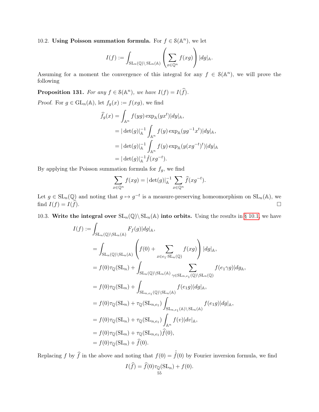<span id="page-54-0"></span>10.2. Using Poisson summation formula. For  $f \in \mathcal{S}(\mathbb{A}^n)$ , we let

$$
I(f) := \int_{\mathrm{SL}_n(\mathbb{Q}) \backslash \mathrm{SL}_n(\mathbb{A})} \left( \sum_{x \in \mathbb{Q}^n} f(xg) \right) |dg|_{\mathbb{A}}.
$$

Assuming for a moment the convergence of this integral for any  $f \in \mathcal{S}(\mathbb{A}^n)$ , we will prove the following

<span id="page-54-2"></span>**Proposition 131.** For any  $f \in \mathcal{S}(\mathbb{A}^n)$ , we have  $I(f) = I(\widehat{f})$ .

*Proof.* For  $g \in GL_n(\mathbb{A})$ , let  $f_g(x) := f(xg)$ , we find

$$
\hat{f}_g(x) = \int_{\mathbb{A}^n} f(yg) \exp_{\mathbb{A}}(yx^t) |dy|_{\mathbb{A}},
$$
  
\n
$$
= |\det(g)|_{\mathbb{A}}^{-1} \int_{\mathbb{A}^n} f(y) \exp_{\mathbb{A}}(yg^{-1}x^t) |dy|_{\mathbb{A}},
$$
  
\n
$$
= |\det(g)|_{\mathbb{A}}^{-1} \int_{\mathbb{A}^n} f(y) \exp_{\mathbb{A}}(y(xg^{-t})^t) |dy|_{\mathbb{A}}
$$
  
\n
$$
= |\det(g)|_{\mathbb{A}}^{-1} \hat{f}(xg^{-t}).
$$

By applying the Poisson summation formula for  $f_g$ , we find

$$
\sum_{x \in \mathbb{Q}^n} f(xg) = |\det(g)|_{\mathbb{A}}^{-1} \sum_{x \in \mathbb{Q}^n} \widehat{f}(xg^{-t}).
$$

Let  $g \in SL_n(\mathbb{Q})$  and noting that  $g \mapsto g^{-t}$  is a measure-preserving homeomorphism on  $SL_n(\mathbb{A})$ , we find  $I(f) = I(\hat{f}).$ 

<span id="page-54-1"></span>10.3. Write the integral over  $SL_n(\mathbb{Q}) \setminus SL_n(\mathbb{A})$  into orbits. Using the results in [§ 10.1,](#page-53-1) we have

$$
I(f) := \int_{\mathrm{SL}_n(\mathbb{Q}) \backslash \mathrm{SL}_n(\mathbb{A})} F_f(g)|dg|_{\mathbb{A}},
$$
  
\n
$$
= \int_{\mathrm{SL}_n(\mathbb{Q}) \backslash \mathrm{SL}_n(\mathbb{A})} \left( f(0) + \sum_{x \in e_1 \cdot \mathrm{SL}_n(\mathbb{Q})} f(xg) \right) |dg|_{\mathbb{A}},
$$
  
\n
$$
= f(0)\tau_{\mathbb{Q}}(\mathrm{SL}_n) + \int_{\mathrm{SL}_n(\mathbb{Q}) \backslash \mathrm{SL}_n(\mathbb{A})} \sum_{\gamma \in \mathrm{SL}_{n,e_1}(\mathbb{Q}) \backslash \mathrm{SL}_n(\mathbb{Q})} f(e_1 \gamma g) |dg_{\mathbb{A}},
$$
  
\n
$$
= f(0)\tau_{\mathbb{Q}}(\mathrm{SL}_n) + \int_{\mathrm{SL}_{n,e_1}(\mathbb{Q}) \backslash \mathrm{SL}_n(\mathbb{A})} f(e_1 g) |dg|_{\mathbb{A}},
$$
  
\n
$$
= f(0)\tau_{\mathbb{Q}}(\mathrm{SL}_n) + \tau_{\mathbb{Q}}(\mathrm{SL}_{n,e_1}) \int_{\mathrm{SL}_{n,e_1}(\mathbb{A}) \backslash \mathrm{SL}_n(\mathbb{A})} f(e_1 g) |dg|_{\mathbb{A}},
$$
  
\n
$$
= f(0)\tau_{\mathbb{Q}}(\mathrm{SL}_n) + \tau_{\mathbb{Q}}(\mathrm{SL}_{n,e_1}) \int_{\mathbb{A}^n} f(v) |dv|_{\mathbb{A}},
$$
  
\n
$$
= f(0)\tau_{\mathbb{Q}}(\mathrm{SL}_n) + \tau_{\mathbb{Q}}(\mathrm{SL}_{n,e_1}) \widehat{f}(0),
$$
  
\n
$$
= f(0)\tau_{\mathbb{Q}}(\mathrm{SL}_n) + \widehat{f}(0).
$$

Replacing f by  $\hat{f}$  in the above and noting that  $f(0) = \hat{f}(0)$  by Fourier inversion formula, we find  $I(f) = f(0)\tau_{\mathbb{Q}}(\mathrm{SL}_n) + f(0).$ <br>55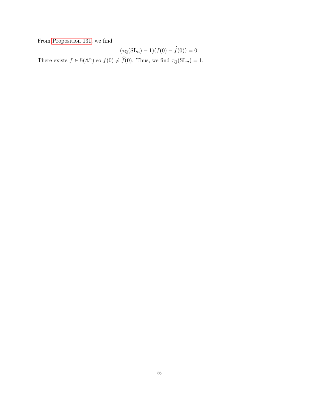From [Proposition 131,](#page-54-2) we find

$$
(\tau_{\mathbb{Q}}(\mathrm{SL}_n) - 1)(f(0) - \widehat{f}(0)) = 0.
$$

There exists  $f \in \mathcal{S}(\mathbb{A}^n)$  so  $f(0) \neq \hat{f}(0)$ . Thus, we find  $\tau_{\mathbb{Q}}(\mathrm{SL}_n) = 1$ .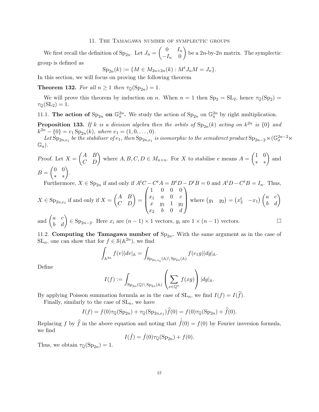## 11. The Tamagawa number of symplectic groups

<span id="page-56-0"></span>We first recall the definition of  $\text{Sp}_{2n}$ . Let  $J_n = \begin{pmatrix} 0 & I_n \\ -I & 0 \end{pmatrix}$  $-I_n$  0 be a  $2n$ -by- $2n$  matrix. The symplectic group is defined as

$$
Sp_{2n}(k) := \{ M \in M_{2n \times 2n}(k) : M^t J_n M = J_n \}.
$$

In this section, we will focus on proving the following theorem

**Theorem 132.** For all  $n \ge 1$  then  $\tau_{\mathbb{Q}}(\text{Sp}_{2n}) = 1$ .

We will prove this theorem by induction on n. When  $n = 1$  then  $Sp_2 = SL_2$ , hence  $\tau_{\mathbb{Q}}(Sp_2) =$  $\tau_{\mathbb{Q}}(\mathrm{SL}_2) = 1.$ 

<span id="page-56-1"></span>11.1. The action of  $\text{Sp}_{2n}$  on  $\mathbb{G}_a^{2n}$ . We study the action of  $\text{Sp}_{2n}$  on  $\mathbb{G}_a^{2n}$  by right multiplication.

**Proposition 133.** If k is a division algebra then the orbits of  $Sp_{2n}(k)$  acting on  $k^{2n}$  is  $\{0\}$  and  $k^{2n} - \{0\} = e_1 \text{Sp}_{2n}(k)$ , where  $e_1 = (1, 0, \ldots, 0)$ .

Let  $Sp_{2n,e_1}$  be the stabiliser of  $e_1$ , then  $Sp_{2n,e_1}$  is isomorphic to the semidirect product  $Sp_{2n-2} \ltimes (\mathbb{G}_a^{2n-2} \ltimes \mathbb{G}_a)$  $\mathbb{G}_a$ .

Proof. Let  $X = \begin{pmatrix} A & B \\ C & D \end{pmatrix}$  where  $A, B, C, D \in M_{n \times n}$ . For X to stabilise e means  $A = \begin{pmatrix} 1 & 0 \\ * & * \end{pmatrix}$  and  $B=\begin{pmatrix} 0 & 0 \ * & * \end{pmatrix}$ .

Furthermore,  $X \in \text{Sp}_{2n}$  if and only if  $A^tC - C^tA = B^tD - D^tB = 0$  and  $A^tD - C^tB = I_n$ . Thus,  $\begin{pmatrix} 1 & 0 & 0 & 0 \end{pmatrix}$ 

$$
X \in \text{Sp}_{2n,e_1} \text{ if and only if } X = \begin{pmatrix} A & B \\ C & D \end{pmatrix} = \begin{pmatrix} 1 & 0 & 0 & 0 \\ x_1 & a & 0 & c \\ x_2 & b & 0 & d \end{pmatrix} \text{ where } (y_1 \ y_2) = \begin{pmatrix} x_2^t & -x_1 \end{pmatrix} \begin{pmatrix} a & c \\ b & d \end{pmatrix}
$$

and  $\begin{pmatrix} a & c \\ b & d \end{pmatrix} \in \text{Sp}_{2n-2}$ . Here  $x_i$  are  $(n-1) \times 1$  vectors,  $y_i$  are  $1 \times (n-1)$  vectors.

<span id="page-56-2"></span>11.2. Computing the Tamagawa number of  $Sp_{2n}$ . With the same argument as in the case of  $SL_n$ , one can show that for  $f \in \mathcal{S}(\mathbb{A}^{2n})$ , we find

$$
\int_{\mathbb{A}^{2n}} f(v)|dv|_{\mathbb{A}} = \int_{\text{Sp}_{2n,e_1}(\mathbb{A}) \backslash \text{Sp}_{2n}(\mathbb{A})} f(e_1g)|dg|_{\mathbb{A}}.
$$

Define

$$
I(f) := \int_{\mathrm{Sp}_{2n}(\mathbb{Q}) \backslash \mathrm{Sp}_{2n}(\mathbb{A})} \left( \sum_{x \in \mathbb{Q}^n} f(xg) \right) |dg|_{\mathbb{A}}.
$$

By applying Poisson summation formula as in the case of  $SL_n$ , we find  $I(f) = I(\hat{f})$ .

Finally, similarly to the case of  $SL_n$ , we have

$$
I(f) = f(0)\tau_{\mathbb{Q}}(\text{Sp}_{2n}) + \tau_{\mathbb{Q}}(\text{Sp}_{2n,e_1})\widehat{f}(0) = f(0)\tau_{\mathbb{Q}}(\text{Sp}_{2n}) + \widehat{f}(0).
$$

Replacing f by  $\hat{f}$  in the above equation and noting that  $\hat{f}(0) = f(0)$  by Fourier inversion formula, we find

$$
I(\hat{f}) = \hat{f}(0)\tau_{\mathbb{Q}}(\text{Sp}_{2n}) + f(0).
$$

Thus, we obtain  $\tau_{\mathbb{Q}}(\mathrm{Sp}_{2n}) = 1$ .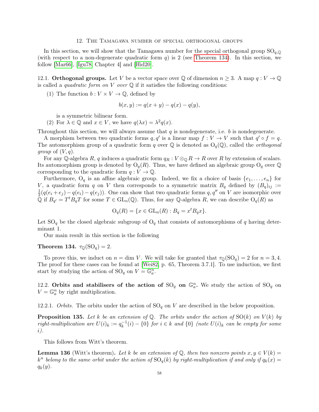#### 12. The Tamagawa number of special orthogonal groups

<span id="page-57-0"></span>In this section, we will show that the Tamagawa number for the special orthogonal group  $SO_{q,\mathbb{Q}}$ (with respect to a non-degenerate quadratic form  $q$ ) is 2 (see [Theorem 134\)](#page-57-3). In this section, we follow [\[Mar66\]](#page-69-27), [\[Igu78,](#page-69-25) Chapter 4] and [\[Hid20\]](#page-69-28).

<span id="page-57-1"></span>12.1. **Orthogonal groups.** Let V be a vector space over  $\mathbb Q$  of dimension  $n \geq 3$ . A map  $q: V \to \mathbb Q$ is called a *quadratic form on*  $V$  *over*  $\mathbb Q$  if it satisfies the following conditions:

(1) The function  $b: V \times V \rightarrow \mathbb{Q}$ , defined by

$$
b(x, y) := q(x + y) - q(x) - q(y),
$$

is a symmetric bilinear form.

(2) For  $\lambda \in \mathbb{Q}$  and  $x \in V$ , we have  $q(\lambda x) = \lambda^2 q(x)$ .

Throughout this section, we will always assume that  $q$  is nondegenerate, i.e.  $b$  is nondegenerate.

A morphism between two quadratic forms  $q, q'$  is a linear map  $f : V \to V$  such that  $q' \circ f = q$ . The automorphism group of a quadratic form q over Q is denoted as  $O_q(\mathbb{Q})$ , called the *orthogonal group* of  $(V, q)$ .

For any Q-algebra R, q induces a quadratic form  $q_R : V \otimes_{\mathbb{Q}} R \to R$  over R by extension of scalars. Its automorphism group is denoted by  $O_q(R)$ . Thus, we have defined an algebraic group  $O_q$  over Q corresponding to the quadratic form  $q: V \to \mathbb{Q}$ .

Furthermore,  $O_q$  is an affine algebraic group. Indeed, we fix a choice of basis  $\{e_1, \ldots, e_n\}$  for V, a quadratic form q on V then corresponds to a symmetric matrix  $B_q$  defined by  $(B_q)_{ij}$  := 1  $\frac{1}{2}(q(e_i+e_j)-q(e_i)-q(e_j))$ . One can show that two quadratic forms  $q, q''$  on V are isomorphic over Q if  $B_{q'} = T^t B_q T$  for some  $T \in GL_n(\mathbb{Q})$ . Thus, for any Q-algebra R, we can describe  $O_q(R)$  as

$$
\mathcal{O}_q(R) = \{ x \in \mathrm{GL}_n(R) : B_q = x^t B_q x \}.
$$

Let  $SO_q$  be the closed algebraic subgroup of  $O_q$  that consists of automorphisms of q having determinant 1.

Our main result in this section is the following

# <span id="page-57-3"></span>Theorem 134.  $\tau_{\mathbb{Q}}(\mathrm{SO}_q) = 2$ .

To prove this, we induct on  $n = \dim V$ . We will take for granted that  $\tau_{\mathbb{Q}}(S_{\mathbb{Q}}) = 2$  for  $n = 3, 4$ . The proof for these cases can be found at [\[Wei82,](#page-70-2) p. 65, Theorem 3.7.1]. To use induction, we first start by studying the action of  $\text{SO}_q$  on  $V = \mathbb{G}_a^n$ .

<span id="page-57-2"></span>12.2. Orbits and stabilisers of the action of  $\text{SO}_q$  on  $\mathbb{G}_a^n$ . We study the action of  $\text{SO}_q$  on  $V = \mathbb{G}_a^n$  by right multiplication.

12.2.1. Orbits. The orbits under the action of  $SO_q$  on V are described in the below proposition.

<span id="page-57-4"></span>**Proposition 135.** Let k be an extension of Q. The orbits under the action of  $SO(k)$  on  $V(k)$  by right-multiplication are  $U(i)_k := q_k^{-1}$  $k_k^{-1}(i) - \{0\}$  for  $i \in k$  and  $\{0\}$  (note  $U(i)_k$  can be empty for some i).

This follows from Witt's theorem.

**Lemma 136** (Witt's theorem). Let k be an extension of Q, then two nonzero points  $x, y \in V(k)$  =  $k^n$  belong to the same orbit under the action of  $SO_q(k)$  by right-multiplication if and only if  $q_k(x) =$  $q_k(y)$ .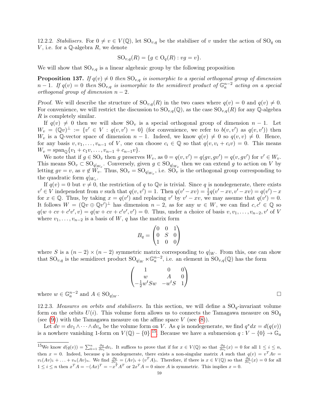12.2.2. Stabilisers. For  $0 \neq v \in V(\mathbb{Q})$ , let  $SO_{v,q}$  be the stabiliser of v under the action of  $SO_q$  on V, i.e. for a  $\mathbb Q$ -algebra R, we denote

$$
SO_{v,q}(R) = \{ g \in O_q(R) : v g = v \}.
$$

We will show that  $SO_{v,q}$  is a linear algebraic group by the following proposition

<span id="page-58-1"></span>**Proposition 137.** If  $q(v) \neq 0$  then  $SO_{v,q}$  is isomorphic to a special orthogonal group of dimension  $n-1$ . If  $q(v) = 0$  then  $SO_{v,q}$  is isomorphic to the semidirect product of  $\mathbb{G}_a^{n-2}$  acting on a special orthogonal group of dimension  $n-2$ .

Proof. We will describe the structure of  $SO_{v,q}(R)$  in the two cases where  $q(v) = 0$  and  $q(v) \neq 0$ . For convenience, we will restrict the discussion to  $\text{SO}_{v,q}(\mathbb{Q})$ , as the case  $\text{SO}_{v,q}(R)$  for any Q-algebra R is completely similar.

If  $q(v) \neq 0$  then we will show SO<sub>v</sub> is a special orthogonal group of dimension  $n - 1$ . Let  $W_v = (\mathbb{Q}v)^{\perp} := \{v' \in V : q(v, v') = 0\}$  (for convenience, we refer to  $b(v, v')$  as  $q(v, v')$ ) then  $W_v$  is a Q-vector space of dimension  $n-1$ . Indeed, we know  $q(v) \neq 0$  so  $q(v, v) \neq 0$ . Hence, for any basis  $v, v_1, \ldots, v_{n-1}$  of V, one can choose  $c_i \in \mathbb{Q}$  so that  $q(v, v_i + c_i v) = 0$ . This means  $W_v = \text{span}_{\mathbb{Q}}\{v_1 + c_1v, \ldots, v_{n-1} + c_{n-1}v\}.$ 

We note that if  $g \in \text{SO}_v$  then g preserves  $W_v$ , as  $0 = q(v, v') = q(gv, gv') = q(v, gv')$  for  $v' \in W_v$ . This means  $\text{SO}_v \subset \text{SO}_{q|_{W_v}}$ . Conversely, given  $g \in \text{SO}_{q|_{W_v}}$  then we can extend g to action on V by letting  $gv = v$ , as  $v \notin W_v$ . Thus,  $SO_v = SO_{q|_{W_v}}$ , i.e.  $SO_v$  is the orthogonal group corresponding to the quadratic form  $q|_{W_v}$ .

If  $q(v) = 0$  but  $v \neq 0$ , the restriction of q to Qv is trivial. Since q is nondegenerate, there exists  $v' \in V$  independent from v such that  $q(v, v') = 1$ . Then  $q(v' - xv) = \frac{1}{2}q(v' - xv, v' - xv) = q(v') - x$ for  $x \in \mathbb{Q}$ . Thus, by taking  $x = q(v')$  and replacing v' by  $v' - xv$ , we may assume that  $q(v') = 0$ . It follows  $W = (\mathbb{Q}v \oplus \mathbb{Q}v')^{\perp}$  has dimension  $n-2$ , as for any  $w \in W$ , we can find  $c, c' \in \mathbb{Q}$  so  $q(w + cv + c'v', v) = q(w + cv + c'v', v') = 0$ . Thus, under a choice of basis  $v, v_1, \ldots, v_{n-2}, v'$  of V where  $v_1, \ldots, v_{n-2}$  is a basis of W, q has the matrix form

$$
B_q = \begin{pmatrix} 0 & 0 & 1 \\ 0 & S & 0 \\ 1 & 0 & 0 \end{pmatrix}
$$

where S is a  $(n-2) \times (n-2)$  symmetric matrix corresponding to  $q|_W$ . From this, one can show that  $\mathrm{SO}_{v,q}$  is the semidirect product  $\mathrm{SO}_{q|W} \ltimes \mathbb{G}_a^{n-2}$ , i.e. an element in  $\mathrm{SO}_{v,q}(\mathbb{Q})$  has the form

$$
\begin{pmatrix}\n1 & 0 & 0 \\
w & A & 0 \\
-\frac{1}{2}w^{t}Sw & -w^{t}S & 1\n\end{pmatrix}
$$

where  $w \in \mathbb{G}_a^{n-2}$  and  $A \in \text{SO}_{q|w}$ 

<span id="page-58-2"></span>12.2.3. Measures on orbits and stabilisers. In this section, we will define a  $SO_q$ -invariant volume form on the orbits  $U(i)$ . This volume form allows us to connects the Tamagawa measure on  $SO<sub>q</sub>$ (see  $(9)$ ) with the Tamagawa measure on the affine space V (see  $(8)$ ).

Let  $dv = dv_1 \wedge \cdots \wedge dv_n$  be the volume form on V. As q is nondegenerate, we find  $q^*dx = d(q(v))$ is a nowhere vanishing 1-form on  $V(\mathbb{Q}) - \{0\}$  <sup>[15](#page-58-0)</sup>. Because we have a submersion  $q: V - \{0\} \to \mathbb{G}_a$ 

. В последните последните последните последните последните последните последните последните последните последн<br>В 1990 година от селото на селото на селото на селото на селото на селото на селото на селото на селото на сел

<span id="page-58-0"></span><sup>&</sup>lt;sup>15</sup>We know  $d(q(v)) = \sum_{k=1}^n \frac{\partial q}{\partial v_i} dv_i$ . It suffices to prove that if for  $x \in V(\mathbb{Q})$  so that  $\frac{\partial q}{\partial v_i}(x) = 0$  for all  $1 \leq i \leq n$ , then  $x = 0$ . Indeed, because q is nondegenerate, there exists a non-singular matrix A such that  $q(v) = v^T A v =$  $v_1(Av)_1 + \ldots + v_n(Av)_n$ . We find  $\frac{\partial q}{\partial v_i} = (Av)_i + (v^T A)_i$ . Therefore, if there is  $x \in V(\mathbb{Q})$  so that  $\frac{\partial q}{\partial v_i}(x) = 0$  for all  $1 \leq i \leq n$  then  $x^T A = -(Ax)^T = -x^T A^T$  or  $2x^T A = 0$  since A is symmetric. This implies  $x = 0$ .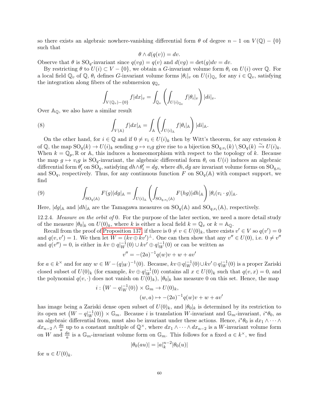so there exists an algebraic nowhere-vanishing differential form  $\theta$  of degree  $n-1$  on  $V(\mathbb{Q}) - \{0\}$ such that

$$
\theta \wedge d(q(v)) = dv.
$$

Observe that  $\theta$  is  $\text{SO}_q$ -invariant since  $q(vg) = q(v)$  and  $d(vg) = \det(g)dv = dv$ .

By restricting  $\theta$  to  $U(i) \subset V - \{0\}$ , we obtain a G-invariant volume form  $\theta_i$  on  $U(i)$  over Q. For a local field  $\mathbb{Q}_v$  of  $\mathbb{Q}$ ,  $\theta_i$  defines G-invariant volume forms  $|\theta_i|_v$  on  $U(i)_{\mathbb{Q}_v}$  for any  $i \in \mathbb{Q}_v$ , satisfying the integration along fibers of the submersion  $q_{\mathbb{Q}_v}$ 

<span id="page-59-1"></span>
$$
\int_{V(\mathbb{Q}_v)-\{0\}} f|dx|_v = \int_{\mathbb{Q}_v} \left( \int_{U(i)_{\mathbb{Q}_v}} f|\theta_i|_v \right) |di|_v.
$$

Over  $\mathbb{A}_{\mathbb{Q}}$ , we also have a similar result

(8) 
$$
\int_{V(\mathbb{A})} f|dx|_{\mathbb{A}} = \int_{\mathbb{A}} \left( \int_{U(i)_{\mathbb{A}}} f|\theta_i|_{\mathbb{A}} \right) |di|_{\mathbb{A}}.
$$

On the other hand, for  $i \in \mathbb{Q}$  and if  $0 \neq v_i \in U(i)_k$  then by Witt's theorem, for any extension k of  $\mathbb{Q}$ , the map  $\text{SO}_q(k) \to U(i)_k$  sending  $g \mapsto v_i g$  give rise to a bijection  $\text{SO}_{q,v_i}(k) \setminus \text{SO}_q(k) \xrightarrow{\sim} U(i)_k$ . When  $k = \mathbb{Q}_p$ , R or A, this induces a homeomorphism with respect to the topology of k. Because the map  $g \mapsto v_i g$  is  $\text{SO}_q$ -invariant, the algebraic differential form  $\theta_i$  on  $U(i)$  induces an algebraic differential form  $\theta'_i$  on  $\overline{SO}_q$ , satisfying  $dh \wedge \theta'_i = dg$ , where  $dh, dg$  are invariant volume forms on  $\overline{SO}_{q,v_i}$ and  $SO_q$ , respectively. Thus, for any continuous function F on  $SO_q(\mathbb{A})$  with compact support, we find

<span id="page-59-0"></span>(9) 
$$
\int_{\mathrm{SO}_q(\mathbb{A})} F(g) |dg|_{\mathbb{A}} = \int_{U(i)_{\mathbb{A}}} \left( \int_{\mathrm{SO}_{q,v_i}(\mathbb{A})} F(hg) |dh|_{\mathbb{A}} \right) |\theta_i(v_i \cdot g)|_{\mathbb{A}}.
$$

Here,  $|dg|_A$  and  $|dh|_A$  are the Tamagawa measures on  $SO_q(A)$  and  $SO_{q,v_i}(A)$ , respectively.

12.2.4. Measure on the orbit of 0. For the purpose of the later section, we need a more detail study of the measure  $|\theta_0|_k$  on  $U(0)_k$ , where k is either a local field  $k = \mathbb{Q}_v$  or  $k = \mathbb{A}_0$ .

Recall from the proof of [Proposition 137,](#page-58-1) if there is  $0 \neq v \in U(0)_k$ , there exists  $v' \in V$  so  $q(v') = 0$ and  $q(v, v') = 1$ . We then let  $W = (kv \oplus kv')^{\perp}$ . One can then show that any  $v'' \in U(0)$ , i.e.  $0 \neq v''$ and  $q(v'') = 0$ , is either in  $kv \oplus q|_W^{-1}(0) \cup kv' \oplus q|_W^{-1}(0)$  or can be written as

$$
v'' = -(2a)^{-1}q(w)v + w + av'
$$

for  $a \in k^{\times}$  and for any  $w \in W - (q|_W)^{-1}(0)$ . Because,  $kv \oplus q|_W^{-1}(0) \cup kv' \oplus q|_W^{-1}(0)$  is a proper Zariski closed subset of  $U(0)_k$  (for example,  $kv \oplus q|_W^{-1}(0)$  contains all  $x \in U(0)_k$  such that  $q(v,x) = 0$ , and the polynomial  $q(v, \cdot)$  does not vanish on  $U(0)_k$ ,  $|\theta_0|_k$  has measure 0 on this set. Hence, the map

$$
i: (W - q|_W^{-1}(0)) \times \mathbb{G}_m \to U(0)_k,
$$
  

$$
(w, a) \mapsto -(2a)^{-1}q(w)v + w + av'
$$

has image being a Zariski dense open subset of  $U(0)_k$ , and  $|\theta_0|_k$  is determined by its restriction to its open set  $(W - q_W^{-1}(0)) \times \mathbb{G}_m$ . Because *i* is translation W-invariant and  $\mathbb{G}_m$ -invariant,  $i^*\theta_0$ , as an algebraic differential from, must also be invariant under these actions. Hence,  $i^*\theta_0$  is  $dx_1 \wedge \cdots \wedge dx_n$  $dx_{n-2} \wedge \frac{da}{a}$  $\frac{da}{a}$  up to a constant multiple of  $\mathbb{Q}^{\times}$ , where  $dx_1 \wedge \cdots \wedge dx_{n-2}$  is a W-invariant volume form on W and  $\frac{da}{a}$  is a  $\mathbb{G}_m$ -invariant volume form on  $\mathbb{G}_m$ . This follows for a fixed  $a \in k^{\times}$ , we find

$$
|\theta_0(au)| = |a|_k^{n-2} |\theta_0(u)|
$$

for  $u \in U(0)_k$ .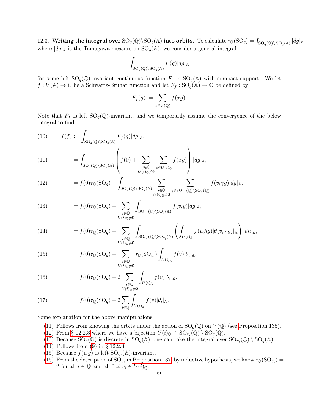<span id="page-60-0"></span>12.3. Writing the integral over  $\text{SO}_q(\mathbb{Q})\backslash \text{SO}_q(\mathbb{A})$  into orbits. To calculate  $\tau_{\mathbb{Q}}(\text{SO}_q) = \int_{\text{SO}_q(\mathbb{Q})\backslash \text{SO}_q(\mathbb{A})} |dg|_{\mathbb{A}}$ where  $|dg|_A$  is the Tamagawa measure on  $\text{SO}_q(\mathbb{A})$ , we consider a general integral

$$
\int_{\mathrm{SO}_q(\mathbb{Q})\backslash \mathrm{SO}_q(\mathbb{A})} F(g)|dg|_{\mathbb{A}}
$$

for some left  $SO_q(\mathbb{Q})$ -invariant continuous function F on  $SO_q(\mathbb{A})$  with compact support. We let  $f: V(\mathbb{A}) \to \mathbb{C}$  be a Schwartz-Bruhat function and let  $F_f: SO_q(\mathbb{A}) \to \mathbb{C}$  be defined by

$$
F_f(g) := \sum_{x \in V(\mathbb{Q})} f(xg).
$$

Note that  $F_f$  is left  $SO_q(\mathbb{Q})$ -invariant, and we temporarily assume the convergence of the below integral to find

<span id="page-60-1"></span>(10) 
$$
I(f) := \int_{\text{SO}_q(\mathbb{Q}) \backslash \text{SO}_q(\mathbb{A})} F_f(g)|dg|_{\mathbb{A}},
$$

$$
= \int_{\text{SO}_q(\mathbb{Q}) \backslash \text{SO}_q(\mathbb{A})} \left( f(0) + \sum_{\substack{i \in \mathbb{Q} \\ U(i)_{\mathbb{Q}} \neq \emptyset}} \sum_{x \in U(i)_{\mathbb{Q}}} f(xg) \right) |dg|_{\mathbb{A}},
$$

<span id="page-60-2"></span>(12) 
$$
= f(0)\tau_{\mathbb{Q}}(\mathrm{SO}_q) + \int_{\mathrm{SO}_q(\mathbb{Q})\backslash \mathrm{SO}_q(\mathbb{A})} \sum_{\substack{i \in \mathbb{Q} \\ U(i)_{\mathbb{Q}} \neq \emptyset}} \sum_{\gamma \in \mathrm{SO}_{v_i}(\mathbb{Q})\backslash \mathrm{SO}_q(\mathbb{Q})} f(v_i \gamma g) |dg|_{\mathbb{A}},
$$

<span id="page-60-3"></span>(13) 
$$
= f(0)\tau_{\mathbb{Q}}(\mathrm{SO}_q) + \sum_{\substack{i \in \mathbb{Q} \\ U(i)\mathbb{Q} \neq \emptyset}} \int_{\mathrm{SO}_{v_i}(\mathbb{Q}) \backslash \mathrm{SO}_q(\mathbb{A})} f(v_i g)|dg|_{\mathbb{A}},
$$

<span id="page-60-4"></span>(14) 
$$
= f(0)\tau_{\mathbb{Q}}(\mathrm{SO}_q) + \sum_{\substack{i \in \mathbb{Q} \\ U(i)\mathbb{Q} \neq \emptyset}} \int_{\mathrm{SO}_{v_i}(\mathbb{Q}) \backslash \mathrm{SO}_{v_i}(\mathbb{A})} \left( \int_{U(i)_{\mathbb{A}}} f(v_i h g) |\theta(v_i \cdot g)|_{\mathbb{A}} \right) |dh|_{\mathbb{A}},
$$

<span id="page-60-5"></span>(15) 
$$
= f(0)\tau_{\mathbb{Q}}(\text{SO}_q) + \sum_{\substack{i \in \mathbb{Q} \\ U(i)\in \mathcal{A}}} \tau_{\mathbb{Q}}(\text{SO}_{v_i}) \int_{U(i)_{\mathbb{A}}} f(v) |\theta_i|_{\mathbb{A}},
$$

<span id="page-60-6"></span>(16) 
$$
= f(0)\tau_{\mathbb{Q}}(\mathrm{SO}_q) + 2 \sum_{\substack{i \in \mathbb{Q} \\ U(i)\mathbb{Q}\neq \emptyset}} \int_{U(i)_{\mathbb{A}}} f(v)|\theta_i|_{\mathbb{A}},
$$

<span id="page-60-7"></span>(17) 
$$
= f(0)\tau_{\mathbb{Q}}(\mathrm{SO}_q) + 2\sum_{i \in \mathbb{Q}} \int_{U(i)_{\mathbb{A}}} f(v)|\theta_i|_{\mathbb{A}}.
$$

Some explanation for the above manipulations:

- [\(11\)](#page-60-1) Follows from knowing the orbits under the action of  $\text{SO}_q(\mathbb{Q})$  on  $V(\mathbb{Q})$  (see [Proposition 135\)](#page-57-4).
- [\(12\)](#page-60-2) From [§ 12.2.3](#page-58-2) where we have a bijection  $U(i)_{\mathbb{Q}} \cong SO_{v_i}(\mathbb{Q}) \setminus SO_q(\mathbb{Q})$ .
- [\(13\)](#page-60-3) Because  $SO_q(\mathbb{Q})$  is discrete in  $SO_q(\mathbb{A})$ , one can take the integral over  $SO_{v_i}(\mathbb{Q}) \setminus SO_q(\mathbb{A})$ .
- [\(14\)](#page-60-4) Follows from [\(9\)](#page-59-0) in [§ 12.2.3.](#page-58-2)
- [\(15\)](#page-60-5) Because  $f(v_i g)$  is left  $\text{SO}_{v_i}(\mathbb{A})$ -invariant.
- [\(16\)](#page-60-6) From the description of  $\text{SO}_{v_i}$  in [Proposition 137,](#page-58-1) by inductive hypothesis, we know  $\tau_{\mathbb{Q}}(\text{SO}_{v_i})$ 2 for all  $i \in \mathbb{Q}$  and all  $0 \neq v_i \in U(i)_{\mathbb{Q}}$ .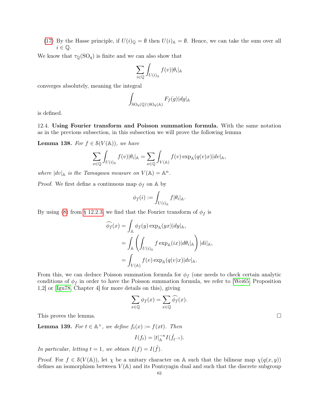[\(17\)](#page-60-7) By the Hasse principle, if  $U(i)_{\mathbb{Q}} = \emptyset$  then  $U(i)_{\mathbb{A}} = \emptyset$ . Hence, we can take the sum over all  $i \in \mathbb{Q}$ .

We know that  $\tau_{\mathbb{Q}}(SO_q)$  is finite and we can also show that

$$
\sum_{i\in\mathbb{Q}}\int_{U(i)_\mathbb{A}}f(v)|\theta_i|_{\mathbb{A}}
$$

converges absolutely, meaning the integral

$$
\int_{\mathrm{SO}_q(\mathbb{Q})\backslash \mathrm{SO}_q(\mathbb{A})} F_f(g)|dg|_{\mathbb{A}}
$$

is defined.

<span id="page-61-0"></span>12.4. Using Fourier transform and Poisson summation formula. With the same notation as in the previous subsection, in this subsection we will prove the following lemma

<span id="page-61-1"></span>**Lemma 138.** For  $f \in \mathcal{S}(V(\mathbb{A}))$ , we have

$$
\sum_{x \in \mathbb{Q}} \int_{U(i)_{\mathbb{A}}} f(v) |\theta_i|_{\mathbb{A}} = \sum_{x \in \mathbb{Q}} \int_{V(\mathbb{A})} f(v) \exp_{\mathbb{A}}(q(v)x) |dv|_{\mathbb{A}},
$$

where  $|dv|_{\mathbb{A}}$  is the Tamagawa measure on  $V(\mathbb{A}) = \mathbb{A}^n$ .

*Proof.* We first define a continuous map  $\phi_f$  on A by

$$
\phi_f(i) := \int_{U(i)_\mathbb{A}} f|\theta_i|_\mathbb{A}.
$$

By using [\(8\)](#page-59-1) from [§ 12.2.3,](#page-58-2) we find that the Fourier transform of  $\phi_f$  is

$$
\widehat{\phi_f}(x) = \int_{\mathbb{A}} \phi_f(y) \exp_{\mathbb{A}}(yx) |dy|_{\mathbb{A}},
$$
  
\n
$$
= \int_{\mathbb{A}} \left( \int_{U(i)_{\mathbb{A}}} f \exp_{\mathbb{A}}(ix) |d\theta_i|_{\mathbb{A}} \right) |di|_{\mathbb{A}},
$$
  
\n
$$
= \int_{V(\mathbb{A})} f(v) \exp_{\mathbb{A}}(q(v)x) |dv|_{\mathbb{A}}.
$$

From this, we can deduce Poisson summation formula for  $\phi_f$  (one needs to check certain analytic conditions of  $\phi_f$  in order to have the Poisson summation formula, we refer to Wei65, Proposition 1,2] or [\[Igu78,](#page-69-25) Chapter 4] for more details on this), giving

$$
\sum_{x \in \mathbb{Q}} \phi_f(x) = \sum_{x \in \mathbb{Q}} \widehat{\phi_f}(x).
$$

This proves the lemma.

<span id="page-61-2"></span>**Lemma 139.** For  $t \in \mathbb{A}^{\times}$ , we define  $f_t(x) := f(xt)$ . Then

$$
I(f_t) = |t|_{\mathbb{A}}^{-n} I(\hat{f}_{t^{-1}}).
$$

In particular, letting  $t = 1$ , we obtain  $I(f) = I(\hat{f})$ .

Proof. For  $f \in \mathcal{S}(V(\mathbb{A}))$ , let  $\chi$  be a unitary character on A such that the bilinear map  $\chi(q(x, y))$ defines an isomorphism between  $V(\mathbb{A})$  and its Pontryagin dual and such that the discrete subgroup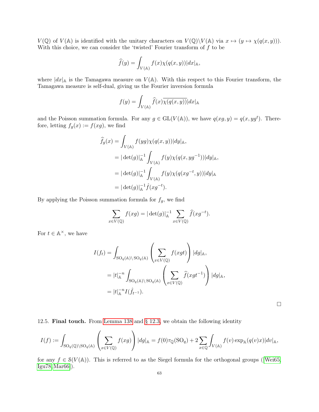$V(\mathbb{Q})$  of  $V(\mathbb{A})$  is identified with the unitary characters on  $V(\mathbb{Q})\backslash V(\mathbb{A})$  via  $x \mapsto (y \mapsto \chi(q(x, y))).$ With this choice, we can consider the 'twisted' Fourier transform of  $f$  to be

$$
\widehat{f}(y) = \int_{V(\mathbb{A})} f(x) \chi(q(x, y)) |dx|_{\mathbb{A}},
$$

where  $|dx|_A$  is the Tamagawa measure on  $V(A)$ . With this respect to this Fourier transform, the Tamagawa measure is self-dual, giving us the Fourier inversion formula

$$
f(y) = \int_{V(\mathbb{A})} \widehat{f}(x) \overline{\chi(q(x,y))} |dx|_{\mathbb{A}}
$$

and the Poisson summation formula. For any  $g \in GL(V(\mathbb{A}))$ , we have  $q(xg, y) = q(x, yg^t)$ . Therefore, letting  $f_g(x) := f(xg)$ , we find

$$
\hat{f}_g(x) = \int_{V(\mathbb{A})} f(yg) \chi(q(x, y)) |dy|_{\mathbb{A}},
$$
\n
$$
= |\det(g)|_{\mathbb{A}}^{-1} \int_{V(\mathbb{A})} f(y) \chi(q(x, yg^{-1})) |dy|_{\mathbb{A}},
$$
\n
$$
= |\det(g)|_{\mathbb{A}}^{-1} \int_{V(\mathbb{A})} f(y) \chi(q(xg^{-t}, y)) |dy|_{\mathbb{A}}
$$
\n
$$
= |\det(g)|_{\mathbb{A}}^{-1} \hat{f}(xg^{-t}).
$$

By applying the Poisson summation formula for  $f_g$ , we find

$$
\sum_{x \in V(\mathbb{Q})} f(xg) = |\det(g)|_{\mathbb{A}}^{-1} \sum_{x \in V(\mathbb{Q})} \widehat{f}(xg^{-t}).
$$

For  $t \in \mathbb{A}^{\times}$ , we have

$$
I(f_t) = \int_{\text{SO}_q(\mathbb{A}) \backslash \text{SO}_q(\mathbb{A})} \left( \sum_{x \in V(\mathbb{Q})} f(xgt) \right) |dg|_{\mathbb{A}},
$$
  
\n
$$
= |t|_{\mathbb{A}}^{-n} \int_{\text{SO}_q(\mathbb{A}) \backslash \text{SO}_q(\mathbb{A})} \left( \sum_{x \in V(\mathbb{Q})} \hat{f}(xgt^{-1}) \right) |dg|_{\mathbb{A}},
$$
  
\n
$$
= |t|_{\mathbb{A}}^{-n} I(\hat{f}_{t^{-1}}).
$$

 $\Box$ 

<span id="page-62-0"></span>12.5. Final touch. From [Lemma 138](#page-61-1) and [§ 12.3,](#page-60-0) we obtain the following identity

$$
I(f):=\int_{\mathrm{SO}_q({\mathbb{Q}})\backslash \mathrm{SO}_q(\mathbb{A})}\left(\sum_{x\in V({\mathbb{Q}})}f(xg)\right)|dg|_{\mathbb{A}}=f(0)\tau_{\mathbb{Q}}(\mathrm{SO}_q)+2\sum_{x\in {\mathbb{Q}}}\int_{V(\mathbb{A})}f(v)\exp_{\mathbb{A}}(q(v)x)|dv|_{\mathbb{A}},
$$

for any  $f \in \mathcal{S}(V(\mathbb{A}))$ . This is referred to as the Siegel formula for the orthogonal groups ([\[Wei65,](#page-70-14) [Igu78,](#page-69-25)[Mar66\]](#page-69-27)).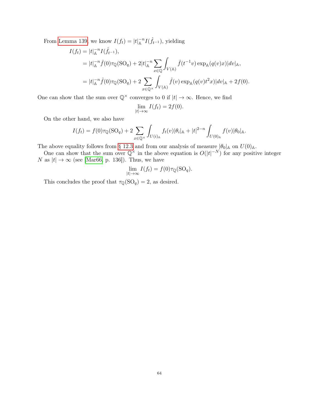From [Lemma 139,](#page-61-2) we know  $I(f_t) = |t|_A^{-n} I(\hat{f}_{t-1}),$  yielding

$$
I(f_t) = |t|_{\mathbb{A}}^{-n} I(\hat{f}_{t-1}),
$$
  
\n
$$
= |t|_{\mathbb{A}}^{-n} \hat{f}(0)\tau_{\mathbb{Q}}(\mathrm{SO}_q) + 2|t|_{\mathbb{A}}^{-n} \sum_{x \in \mathbb{Q}} \int_{V(\mathbb{A})} \hat{f}(t^{-1}v) \exp_{\mathbb{A}}(q(v)x) |dv|_{\mathbb{A}},
$$
  
\n
$$
= |t|_{\mathbb{A}}^{-n} \hat{f}(0)\tau_{\mathbb{Q}}(\mathrm{SO}_q) + 2 \sum_{x \in \mathbb{Q}^{\times}} \int_{V(\mathbb{A})} \hat{f}(v) \exp_{\mathbb{A}}(q(v)t^2x) |dv|_{\mathbb{A}} + 2f(0).
$$

One can show that the sum over  $\mathbb{Q}^{\times}$  converges to 0 if  $|t| \to \infty$ . Hence, we find

$$
\lim_{|t| \to \infty} I(f_t) = 2f(0).
$$

On the other hand, we also have

$$
I(f_t) = f(0)\tau_{\mathbb{Q}}(\text{SO}_q) + 2\sum_{x \in \mathbb{Q}^\times} \int_{U(i)_\mathbb{A}} f_t(v)|\theta_i|_{\mathbb{A}} + |t|^{2-n} \int_{U(0)_\mathbb{A}} f(v)|\theta_0|_{\mathbb{A}}.
$$

The above equality follows from [§ 12.3](#page-60-0) and from our analysis of measure  $|\theta_0|_A$  on  $U(0)_A$ .

One can show that the sum over  $\mathbb{Q}^{\times}$  in the above equation is  $O(|t|^{-N})$  for any positive integer N as  $|t| \to \infty$  (see [\[Mar66,](#page-69-27) p. 136]). Thus, we have

$$
\lim_{|t| \to \infty} I(f_t) = f(0)\tau_{\mathbb{Q}}(\text{SO}_q).
$$

This concludes the proof that  $\tau_{\mathbb{Q}}(\mathrm{SO}_q) = 2$ , as desired.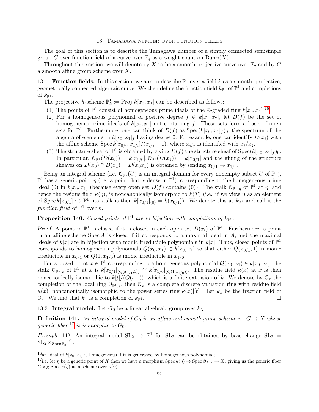#### 13. Tamagawa number over function fields

<span id="page-64-0"></span>The goal of this section is to describe the Tamagawa number of a simply connected semisimple group G over function field of a curve over  $\mathbb{F}_q$  as a weight count on  $\text{Bun}_G(X)$ .

Throughout this section, we will denote by X to be a smooth projective curve over  $\mathbb{F}_q$  and by G a smooth affine group scheme over  $X$ .

<span id="page-64-1"></span>13.1. Function fields. In this section, we aim to describe  $\mathbb{P}^1$  over a field k as a smooth, projective, geometrically connected algebraic curve. We then define the function field  $k_{\mathbb{P}^1}$  of  $\mathbb{P}^1$  and completions of  $k_{\mathbb{P}1}$ .

The projective k-scheme  $\mathbb{P}_k^1 := \text{Proj } k[x_0, x_1]$  can be described as follows:

- (1) The points of  $\mathbb{P}^1$  consist of homogeneous prime ideals of the Z-graded ring  $k[x_0, x_1]$  <sup>[16](#page-64-3)</sup>.
- (2) For a homogeneous polynomial of positive degree  $f \in k[x_1, x_2]$ , let  $D(f)$  be the set of homogeneous prime ideals of  $k[x_0, x_1]$  not containing f. These sets form a basis of open sets for  $\mathbb{P}^1$ . Furthermore, one can think of  $D(f)$  as  $Spec(k[x_0, x_1]_f)_0$ , the spectrum of the algebra of elements in  $k[x_0, x_1]_f$  having degree 0. For example, one can identify  $D(x_i)$  with the affine scheme Spec  $k[x_{0/i}, x_{1/i}]/(x_{i/i} - 1)$ , where  $x_{i/j}$  is identified with  $x_i/x_j$ .
- (3) The structure sheaf of  $\mathbb{P}^1$  is obtained by giving  $D(f)$  the structure sheaf of  $Spec(k[x_0, x_1]_f)_0$ . In particular,  $\mathcal{O}_{\mathbb{P}^1}(D(x_0)) = k[x_{1/0}], \mathcal{O}_{\mathbb{P}^1}(D(x_1)) = k[x_{0/1}]$  and the gluing of the structure sheaves on  $D(x_0) \cap D(x_1) = D(x_0 x_1)$  is obtained by sending  $x_{0/1} \mapsto x_{1/0}$ .

Being an integral scheme (i.e.  $\mathcal{O}_{\mathbb{P}^1}(U)$  is an integral domain for every nonempty subset U of  $\mathbb{P}^1$ ),  $\mathbb{P}^1$  has a generic point  $\eta$  (i.e. a point that is dense in  $\mathbb{P}^1$ ), corresponding to the homogeneous prime ideal (0) in  $k[x_0, x_1]$  (because every open set  $D(f)$  contains (0)). The stalk  $\mathcal{O}_{\mathbb{P}^1, \eta}$  of  $\mathbb{P}^1$  at  $\eta$ , and hence the residue field  $\kappa(\eta)$ , is noncanonically isomorphic to  $k(T)$  (i.e. if we view  $\eta$  as an element of Spec  $k[x_{0/1}] \hookrightarrow \mathbb{P}^1$ , its stalk is then  $k[x_{0/1}]_{(0)} = k(x_{0/1})$ . We denote this as  $k_{\mathbb{P}^1}$  and call it the function field of  $\mathbb{P}^1$  over k.

# **Proposition 140.** Closed points of  $\mathbb{P}^1$  are in bijection with completions of  $k_{\mathbb{P}^1}$ .

Proof. A point in  $\mathbb{P}^1$  is closed if it is closed in each open set  $D(x_i)$  of  $\mathbb{P}^1$ . Furthermore, a point in an affine scheme  $Spec A$  is closed if it corresponds to a maximal ideal in  $A$ , and the maximal ideals of  $k[x]$  are in bijection with monic irreducible polynomials in  $k[x]$ . Thus, closed points of  $\mathbb{P}^1$ corresponds to homogeneous polynomials  $Q(x_0, x_1) \in k[x_0, x_1]$  so that either  $Q(x_{0/1}, 1)$  is monic irreducible in  $x_{0/1}$  or  $Q(1, x_{1/0})$  is monic irreducible in  $x_{1/0}$ .

For a closed point  $x \in \mathbb{P}^1$  corresponding to a homogeneous polynomial  $Q(x_0, x_1) \in k[x_0, x_1]$ , the stalk  $\mathcal{O}_{\mathbb{P}^1,x}$  of  $\mathbb{P}^1$  at x is  $k[x_{0/1}](Q(x_{0/1},1)) \cong k[x_{1/0}](Q(1,x_{1/0}))$ . The residue field  $\kappa(x)$  at x is then noncanonically isomorphic to  $k[t]/(Q(t, 1))$ , which is a finite extension of k. We denote by  $\mathcal{O}_x$  the completion of the local ring  $\mathcal{O}_{\mathbb{P}^1,x}$ , then  $\mathcal{O}_x$  is a complete discrete valuation ring with residue field  $\kappa(x)$ , noncanonically isomorphic to the power series ring  $\kappa(x)[[t]]$ . Let  $k_x$  be the fraction field of  $\mathcal{O}_x$ . We find that  $k_x$  is a completion of  $k_{\mathbb{P}^1}$ .

<span id="page-64-2"></span>13.2. Integral model. Let  $G_0$  be a linear algebraic group over  $k_X$ .

**Definition 141.** An integral model of  $G_0$  is an affine and smooth group scheme  $\pi: G \to X$  whose generic fiber  $^{17}$  $^{17}$  $^{17}$  is isomorphic to  $G_0$ .

Example 142. An integral model  $\overline{SL_2} \to \mathbb{P}^1$  for  $SL_2$  can be obtained by base change  $\overline{SL_2}$  =  $\mathrm{SL}_2 \times_{\mathrm{Spec}\, \mathbb{F}_q} \mathbb{P}^1.$ 

<span id="page-64-3"></span><sup>&</sup>lt;sup>16</sup>an ideal of  $k[x_0, x_1]$  is homogeneous if it is generated by homogeneous polynomials

<span id="page-64-4"></span><sup>&</sup>lt;sup>17</sup>i.e. let  $\eta$  be a generic point of X then we have a morphism Spec  $\kappa(\eta) \to \text{Spec } \mathcal{O}_{X,x} \to X$ , giving us the generic fiber  $G \times_X \operatorname{Spec} \kappa(\eta)$  as a scheme over  $\kappa(\eta)$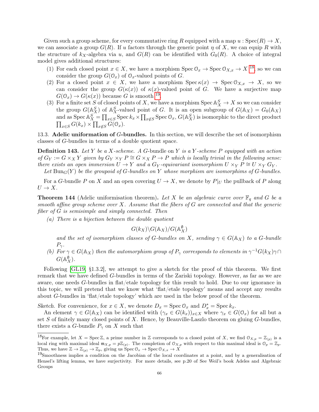Given such a group scheme, for every commutative ring R equipped with a map  $u : \text{Spec}(R) \to X$ , we can associate a group  $G(R)$ . If u factors through the generic point  $\eta$  of X, we can equip R with the structure of  $k_X$ -algebra via u, and  $G(R)$  can be identified with  $G_0(R)$ . A choice of integral model gives additional structures:

- (1) For each closed point  $x \in X$ , we have a morphism  $\text{Spec } \mathcal{O}_x \to \text{Spec } \mathcal{O}_{X,x} \to X^{18}$  $\text{Spec } \mathcal{O}_x \to \text{Spec } \mathcal{O}_{X,x} \to X^{18}$  $\text{Spec } \mathcal{O}_x \to \text{Spec } \mathcal{O}_{X,x} \to X^{18}$ , so we can consider the group  $G(\mathcal{O}_x)$  of  $\mathcal{O}_x$ -valued points of G.
- (2) For a closed point  $x \in X$ , we have a morphism  $\text{Spec } \kappa(x) \to \text{Spec } \mathcal{O}_{X,x} \to X$ , so we can consider the group  $G(\kappa(x))$  of  $\kappa(x)$ -valued point of G. We have a surjective map  $G(\mathcal{O}_x) \to G(\kappa(x))$  because G is smooth <sup>[19](#page-65-2)</sup>.
- (3) For a finite set S of closed points of X, we have a morphism Spec  $\mathbb{A}_{X}^{S} \to X$  so we can consider the group  $G(\mathbb{A}_{X}^{S})$  of  $\mathbb{A}_{X}^{S}$ -valued point of G. It is an open subgroup of  $G(\mathbb{A}_{X}) = G_{0}(\mathbb{A}_{X})$ and as Spec  $\mathbb{A}_{X}^{S} = \prod_{x \in S}$  Spec  $k_x \times \prod_{x \notin S}$  Spec  $\mathbb{O}_x$ ,  $G(\mathbb{A}_{X}^{S})$  is isomorphic to the direct product  $\prod_{x \in S} G(k_x) \times \prod_{x \notin S} G(\mathcal{O}_x).$

<span id="page-65-0"></span>13.3. Adelic uniformation of  $G$ -bundles. In this section, we will describe the set of isomorphism classes of G-bundles in terms of a double quotient space.

**Definition 143.** Let Y be a X-scheme. A G-bundle on Y is a Y-scheme P equipped with an action of  $G_Y := G \times_X Y$  given by  $G_Y \times_Y P \cong G \times_X P \to P$  which is locally trivial in the following sense: there exists an open immersion  $U \to Y$  and a  $G_Y$ -equivariant isomorphism  $U \times_Y P \cong U \times_Y G_Y$ .

Let  $\text{Bun}_G(Y)$  be the groupoid of G-bundles on Y whose morphism are isomorphims of G-bundles.

For a G-bundle P on X and an open covering  $U \to X$ , we denote by  $P|_U$  the pullback of P along  $U \rightarrow X$ .

**Theorem 144** (Adelic uniformisation theorem). Let X be an algebraic curve over  $\mathbb{F}_q$  and G be a smooth affine group scheme over X. Assume that the fibers of  $G$  are connected and that the generic fiber of G is semisimple and simply connected. Then

(a) There is a bijection between the double quotient

$$
G(k_X)\backslash G(\mathbb{A}_X)/G(\mathbb{A}_X^{\emptyset})
$$

and the set of isomorphism classes of G-bundles on X, sending  $\gamma \in G(\mathbb{A}_X)$  to a G-bundle  $P_{\gamma}$ .

(b) For  $\gamma \in G(\mathbb{A}_X)$  then the automorphism group of  $P_\gamma$  corresponds to elements in  $\gamma^{-1}G(k_X)\gamma \cap$  $G(\mathbb{A}_{X}^{\emptyset}).$ 

Following [\[GL19,](#page-69-5) §1.3.2], we attempt to give a sketch for the proof of this theorem. We first remark that we have defined G-bundles in terms of the Zariski topology. However, as far as we are aware, one needs G-bundles in flat/etale topology for this result to hold. Due to our ignorance in this topic, we will pretend that we know what 'flat/etale topology' means and accept any results about G-bundles in 'flat/etale topology' which are used in the below proof of the theorem.

Sketch. For convenience, for  $x \in X$ , we denote  $D_x = \text{Spec } \mathcal{O}_x$  and  $D_x^* = \text{Spec } k_x$ .

An element  $\gamma \in G(\mathbb{A}_X)$  can be identified with  $(\gamma_x \in G(k_x))_{x \in X}$  where  $\gamma_x \in G(0_x)$  for all but a set S of finitely many closed points of X. Hence, by Beauville-Laszlo theorem on gluing  $G$ -bundles, there exists a G-bundle  $P_{\gamma}$  on X such that

<span id="page-65-1"></span><sup>&</sup>lt;sup>18</sup>For example, let  $X = \text{Spec } \mathbb{Z}$ , a prime number in  $\mathbb Z$  corresponds to a closed point of X, we find  $\mathcal{O}_{X,p} = \mathbb{Z}_{(p)}$  is a local ring with maximal ideal  $\mathfrak{m}_{X,p} = p\mathbb{Z}_{(p)}$ . The completion of  $\mathfrak{O}_{X,p}$  with respect to this maximal ideal is  $\mathfrak{O}_p = \mathbb{Z}_p$ . Thus, we have  $\mathbb{Z} \to \mathbb{Z}_{(p)} \to \mathbb{Z}_p$ , giving us  $\text{Spec } \mathcal{O}_x \to \text{Spec } \mathcal{O}_{X,x} \to X$ 

<span id="page-65-2"></span><sup>&</sup>lt;sup>19</sup>Smoothness implies a condition on the Jacobian of the local coordinates at a point, and by a generalisation of Hensel's lifting lemma, we have surjectivity. For more details, see p.20 of See Weil's book Adeles and Algebraic Groups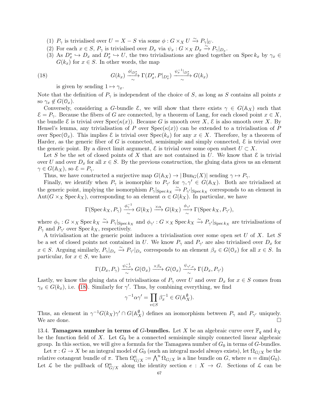- (1)  $P_{\gamma}$  is trivialised over  $U = X S$  via some  $\phi : G \times_X U \xrightarrow{\sim} P_{\gamma}|_U$ .
- (2) For each  $x \in S$ ,  $P_{\gamma}$  is trivialised over  $D_x$  via  $\psi_x : G \times_X D_x \overset{\sim}{\longrightarrow} P_{\gamma}|_{D_x}$ .
- (3) As  $D_x^* \hookrightarrow D_x$  and  $D_x^* \hookrightarrow U$ , the two trivialisations are glued together on Spec  $k_x$  by  $\gamma_x \in$  $G(k_x)$  for  $x \in S$ . In other words, the map

(18) 
$$
G(k_x) \xrightarrow{\phi|_{D_x^*}} \Gamma(D_x^*, P|_{D_x^*}) \xrightarrow{\psi_x^{-1}|_{D_x^*}} G(k_x)
$$

<span id="page-66-1"></span>is given by sending  $1 \mapsto \gamma_x$ .

Note that the definition of  $P_{\gamma}$  is independent of the choice of S, as long as S contains all points x so  $\gamma_x \notin G(\mathbb{O}_x)$ .

Conversely, considering a G-bundle  $\mathcal{E}$ , we will show that there exists  $\gamma \in G(\mathbb{A}_X)$  such that  $\mathcal{E} = P_{\gamma}$ . Because the fibers of G are connected, by a theorem of Lang, for each closed point  $x \in X$ , the bundle E is trivial over  $Spec(\kappa(x))$ . Because G is smooth over X, E is also smooth over X. By Hensel's lemma, any trivialisation of P over  $Spec(\kappa(x))$  can be extended to a trivialisation of P over  $Spec(\mathcal{O}_x)$ . This implies  $\mathcal E$  is trivial over  $Spec(k_x)$  for any  $x \in X$ . Therefore, by a theorem of Harder, as the generic fiber of G is connected, semisimple and simply connected,  $\mathcal E$  is trivial over the generic point. By a direct limit argument,  $\mathcal{E}$  is trivial over some open subset  $U \subset X$ .

Let S be the set of closed points of X that are not contained in U. We know that  $\mathcal E$  is trivial over U and over  $D_x$  for all  $x \in S$ . By the previous construction, the gluing data gives us an element  $\gamma \in G(\mathbb{A}_{X}),$  so  $\mathcal{E} = P_{\gamma}$ .

Thus, we have constructed a surjective map  $G(\mathbb{A}_X) \to |\text{Bun}_G(X)|$  sending  $\gamma \mapsto P_\gamma$ .

Finally, we identify when  $P_{\gamma}$  is isomorphic to  $P_{\gamma'}$  for  $\gamma, \gamma' \in G(\mathbb{A}_X)$ . Both are trivialised at the generic point, implying the isomorphism  $P_{\gamma}|_{\text{Spec } k_X} \xrightarrow{\sim} P_{\gamma'}|_{\text{Spec } k_X}$  corresponds to an element in  $Aut(G \times_X \text{Spec } k_X)$ , corresponding to an element  $\alpha \in G(k_X)$ . In particular, we have

$$
\Gamma(\operatorname{Spec} k_X, P_\gamma) \xrightarrow[\sim]{\phi_\gamma^{-1}} G(k_X) \xrightarrow{\times \alpha} G(k_X) \xrightarrow[\sim]{\phi_{\gamma'}} \Gamma(\operatorname{Spec} k_X, P_{\gamma'}),
$$

where  $\phi_{\gamma}: G \times_X \text{Spec } k_X \xrightarrow{\sim} P_{\gamma} |_{\text{Spec } k_X}$  and  $\phi_{\gamma'}: G \times_X \text{Spec } k_X \xrightarrow{\sim} P_{\gamma'} |_{\text{Spec } k_X}$  are trivialisations of  $P_{\gamma}$  and  $P_{\gamma'}$  over Spec  $k_X$ , respectively.

A trivialisation at the generic point induces a trivialisation over some open set  $U$  of  $X$ . Let  $S$ be a set of closed points not contained in U. We know  $P_{\gamma}$  and  $P_{\gamma'}$  are also trivialised over  $D_x$  for  $x \in S$ . Arguing similarly,  $P_{\gamma}|_{D_x} \stackrel{\sim}{\to} P_{\gamma'}|_{D_x}$  corresponds to an element  $\beta_x \in G(\mathbb{O}_x)$  for all  $x \in S$ . In particular, for  $x \in S$ , we have

$$
\Gamma(D_x, P_\gamma) \xrightarrow[\sim]{\psi_{\gamma,x}^{-1}} G(\mathbb{O}_x) \xrightarrow{\times \beta_x} G(\mathbb{O}_x) \xrightarrow[\sim]{\psi_{\gamma',x}} \Gamma(D_x, P_{\gamma'})
$$

Lastly, we know the gluing data of trivialisations of  $P_\gamma$  over U and over  $D_x$  for  $x \in S$  comes from  $\gamma_x \in G(k_x)$ , i.e. [\(18\)](#page-66-1). Similarly for  $\gamma'$ . Thus, by combining everything, we find

$$
\gamma^{-1}\alpha\gamma' = \prod_{v \in S} \beta_x^{-1} \in G(\mathbb{A}_X^{\emptyset}).
$$

Thus, an element in  $\gamma^{-1}G(k_X)\gamma' \cap G(\mathbb{A}_{X}^{\emptyset})$  defines an isomorphism between  $P_{\gamma}$  and  $P_{\gamma'}$  uniquely. We are done.  $\square$ 

<span id="page-66-0"></span>13.4. **Tamagawa number in terms of G-bundles.** Let X be an algebraic curve over  $\mathbb{F}_q$  and  $k_X$ be the function field of X. Let  $G_0$  be a connected semisimple simply connected linear algebraic group. In this section, we will give a formula for the Tamagawa number of  $G_0$  in terms of G-bundles.

Let  $\pi: G \to X$  be an integral model of  $G_0$  (such an integral model always exists), let  $\Omega_{G/X}$  be the relative cotangent bundle of  $\pi$ . Then  $\Omega_{G/X}^n := \bigwedge^n \Omega_{G/X}$  is a line bundle on G, where  $n = \dim(G_0)$ . Let  $\mathcal L$  be the pullback of  $\Omega_{G/X}^n$  along the identity section  $e: X \to G$ . Sections of  $\mathcal L$  can be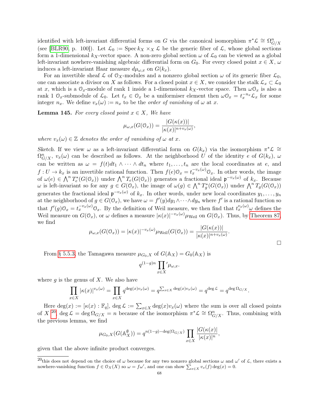identified with left-invariant differential forms on G via the canonical isomorphism  $\pi^*\mathcal{L} \cong \Omega^n_{G/X}$ (see [\[BLR90,](#page-69-24) p. 100]). Let  $\mathcal{L}_0 := \operatorname{Spec} k_X \times_X \mathcal{L}$  be the generic fiber of  $\mathcal{L}$ , whose global sections form a 1-dimensional  $k_X$ -vector space. A non-zero global section  $\omega$  of  $\mathcal{L}_0$  can be viewed as a global left-invariant nowhere-vanishing algebraic differential form on  $G_0$ . For every closed point  $x \in X$ ,  $\omega$ induces a left-invariant Haar measure  $d\mu_{\omega,x}$  on  $G(k_x)$ .

For an invertible sheaf  $\mathcal L$  of  $\mathcal O_X$ -modules and a nonzero global section  $\omega$  of its generic fiber  $\mathcal L_0$ , one can associate a divisor on X as follows. For a closed point  $x \in X$ , we consider the stalk  $\mathcal{L}_x \subset \mathcal{L}_0$ at x, which is a  $\mathcal{O}_x$ -module of rank 1 inside a 1-dimensional  $k_X$ -vector space. Then  $\omega \mathcal{O}_x$  is also a rank 1  $\mathcal{O}_x$ -submodule of  $\mathcal{L}_0$ . Let  $t_x \in \mathcal{O}_x$  be a uniformiser element then  $\omega \mathcal{O}_x = t_x^{-n_x} \mathcal{L}_x$  for some integer  $n_x$ . We define  $v_x(\omega) := n_x$  to be the *order of vanishing* of  $\omega$  at x.

**Lemma 145.** For every closed point  $x \in X$ , We have

$$
\mu_{\omega,x}(G(\mathcal{O}_x)) = \frac{|G(\kappa(x))|}{|\kappa(x)|^{n+v_x(\omega)}},
$$

where  $v_x(\omega) \in \mathbb{Z}$  denotes the order of vanishing of  $\omega$  at x.

Sketch. If we view  $\omega$  as a left-invariant differential form on  $G(k_x)$  via the isomorphism  $\pi^*\mathcal{L} \cong$  $\Omega_{G/X}^n$ ,  $v_x(\omega)$  can be described as follows. At the neighborhood U of the identity e of  $G(k_x)$ ,  $\omega$ can be written as  $\omega = f(t)dt_1 \wedge \cdots \wedge dt_n$  where  $t_1, \ldots, t_n$  are the local coordinates at e, and  $f: U \to k_x$  is an invertible rational function. Then  $f(e) \mathcal{O}_x = t_x^{-v_x(\omega)} \mathcal{O}_x$ . In other words, the image of  $\omega(e) \in \bigwedge^n T_e^*(G(\mathbb{O}_x))$  under  $\bigwedge^n T_e(G(\mathbb{O}_x))$  generates a fractional ideal  $\mathfrak{p}^{-v_x(\omega)}$  of  $k_x$ . Because  $\omega$  is left-invariant so for any  $g \in G(\mathbb{O}_x)$ , the image of  $\omega(g) \in \bigwedge^n T_g^*(G(\mathbb{O}_x))$  under  $\bigwedge^n T_g(G(\mathbb{O}_x))$ generates the fractional ideal  $\mathfrak{p}^{-v_x(\omega)}$  of  $k_x$ . In other words, under new local coordinates  $y_1, \ldots, y_n$ at the neighborhood of  $g \in G(\mathbb{O}_x)$ , we have  $\omega = f'(y)dy_1 \wedge \cdots \wedge dy_n$  where f' is a rational function so that  $f'(g) \mathcal{O}_x = t_x^{-v_x(\omega)} \mathcal{O}_x$ . By the definition of Weil measure, we then find that  $t_x^{v_x(\omega)} \omega$  defines the Weil measure on  $G(\mathbb{O}_x)$ , or  $\omega$  defines a measure  $|\kappa(x)|^{-v_x(\omega)}\mu_{\text{Weil}}$  on  $G(\mathbb{O}_x)$ . Thus, by [Theorem 87,](#page-32-0) we find

$$
\mu_{\omega,x}(G(\mathcal{O}_x)) = |\kappa(x)|^{-v_x(\omega)} \mu_{\text{Weil}}(G(\mathcal{O}_x)) = \frac{|G(\kappa(x))|}{|\kappa(x)|^{n+v_x(\omega)}}.
$$

 $\Box$ 

From [§ 5.5.3,](#page-34-3) the Tamagawa measure  $\mu_{G_0,X}$  of  $G(\mathbb{A}_X) = G_0(\mathbb{A}_X)$  is

$$
q^{(1-g)n} \prod_{x \in X} ' \mu_{\omega, x}.
$$

where  $g$  is the genus of  $X$ . We also have

$$
\prod_{x \in X} |\kappa(x)|^{v_x(\omega)} = \prod_{x \in X} q^{\deg(x)v_x(\omega)} = q^{\sum_{x \in X} \deg(x)v_x(\omega)} = q^{\deg \mathcal{L}} = q^{\deg \Omega_{G/X}}.
$$

Here  $\deg(x) := [\kappa(x) : \mathbb{F}_q], \deg \mathcal{L} := \sum_{x \in X} \deg(x) v_x(\omega)$  where the sum is over all closed points of  $X^{20}$  $X^{20}$  $X^{20}$ , deg  $\mathcal{L} = \deg \Omega_{G/X} = n$  because of the isomorphism  $\pi^* \mathcal{L} \cong \Omega_{G/X}^n$ . Thus, combining with the previous lemma, we find

$$
\mu_{G_0,X}(G(\mathbb{A}_X^{\emptyset})) = q^{n(1-g)-\deg(\Omega_{G/X})} \prod_{x \in X} \frac{|G(\kappa(x))|}{|\kappa(x)|^n},
$$

given that the above infinite product converges.

<span id="page-67-0"></span><sup>&</sup>lt;sup>20</sup>this does not depend on the choice of  $\omega$  because for any two nonzero global sections  $\omega$  and  $\omega'$  of  $\mathcal{L}$ , there exists a nowhere-vanishing function  $f \in \mathcal{O}_X(X)$  so  $\omega = f\omega'$ , and one can show  $\sum_{x \in X} v_x(f) \deg(x) = 0$ .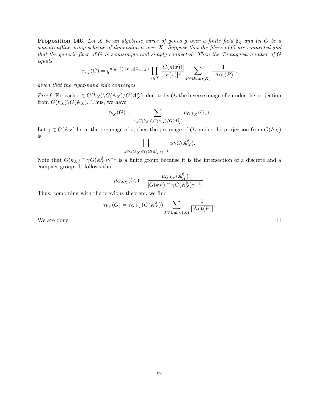**Proposition 146.** Let X be an algebraic curve of genus g over a finite field  $\mathbb{F}_q$  and let G be a smooth affine group scheme of dimension  $n$  over  $X$ . Suppose that the fibers of  $G$  are connected and that the generic fiber of  $G$  is semisimple and simply connected. Then the Tamagawa number of  $G$ equals

$$
\tau_{k_X}(G) = q^{n(g-1) + \deg(\Omega_{G/X})} \prod_{x \in X} \frac{|G(\kappa(x))|}{|\kappa(x)|^d} \sum_{P \in \text{Bun}_G(X)} \frac{1}{|\text{Aut}(P)|},
$$

given that the right-hand side converges.

Proof. For each  $z \in G(k_X) \backslash G(\mathbb{A}_X)/G(\mathbb{A}_X^{\emptyset})$ , denote by  $O_z$  the inverse image of  $z$  under the projection from  $G(k_X)\backslash G(\mathbb{A}_X)$ . Thus, we have

$$
\tau_{k_X}(G) = \sum_{z \in G(k_X) \backslash G(\mathbb{A}_X)/G(\mathbb{A}_X^{\emptyset})} \mu_{G,k_X}(O_z).
$$

Let  $\gamma \in G(\mathbb{A}_X)$  lie in the preimage of z, then the preimage of  $O_z$  under the projection from  $G(\mathbb{A}_X)$ is

$$
\bigsqcup_{\alpha \in G(k_X) \cap \gamma G(\mathbb{A}_X^{\emptyset})\gamma^{-1}} \alpha \gamma G(\mathbb{A}_X^{\emptyset}).
$$

Note that  $G(k_X) \cap \gamma G(\mathbb{A}_{X}^{\emptyset})\gamma^{-1}$  is a finite group because it is the intersection of a discrete and a compact group. It follows that

$$
\mu_{G,k_X}(O_z) = \frac{\mu_{G,k_X}(\mathbb{A}_X^{\emptyset})}{|G(k_X) \cap \gamma G(\mathbb{A}_X^{\emptyset})\gamma^{-1}|}.
$$

Thus, combining with the previous theorem, we find

$$
\tau_{k_X}(G) = \tau_{G,k_X}(G(\mathbb{A}_X^{\emptyset})) \sum_{P \in \text{Bun}_G(X)} \frac{1}{|\text{Aut}(P)|}.
$$

We are done.  $\Box$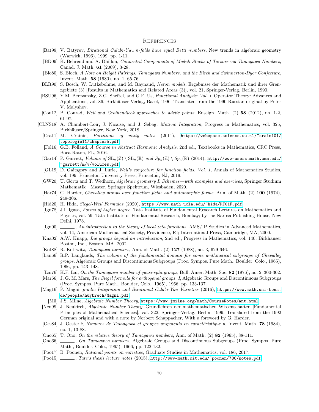#### <span id="page-69-0"></span>**REFERENCES**

- <span id="page-69-21"></span>[Bat99] V. Batyrev, Birational Calabi-Yau n-folds have equal Betti numbers, New trends in algebraic geometry (Warwick, 1996), 1999, pp. 1-11.
- <span id="page-69-7"></span>[BD09] K. Behrend and A. Dhillon, Connected Components of Moduli Stacks of Torsors via Tamagawa Numbers, Canad. J. Math. 61 (2009), 3-28.
- <span id="page-69-9"></span>[Blo80] S. Bloch, A Note on Height Pairings, Tamagawa Numbers, and the Birch and Swinnerton-Dyer Conjecture, Invent. Math. 58 (1980), no. 1, 65-76.
- <span id="page-69-24"></span>[BLR90] S. Bosch, W. Lutkebohme, and M. Raynaud, Neron models, Ergebnisse der Mathematik und ihrer Grenzgebiete (3) [Results in Mathematics and Related Areas (3)], vol. 21, Springer-Verlag, Berlin, 1990.
- <span id="page-69-14"></span>[BSU96] Y.M. Berezansky, Z.G. Sheftel, and G.F. Us, Functional Analysis: Vol. I, Operator Theory: Advances and Applications, vol. 86, Birkhäuser Verlag, Basel, 1996. Translated from the 1990 Russian original by Peter V. Malyshev.
- <span id="page-69-17"></span>[Con12] B. Conrad, Weil and Grothendieck approaches to adelic points, Enseign. Math. (2) 58 (2012), no. 1-2, 61-97.
- <span id="page-69-28"></span><span id="page-69-27"></span><span id="page-69-26"></span><span id="page-69-25"></span><span id="page-69-23"></span><span id="page-69-22"></span><span id="page-69-20"></span><span id="page-69-19"></span><span id="page-69-18"></span><span id="page-69-16"></span><span id="page-69-15"></span><span id="page-69-13"></span><span id="page-69-12"></span><span id="page-69-11"></span><span id="page-69-10"></span><span id="page-69-8"></span><span id="page-69-6"></span><span id="page-69-5"></span><span id="page-69-4"></span><span id="page-69-3"></span><span id="page-69-2"></span><span id="page-69-1"></span>[CLNS18] A. Chambert-Loir, J. Nicaise, and J. Sebag, Motivic Integration, Progress in Mathematics, vol. 325, Birkhäuser/Springer, New York, 2018.
	- [Cra11] M. Crainic, Partitions of unity notes (2011), [https://webspace.science.uu.nl/~crain101/](https://webspace.science.uu.nl/~crain101/topologie11/chapter5.pdf) [topologie11/chapter5.pdf](https://webspace.science.uu.nl/~crain101/topologie11/chapter5.pdf).
	- [Fol16] G.B. Folland, A Course in Abstract Harmonic Analysis, 2nd ed., Textbooks in Mathematics, CRC Press, Boca Raton, FL, 2016.
	- [Gar14] P. Garrett, Volume of  $\text{SL}_n(\mathbb{Z}) \setminus \text{SL}_n(\mathbb{R})$  and  $\text{Sp}_n(\mathbb{Z}) \setminus \text{Sp}_n(\mathbb{R})$  (2014), [http://www-users.math.umn.edu/](http://www-users.math.umn.edu/~garrett/m/v/volumes.pdf) [~garrett/m/v/volumes.pdf](http://www-users.math.umn.edu/~garrett/m/v/volumes.pdf).
	- [GL19] D. Gaitsgory and J. Lurie, Weil's conjecture for function fields. Vol. 1, Annals of Mathematics Studies, vol. 199, Princeton University Press, Princeton, NJ, 2019.
	- [GW20] U. Görtz and T. Wedhorn, Algebraic geometry I. Schemes—with examples and exercises, Springer Studium Mathematik—Master, Springer Spektrum, Wiesbaden, 2020.
	- [Har74] G. Harder, Chevalley groups over function fields and automorphic forms, Ann. of Math. (2) 100 (1974), 249-306.
	- [Hid20] H. Hida, Siegel-Weil Formulas (2020), <https://www.math.ucla.edu/~hida/RT01F.pdf>.
	- [Igu78] J.I. Igusa, Forms of higher degree, Tata Institute of Fundamental Research Lectures on Mathematics and Physics, vol. 59, Tata Institute of Fundamental Research, Bombay; by the Narosa Publishing House, New Delhi, 1978.
	- [Igu00]  $\_\_\_\_\$ , An introduction to the theory of local zeta functions, AMS/IP Studies in Advanced Mathematics, vol. 14, American Mathematical Society, Providence, RI; International Press, Cambridge, MA, 2000.
	- [Kna02] A.W. Knapp, Lie groups beyond an introduction, 2nd ed., Progress in Mathematics, vol. 140, Birkhäuser Boston, Inc., Boston, MA, 2002.
	- [Kot88] R. Kottwitz, Tamagawa numbers, Ann. of Math. (2) 127 (1988), no. 3, 629-646.
	- [Lan66] R.P. Langlands, The volume of the fundamental domain for some arithmetical subgroups of Chevalley groups, Algebraic Groups and Discontinuous Subgroups (Proc. Sympos. Pure Math., Boulder, Colo., 1965), 1966, pp. 143–148.
	- [Lai76] K.F. Lai, On the Tamagawa number of quasi-split groups, Bull. Amer. Math. Soc. 82 (1976), no. 2, 300-302.
	- [Mar66] J. G. M. Mars, The Siegel formula for orthogonal groups. I, Algebraic Groups and Discontinuous Subgroups (Proc. Sympos. Pure Math., Boulder, Colo., 1965), 1966, pp. 133-137.
	- [Mag16] P. Magni, p-adic Integration and Birational Calabi-Yau Varieties (2016), [https://www.math.uni-bonn.](https://www.math.uni-bonn.de/people/huybrech/Magni.pdf) [de/people/huybrech/Magni.pdf](https://www.math.uni-bonn.de/people/huybrech/Magni.pdf).
	- [Mil] J.S. Milne, Algebraic Number Theory, <https://www.jmilne.org/math/CourseNotes/ant.html>.
	- [Neu99] J. Neukirch, Algebraic Number Theory, Grundlehren der mathematischen Wissenschaften [Fundamental Principles of Mathematical Sciences], vol. 322, Springer-Verlag, Berlin, 1999. Translated from the 1992 German original and with a note by Norbert Schappacher, With a foreword by G. Harder.
	- [Oes84] J. Oesterlé, Nombres de Tamagawa et groupes unipotents en caractéristique p, Invent. Math. 78 (1984), no. 1, 13-88.
	- [Ono65] T. Ono, On the relative theory of Tamagawa numbers, Ann. of Math. (2) 82 (1965), 88-111.
	- [Ono66] , On Tamagawa numbers, Algebraic Groups and Discontinuous Subgroups (Proc. Sympos. Pure Math., Boulder, Colo., 1965), 1966, pp. 122-132.
	- [Poo17] B. Poonen, Rational points on varieties, Graduate Studies in Mathematics, vol. 186, 2017.
	- [Poo15] , Tate's thesis lecture notes (2015), <http://www-math.mit.edu/~poonen/786/notes.pdf>.